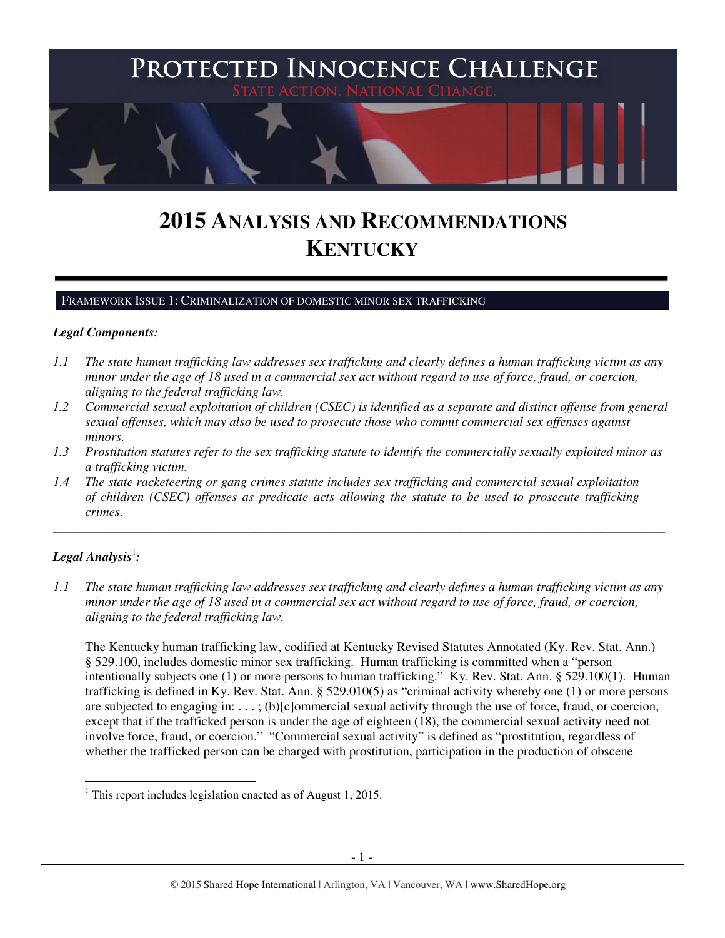

# **2015 ANALYSIS AND RECOMMENDATIONS KENTUCKY**

#### FRAMEWORK ISSUE 1: CRIMINALIZATION OF DOMESTIC MINOR SEX TRAFFICKING

### *Legal Components:*

- *1.1 The state human trafficking law addresses sex trafficking and clearly defines a human trafficking victim as any minor under the age of 18 used in a commercial sex act without regard to use of force, fraud, or coercion, aligning to the federal trafficking law.*
- *1.2 Commercial sexual exploitation of children (CSEC) is identified as a separate and distinct offense from general sexual offenses, which may also be used to prosecute those who commit commercial sex offenses against minors.*
- *1.3 Prostitution statutes refer to the sex trafficking statute to identify the commercially sexually exploited minor as a trafficking victim.*

\_\_\_\_\_\_\_\_\_\_\_\_\_\_\_\_\_\_\_\_\_\_\_\_\_\_\_\_\_\_\_\_\_\_\_\_\_\_\_\_\_\_\_\_\_\_\_\_\_\_\_\_\_\_\_\_\_\_\_\_\_\_\_\_\_\_\_\_\_\_\_\_\_\_\_\_\_\_\_\_\_\_\_\_\_\_\_\_\_\_\_\_\_\_

*1.4 The state racketeering or gang crimes statute includes sex trafficking and commercial sexual exploitation of children (CSEC) offenses as predicate acts allowing the statute to be used to prosecute trafficking crimes.* 

# ${\bm L}$ egal Analysis $^{\rm l}$ :

l

*1.1 The state human trafficking law addresses sex trafficking and clearly defines a human trafficking victim as any minor under the age of 18 used in a commercial sex act without regard to use of force, fraud, or coercion, aligning to the federal trafficking law.*

The Kentucky human trafficking law, codified at Kentucky Revised Statutes Annotated (Ky. Rev. Stat. Ann.) § 529.100, includes domestic minor sex trafficking. Human trafficking is committed when a "person intentionally subjects one (1) or more persons to human trafficking." Ky. Rev. Stat. Ann. § 529.100(1). Human trafficking is defined in Ky. Rev. Stat. Ann. § 529.010(5) as "criminal activity whereby one (1) or more persons are subjected to engaging in: . . . ; (b)[c]ommercial sexual activity through the use of force, fraud, or coercion, except that if the trafficked person is under the age of eighteen (18), the commercial sexual activity need not involve force, fraud, or coercion." "Commercial sexual activity" is defined as "prostitution, regardless of whether the trafficked person can be charged with prostitution, participation in the production of obscene

<sup>&</sup>lt;sup>1</sup> This report includes legislation enacted as of August 1, 2015.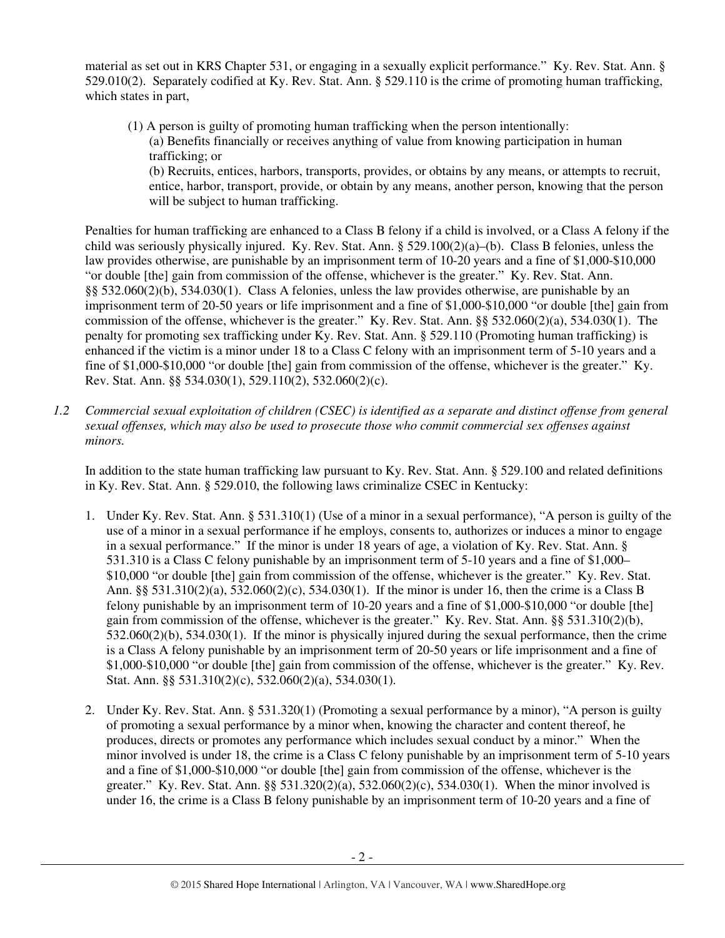material as set out in KRS Chapter 531, or engaging in a sexually explicit performance." Ky. Rev. Stat. Ann. § 529.010(2). Separately codified at Ky. Rev. Stat. Ann. § 529.110 is the crime of promoting human trafficking, which states in part,

(1) A person is guilty of promoting human trafficking when the person intentionally: (a) Benefits financially or receives anything of value from knowing participation in human trafficking; or (b) Recruits, entices, harbors, transports, provides, or obtains by any means, or attempts to recruit, entice, harbor, transport, provide, or obtain by any means, another person, knowing that the person will be subject to human trafficking.

Penalties for human trafficking are enhanced to a Class B felony if a child is involved, or a Class A felony if the child was seriously physically injured. Ky. Rev. Stat. Ann. § 529.100(2)(a)–(b). Class B felonies, unless the law provides otherwise, are punishable by an imprisonment term of 10-20 years and a fine of \$1,000-\$10,000 "or double [the] gain from commission of the offense, whichever is the greater." Ky. Rev. Stat. Ann. §§ 532.060(2)(b), 534.030(1). Class A felonies, unless the law provides otherwise, are punishable by an imprisonment term of 20-50 years or life imprisonment and a fine of \$1,000-\$10,000 "or double [the] gain from commission of the offense, whichever is the greater." Ky. Rev. Stat. Ann. §§ 532.060(2)(a), 534.030(1). The penalty for promoting sex trafficking under Ky. Rev. Stat. Ann. § 529.110 (Promoting human trafficking) is enhanced if the victim is a minor under 18 to a Class C felony with an imprisonment term of 5-10 years and a fine of \$1,000-\$10,000 "or double [the] gain from commission of the offense, whichever is the greater." Ky. Rev. Stat. Ann. §§ 534.030(1), 529.110(2), 532.060(2)(c).

*1.2 Commercial sexual exploitation of children (CSEC) is identified as a separate and distinct offense from general sexual offenses, which may also be used to prosecute those who commit commercial sex offenses against minors.*

In addition to the state human trafficking law pursuant to Ky. Rev. Stat. Ann. § 529.100 and related definitions in Ky. Rev. Stat. Ann. § 529.010, the following laws criminalize CSEC in Kentucky:

- 1. Under Ky. Rev. Stat. Ann. § 531.310(1) (Use of a minor in a sexual performance), "A person is guilty of the use of a minor in a sexual performance if he employs, consents to, authorizes or induces a minor to engage in a sexual performance." If the minor is under 18 years of age, a violation of Ky. Rev. Stat. Ann. § 531.310 is a Class C felony punishable by an imprisonment term of 5-10 years and a fine of \$1,000– \$10,000 "or double [the] gain from commission of the offense, whichever is the greater." Ky. Rev. Stat. Ann. §§ 531.310(2)(a), 532.060(2)(c), 534.030(1). If the minor is under 16, then the crime is a Class B felony punishable by an imprisonment term of 10-20 years and a fine of \$1,000-\$10,000 "or double [the] gain from commission of the offense, whichever is the greater." Ky. Rev. Stat. Ann. §§ 531.310(2)(b), 532.060(2)(b), 534.030(1). If the minor is physically injured during the sexual performance, then the crime is a Class A felony punishable by an imprisonment term of 20-50 years or life imprisonment and a fine of \$1,000-\$10,000 "or double [the] gain from commission of the offense, whichever is the greater." Ky. Rev. Stat. Ann. §§ 531.310(2)(c), 532.060(2)(a), 534.030(1).
- 2. Under Ky. Rev. Stat. Ann. § 531.320(1) (Promoting a sexual performance by a minor), "A person is guilty of promoting a sexual performance by a minor when, knowing the character and content thereof, he produces, directs or promotes any performance which includes sexual conduct by a minor." When the minor involved is under 18, the crime is a Class C felony punishable by an imprisonment term of 5-10 years and a fine of \$1,000-\$10,000 "or double [the] gain from commission of the offense, whichever is the greater." Ky. Rev. Stat. Ann. §§ 531.320(2)(a), 532.060(2)(c), 534.030(1). When the minor involved is under 16, the crime is a Class B felony punishable by an imprisonment term of 10-20 years and a fine of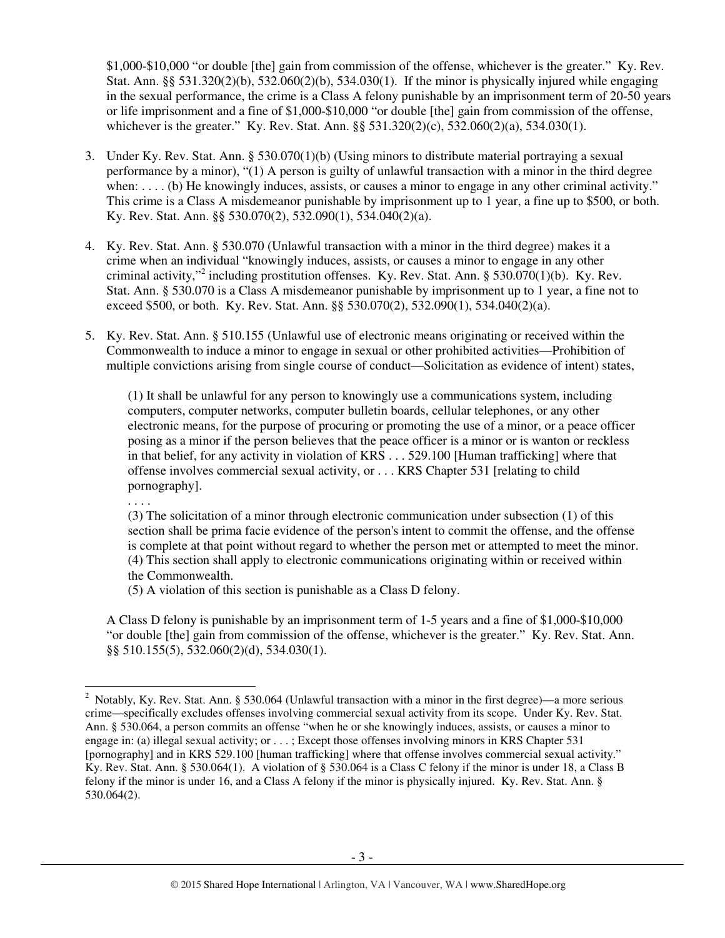\$1,000-\$10,000 "or double [the] gain from commission of the offense, whichever is the greater." Ky. Rev. Stat. Ann. §§ 531.320(2)(b), 532.060(2)(b), 534.030(1). If the minor is physically injured while engaging in the sexual performance, the crime is a Class A felony punishable by an imprisonment term of 20-50 years or life imprisonment and a fine of \$1,000-\$10,000 "or double [the] gain from commission of the offense, whichever is the greater." Ky. Rev. Stat. Ann. §§ 531.320(2)(c), 532.060(2)(a), 534.030(1).

- 3. Under Ky. Rev. Stat. Ann. § 530.070(1)(b) (Using minors to distribute material portraying a sexual performance by a minor), "(1) A person is guilty of unlawful transaction with a minor in the third degree when: . . . . (b) He knowingly induces, assists, or causes a minor to engage in any other criminal activity." This crime is a Class A misdemeanor punishable by imprisonment up to 1 year, a fine up to \$500, or both. Ky. Rev. Stat. Ann. §§ 530.070(2), 532.090(1), 534.040(2)(a).
- 4. Ky. Rev. Stat. Ann. § 530.070 (Unlawful transaction with a minor in the third degree) makes it a crime when an individual "knowingly induces, assists, or causes a minor to engage in any other criminal activity,"<sup>2</sup> including prostitution offenses. Ky. Rev. Stat. Ann. § 530.070(1)(b). Ky. Rev. Stat. Ann. § 530.070 is a Class A misdemeanor punishable by imprisonment up to 1 year, a fine not to exceed \$500, or both. Ky. Rev. Stat. Ann. §§ 530.070(2), 532.090(1), 534.040(2)(a).
- 5. Ky. Rev. Stat. Ann. § 510.155 (Unlawful use of electronic means originating or received within the Commonwealth to induce a minor to engage in sexual or other prohibited activities—Prohibition of multiple convictions arising from single course of conduct—Solicitation as evidence of intent) states,

(1) It shall be unlawful for any person to knowingly use a communications system, including computers, computer networks, computer bulletin boards, cellular telephones, or any other electronic means, for the purpose of procuring or promoting the use of a minor, or a peace officer posing as a minor if the person believes that the peace officer is a minor or is wanton or reckless in that belief, for any activity in violation of KRS . . . 529.100 [Human trafficking] where that offense involves commercial sexual activity, or . . . KRS Chapter 531 [relating to child pornography].

. . . .

 $\overline{a}$ 

(3) The solicitation of a minor through electronic communication under subsection (1) of this section shall be prima facie evidence of the person's intent to commit the offense, and the offense is complete at that point without regard to whether the person met or attempted to meet the minor. (4) This section shall apply to electronic communications originating within or received within the Commonwealth.

(5) A violation of this section is punishable as a Class D felony.

A Class D felony is punishable by an imprisonment term of 1-5 years and a fine of \$1,000-\$10,000 "or double [the] gain from commission of the offense, whichever is the greater." Ky. Rev. Stat. Ann. §§ 510.155(5), 532.060(2)(d), 534.030(1).

<sup>&</sup>lt;sup>2</sup> Notably, Ky. Rev. Stat. Ann. § 530.064 (Unlawful transaction with a minor in the first degree)—a more serious crime—specifically excludes offenses involving commercial sexual activity from its scope. Under Ky. Rev. Stat. Ann. § 530.064, a person commits an offense "when he or she knowingly induces, assists, or causes a minor to engage in: (a) illegal sexual activity; or . . . ; Except those offenses involving minors in KRS Chapter 531 [pornography] and in KRS 529.100 [human trafficking] where that offense involves commercial sexual activity." Ky. Rev. Stat. Ann. § 530.064(1). A violation of § 530.064 is a Class C felony if the minor is under 18, a Class B felony if the minor is under 16, and a Class A felony if the minor is physically injured. Ky. Rev. Stat. Ann. § 530.064(2).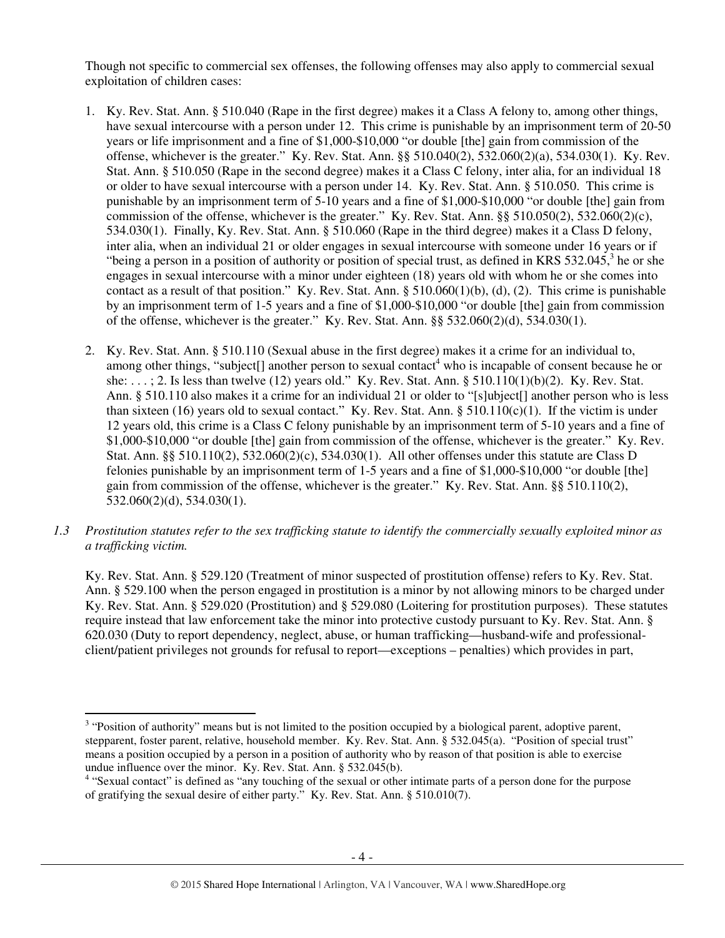Though not specific to commercial sex offenses, the following offenses may also apply to commercial sexual exploitation of children cases:

- 1. Ky. Rev. Stat. Ann. § 510.040 (Rape in the first degree) makes it a Class A felony to, among other things, have sexual intercourse with a person under 12. This crime is punishable by an imprisonment term of 20-50 years or life imprisonment and a fine of \$1,000-\$10,000 "or double [the] gain from commission of the offense, whichever is the greater." Ky. Rev. Stat. Ann. §§ 510.040(2), 532.060(2)(a), 534.030(1). Ky. Rev. Stat. Ann. § 510.050 (Rape in the second degree) makes it a Class C felony, inter alia, for an individual 18 or older to have sexual intercourse with a person under 14. Ky. Rev. Stat. Ann. § 510.050. This crime is punishable by an imprisonment term of 5-10 years and a fine of \$1,000-\$10,000 "or double [the] gain from commission of the offense, whichever is the greater." Ky. Rev. Stat. Ann.  $\S$ § 510.050(2), 532.060(2)(c), 534.030(1). Finally, Ky. Rev. Stat. Ann. § 510.060 (Rape in the third degree) makes it a Class D felony, inter alia, when an individual 21 or older engages in sexual intercourse with someone under 16 years or if "being a person in a position of authority or position of special trust, as defined in KRS  $532.045$ , he or she engages in sexual intercourse with a minor under eighteen (18) years old with whom he or she comes into contact as a result of that position." Ky. Rev. Stat. Ann.  $\S 510.060(1)(b)$ , (d), (2). This crime is punishable by an imprisonment term of 1-5 years and a fine of \$1,000-\$10,000 "or double [the] gain from commission of the offense, whichever is the greater." Ky. Rev. Stat. Ann.  $\S$ § 532.060(2)(d), 534.030(1).
- 2. Ky. Rev. Stat. Ann. § 510.110 (Sexual abuse in the first degree) makes it a crime for an individual to, among other things, "subject[] another person to sexual contact<sup>4</sup> who is incapable of consent because he or she: . . . ; 2. Is less than twelve (12) years old." Ky. Rev. Stat. Ann. § 510.110(1)(b)(2). Ky. Rev. Stat. Ann. § 510.110 also makes it a crime for an individual 21 or older to "[s]ubject[] another person who is less than sixteen (16) years old to sexual contact." Ky. Rev. Stat. Ann.  $\S 510.110(c)(1)$ . If the victim is under 12 years old, this crime is a Class C felony punishable by an imprisonment term of 5-10 years and a fine of \$1,000-\$10,000 "or double [the] gain from commission of the offense, whichever is the greater." Ky. Rev. Stat. Ann. §§ 510.110(2), 532.060(2)(c), 534.030(1). All other offenses under this statute are Class D felonies punishable by an imprisonment term of 1-5 years and a fine of \$1,000-\$10,000 "or double [the] gain from commission of the offense, whichever is the greater." Ky. Rev. Stat. Ann. §§ 510.110(2), 532.060(2)(d), 534.030(1).
- *1.3 Prostitution statutes refer to the sex trafficking statute to identify the commercially sexually exploited minor as a trafficking victim.*

Ky. Rev. Stat. Ann. § 529.120 (Treatment of minor suspected of prostitution offense) refers to Ky. Rev. Stat. Ann. § 529.100 when the person engaged in prostitution is a minor by not allowing minors to be charged under Ky. Rev. Stat. Ann. § 529.020 (Prostitution) and § 529.080 (Loitering for prostitution purposes). These statutes require instead that law enforcement take the minor into protective custody pursuant to Ky. Rev. Stat. Ann. § 620.030 (Duty to report dependency, neglect, abuse, or human trafficking—husband-wife and professionalclient/patient privileges not grounds for refusal to report—exceptions – penalties) which provides in part,

 $\overline{a}$ 

<sup>&</sup>lt;sup>3</sup> "Position of authority" means but is not limited to the position occupied by a biological parent, adoptive parent, stepparent, foster parent, relative, household member. Ky. Rev. Stat. Ann. § 532.045(a). "Position of special trust" means a position occupied by a person in a position of authority who by reason of that position is able to exercise undue influence over the minor. Ky. Rev. Stat. Ann. § 532.045(b).

<sup>&</sup>lt;sup>4</sup> "Sexual contact" is defined as "any touching of the sexual or other intimate parts of a person done for the purpose of gratifying the sexual desire of either party." Ky. Rev. Stat. Ann. § 510.010(7).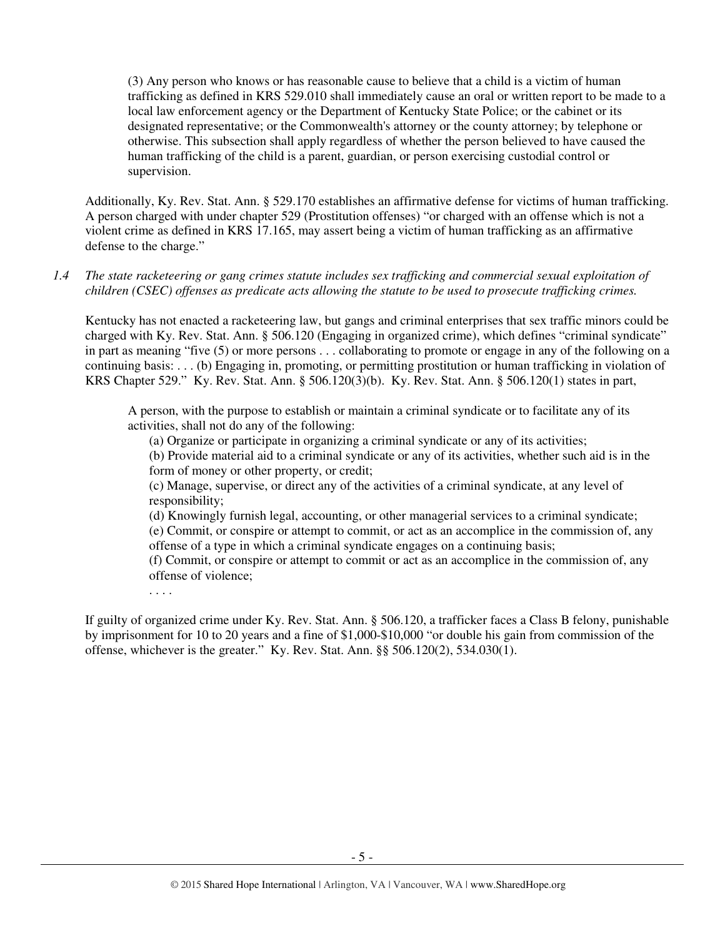(3) Any person who knows or has reasonable cause to believe that a child is a victim of human trafficking as defined in KRS 529.010 shall immediately cause an oral or written report to be made to a local law enforcement agency or the Department of Kentucky State Police; or the cabinet or its designated representative; or the Commonwealth's attorney or the county attorney; by telephone or otherwise. This subsection shall apply regardless of whether the person believed to have caused the human trafficking of the child is a parent, guardian, or person exercising custodial control or supervision.

Additionally, Ky. Rev. Stat. Ann. § 529.170 establishes an affirmative defense for victims of human trafficking. A person charged with under chapter 529 (Prostitution offenses) "or charged with an offense which is not a violent crime as defined in KRS 17.165, may assert being a victim of human trafficking as an affirmative defense to the charge."

*1.4 The state racketeering or gang crimes statute includes sex trafficking and commercial sexual exploitation of children (CSEC) offenses as predicate acts allowing the statute to be used to prosecute trafficking crimes.* 

Kentucky has not enacted a racketeering law, but gangs and criminal enterprises that sex traffic minors could be charged with Ky. Rev. Stat. Ann. § 506.120 (Engaging in organized crime), which defines "criminal syndicate" in part as meaning "five (5) or more persons . . . collaborating to promote or engage in any of the following on a continuing basis: . . . (b) Engaging in, promoting, or permitting prostitution or human trafficking in violation of KRS Chapter 529." Ky. Rev. Stat. Ann. § 506.120(3)(b). Ky. Rev. Stat. Ann. § 506.120(1) states in part,

A person, with the purpose to establish or maintain a criminal syndicate or to facilitate any of its activities, shall not do any of the following:

(a) Organize or participate in organizing a criminal syndicate or any of its activities;

(b) Provide material aid to a criminal syndicate or any of its activities, whether such aid is in the form of money or other property, or credit;

(c) Manage, supervise, or direct any of the activities of a criminal syndicate, at any level of responsibility;

(d) Knowingly furnish legal, accounting, or other managerial services to a criminal syndicate; (e) Commit, or conspire or attempt to commit, or act as an accomplice in the commission of, any offense of a type in which a criminal syndicate engages on a continuing basis;

(f) Commit, or conspire or attempt to commit or act as an accomplice in the commission of, any offense of violence;

. . . .

If guilty of organized crime under Ky. Rev. Stat. Ann. § 506.120, a trafficker faces a Class B felony, punishable by imprisonment for 10 to 20 years and a fine of \$1,000-\$10,000 "or double his gain from commission of the offense, whichever is the greater." Ky. Rev. Stat. Ann. §§ 506.120(2), 534.030(1).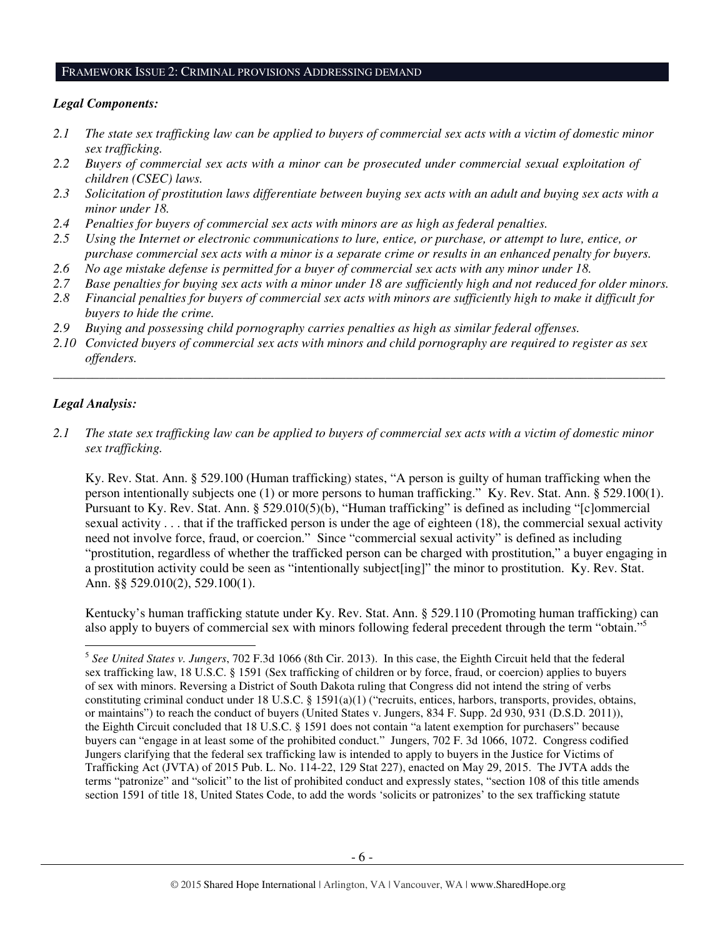#### FRAMEWORK ISSUE 2: CRIMINAL PROVISIONS ADDRESSING DEMAND

### *Legal Components:*

- *2.1 The state sex trafficking law can be applied to buyers of commercial sex acts with a victim of domestic minor sex trafficking.*
- *2.2 Buyers of commercial sex acts with a minor can be prosecuted under commercial sexual exploitation of children (CSEC) laws.*
- *2.3 Solicitation of prostitution laws differentiate between buying sex acts with an adult and buying sex acts with a minor under 18.*
- *2.4 Penalties for buyers of commercial sex acts with minors are as high as federal penalties.*
- *2.5 Using the Internet or electronic communications to lure, entice, or purchase, or attempt to lure, entice, or purchase commercial sex acts with a minor is a separate crime or results in an enhanced penalty for buyers.*
- *2.6 No age mistake defense is permitted for a buyer of commercial sex acts with any minor under 18.*
- *2.7 Base penalties for buying sex acts with a minor under 18 are sufficiently high and not reduced for older minors.*
- *2.8 Financial penalties for buyers of commercial sex acts with minors are sufficiently high to make it difficult for buyers to hide the crime.*
- *2.9 Buying and possessing child pornography carries penalties as high as similar federal offenses.*
- *2.10 Convicted buyers of commercial sex acts with minors and child pornography are required to register as sex offenders.*

\_\_\_\_\_\_\_\_\_\_\_\_\_\_\_\_\_\_\_\_\_\_\_\_\_\_\_\_\_\_\_\_\_\_\_\_\_\_\_\_\_\_\_\_\_\_\_\_\_\_\_\_\_\_\_\_\_\_\_\_\_\_\_\_\_\_\_\_\_\_\_\_\_\_\_\_\_\_\_\_\_\_\_\_\_\_\_\_\_\_\_\_\_\_

### *Legal Analysis:*

l

*2.1 The state sex trafficking law can be applied to buyers of commercial sex acts with a victim of domestic minor sex trafficking.* 

Ky. Rev. Stat. Ann. § 529.100 (Human trafficking) states, "A person is guilty of human trafficking when the person intentionally subjects one (1) or more persons to human trafficking." Ky. Rev. Stat. Ann. § 529.100(1). Pursuant to Ky. Rev. Stat. Ann. § 529.010(5)(b), "Human trafficking" is defined as including "[c]ommercial sexual activity . . . that if the trafficked person is under the age of eighteen (18), the commercial sexual activity need not involve force, fraud, or coercion." Since "commercial sexual activity" is defined as including "prostitution, regardless of whether the trafficked person can be charged with prostitution," a buyer engaging in a prostitution activity could be seen as "intentionally subject[ing]" the minor to prostitution. Ky. Rev. Stat. Ann. §§ 529.010(2), 529.100(1).

Kentucky's human trafficking statute under Ky. Rev. Stat. Ann. § 529.110 (Promoting human trafficking) can also apply to buyers of commercial sex with minors following federal precedent through the term "obtain."<sup>5</sup>

<sup>5</sup> *See United States v. Jungers*, 702 F.3d 1066 (8th Cir. 2013). In this case, the Eighth Circuit held that the federal sex trafficking law, 18 U.S.C. § 1591 (Sex trafficking of children or by force, fraud, or coercion) applies to buyers of sex with minors. Reversing a District of South Dakota ruling that Congress did not intend the string of verbs constituting criminal conduct under 18 U.S.C. § 1591(a)(1) ("recruits, entices, harbors, transports, provides, obtains, or maintains") to reach the conduct of buyers (United States v. Jungers, 834 F. Supp. 2d 930, 931 (D.S.D. 2011)), the Eighth Circuit concluded that 18 U.S.C. § 1591 does not contain "a latent exemption for purchasers" because buyers can "engage in at least some of the prohibited conduct." Jungers, 702 F. 3d 1066, 1072. Congress codified Jungers clarifying that the federal sex trafficking law is intended to apply to buyers in the Justice for Victims of Trafficking Act (JVTA) of 2015 Pub. L. No. 114-22, 129 Stat 227), enacted on May 29, 2015. The JVTA adds the terms "patronize" and "solicit" to the list of prohibited conduct and expressly states, "section 108 of this title amends section 1591 of title 18, United States Code, to add the words 'solicits or patronizes' to the sex trafficking statute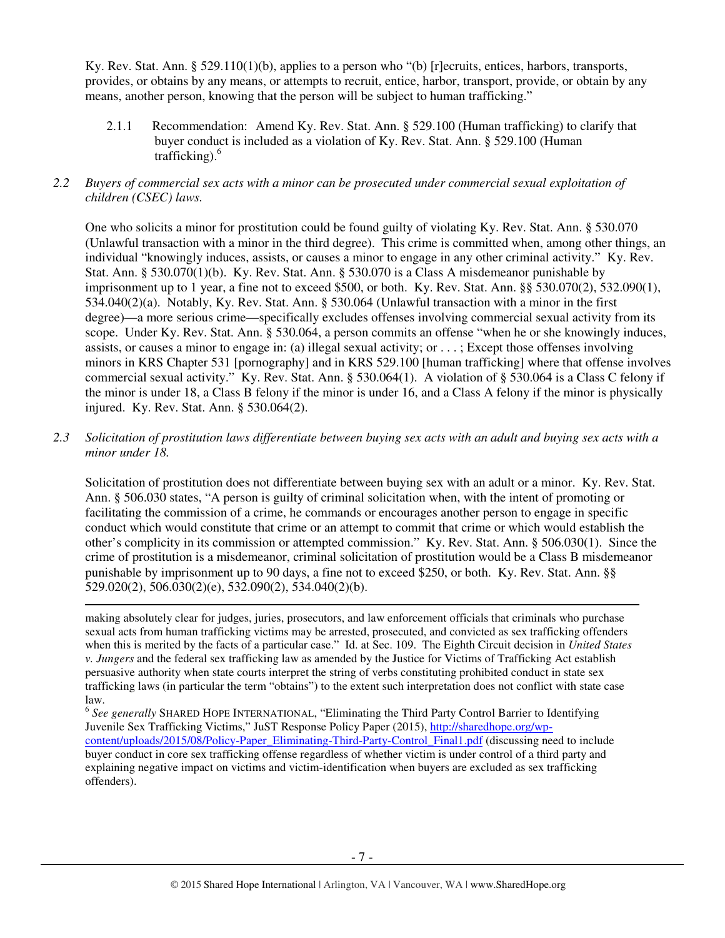Ky. Rev. Stat. Ann. § 529.110(1)(b), applies to a person who "(b) [r]ecruits, entices, harbors, transports, provides, or obtains by any means, or attempts to recruit, entice, harbor, transport, provide, or obtain by any means, another person, knowing that the person will be subject to human trafficking."

2.1.1 Recommendation: Amend Ky. Rev. Stat. Ann. § 529.100 (Human trafficking) to clarify that buyer conduct is included as a violation of Ky. Rev. Stat. Ann. § 529.100 (Human trafficking). $6$ 

### *2.2 Buyers of commercial sex acts with a minor can be prosecuted under commercial sexual exploitation of children (CSEC) laws.*

One who solicits a minor for prostitution could be found guilty of violating Ky. Rev. Stat. Ann. § 530.070 (Unlawful transaction with a minor in the third degree). This crime is committed when, among other things, an individual "knowingly induces, assists, or causes a minor to engage in any other criminal activity." Ky. Rev. Stat. Ann. § 530.070(1)(b). Ky. Rev. Stat. Ann. § 530.070 is a Class A misdemeanor punishable by imprisonment up to 1 year, a fine not to exceed \$500, or both. Ky. Rev. Stat. Ann. §§ 530.070(2), 532.090(1), 534.040(2)(a). Notably, Ky. Rev. Stat. Ann. § 530.064 (Unlawful transaction with a minor in the first degree)—a more serious crime—specifically excludes offenses involving commercial sexual activity from its scope. Under Ky. Rev. Stat. Ann. § 530.064, a person commits an offense "when he or she knowingly induces, assists, or causes a minor to engage in: (a) illegal sexual activity; or . . . ; Except those offenses involving minors in KRS Chapter 531 [pornography] and in KRS 529.100 [human trafficking] where that offense involves commercial sexual activity." Ky. Rev. Stat. Ann. § 530.064(1). A violation of § 530.064 is a Class C felony if the minor is under 18, a Class B felony if the minor is under 16, and a Class A felony if the minor is physically injured. Ky. Rev. Stat. Ann. § 530.064(2).

# *2.3 Solicitation of prostitution laws differentiate between buying sex acts with an adult and buying sex acts with a minor under 18.*

Solicitation of prostitution does not differentiate between buying sex with an adult or a minor. Ky. Rev. Stat. Ann. § 506.030 states, "A person is guilty of criminal solicitation when, with the intent of promoting or facilitating the commission of a crime, he commands or encourages another person to engage in specific conduct which would constitute that crime or an attempt to commit that crime or which would establish the other's complicity in its commission or attempted commission." Ky. Rev. Stat. Ann. § 506.030(1). Since the crime of prostitution is a misdemeanor, criminal solicitation of prostitution would be a Class B misdemeanor punishable by imprisonment up to 90 days, a fine not to exceed \$250, or both. Ky. Rev. Stat. Ann. §§ 529.020(2), 506.030(2)(e), 532.090(2), 534.040(2)(b).  $\overline{a}$ 

making absolutely clear for judges, juries, prosecutors, and law enforcement officials that criminals who purchase sexual acts from human trafficking victims may be arrested, prosecuted, and convicted as sex trafficking offenders when this is merited by the facts of a particular case." Id. at Sec. 109. The Eighth Circuit decision in *United States v. Jungers* and the federal sex trafficking law as amended by the Justice for Victims of Trafficking Act establish persuasive authority when state courts interpret the string of verbs constituting prohibited conduct in state sex trafficking laws (in particular the term "obtains") to the extent such interpretation does not conflict with state case law.

<sup>6</sup> See generally SHARED HOPE INTERNATIONAL, "Eliminating the Third Party Control Barrier to Identifying Juvenile Sex Trafficking Victims," JuST Response Policy Paper (2015), http://sharedhope.org/wpcontent/uploads/2015/08/Policy-Paper\_Eliminating-Third-Party-Control\_Final1.pdf (discussing need to include buyer conduct in core sex trafficking offense regardless of whether victim is under control of a third party and explaining negative impact on victims and victim-identification when buyers are excluded as sex trafficking offenders).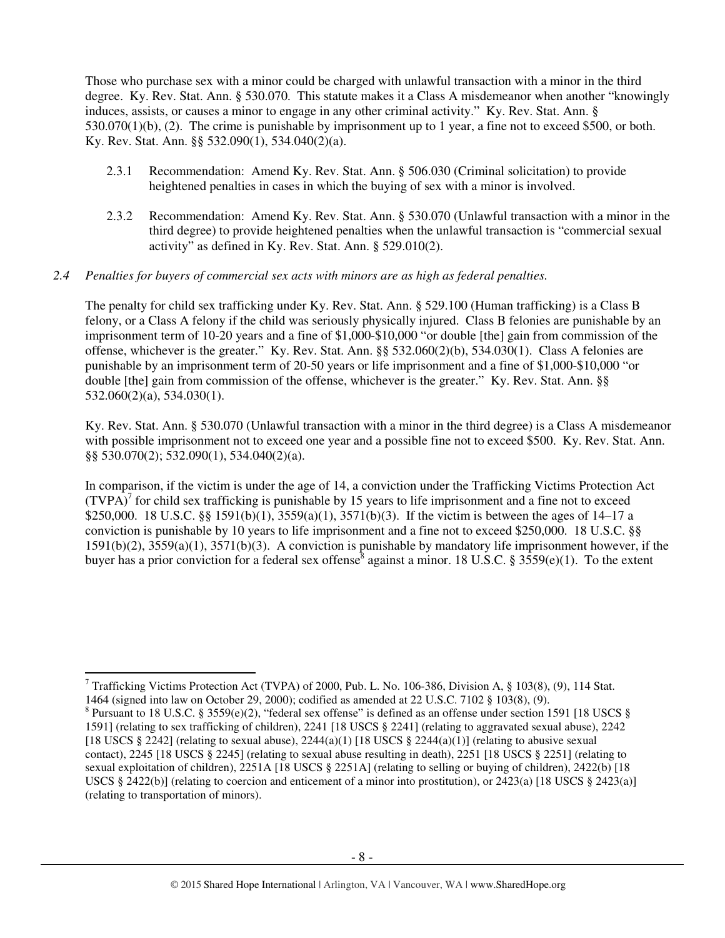Those who purchase sex with a minor could be charged with unlawful transaction with a minor in the third degree. Ky. Rev. Stat. Ann. § 530.070. This statute makes it a Class A misdemeanor when another "knowingly induces, assists, or causes a minor to engage in any other criminal activity." Ky. Rev. Stat. Ann. § 530.070(1)(b), (2). The crime is punishable by imprisonment up to 1 year, a fine not to exceed \$500, or both. Ky. Rev. Stat. Ann. §§ 532.090(1), 534.040(2)(a).

- 2.3.1 Recommendation: Amend Ky. Rev. Stat. Ann. § 506.030 (Criminal solicitation) to provide heightened penalties in cases in which the buying of sex with a minor is involved.
- 2.3.2 Recommendation: Amend Ky. Rev. Stat. Ann. § 530.070 (Unlawful transaction with a minor in the third degree) to provide heightened penalties when the unlawful transaction is "commercial sexual activity" as defined in Ky. Rev. Stat. Ann. § 529.010(2).

### *2.4 Penalties for buyers of commercial sex acts with minors are as high as federal penalties.*

The penalty for child sex trafficking under Ky. Rev. Stat. Ann. § 529.100 (Human trafficking) is a Class B felony, or a Class A felony if the child was seriously physically injured. Class B felonies are punishable by an imprisonment term of 10-20 years and a fine of \$1,000-\$10,000 "or double [the] gain from commission of the offense, whichever is the greater." Ky. Rev. Stat. Ann. §§ 532.060(2)(b), 534.030(1). Class A felonies are punishable by an imprisonment term of 20-50 years or life imprisonment and a fine of \$1,000-\$10,000 "or double [the] gain from commission of the offense, whichever is the greater." Ky. Rev. Stat. Ann. §§ 532.060(2)(a), 534.030(1).

Ky. Rev. Stat. Ann. § 530.070 (Unlawful transaction with a minor in the third degree) is a Class A misdemeanor with possible imprisonment not to exceed one year and a possible fine not to exceed \$500. Ky. Rev. Stat. Ann. §§ 530.070(2); 532.090(1), 534.040(2)(a).

In comparison, if the victim is under the age of 14, a conviction under the Trafficking Victims Protection Act  $(TVPA)^{7}$  for child sex trafficking is punishable by 15 years to life imprisonment and a fine not to exceed \$250,000. 18 U.S.C. §§ 1591(b)(1), 3559(a)(1), 3571(b)(3). If the victim is between the ages of 14–17 a conviction is punishable by 10 years to life imprisonment and a fine not to exceed \$250,000. 18 U.S.C. §§ 1591(b)(2), 3559(a)(1), 3571(b)(3). A conviction is punishable by mandatory life imprisonment however, if the buyer has a prior conviction for a federal sex offense<sup>8</sup> against a minor. 18 U.S.C. § 3559(e)(1). To the extent

 $\overline{a}$ 

<sup>&</sup>lt;sup>7</sup> Trafficking Victims Protection Act (TVPA) of 2000, Pub. L. No. 106-386, Division A, § 103(8), (9), 114 Stat.

<sup>1464 (</sup>signed into law on October 29, 2000); codified as amended at 22 U.S.C. 7102 § 103(8), (9).

<sup>&</sup>lt;sup>8</sup> Pursuant to 18 U.S.C. § 3559(e)(2), "federal sex offense" is defined as an offense under section 1591 [18 USCS § 1591] (relating to sex trafficking of children), 2241 [18 USCS § 2241] (relating to aggravated sexual abuse), 2242 [18 USCS § 2242] (relating to sexual abuse),  $2244(a)(1)$  [18 USCS § 2244(a)(1)] (relating to abusive sexual contact), 2245 [18 USCS § 2245] (relating to sexual abuse resulting in death), 2251 [18 USCS § 2251] (relating to sexual exploitation of children), 2251A [18 USCS § 2251A] (relating to selling or buying of children), 2422(b) [18 USCS § 2422(b)] (relating to coercion and enticement of a minor into prostitution), or 2423(a) [18 USCS § 2423(a)] (relating to transportation of minors).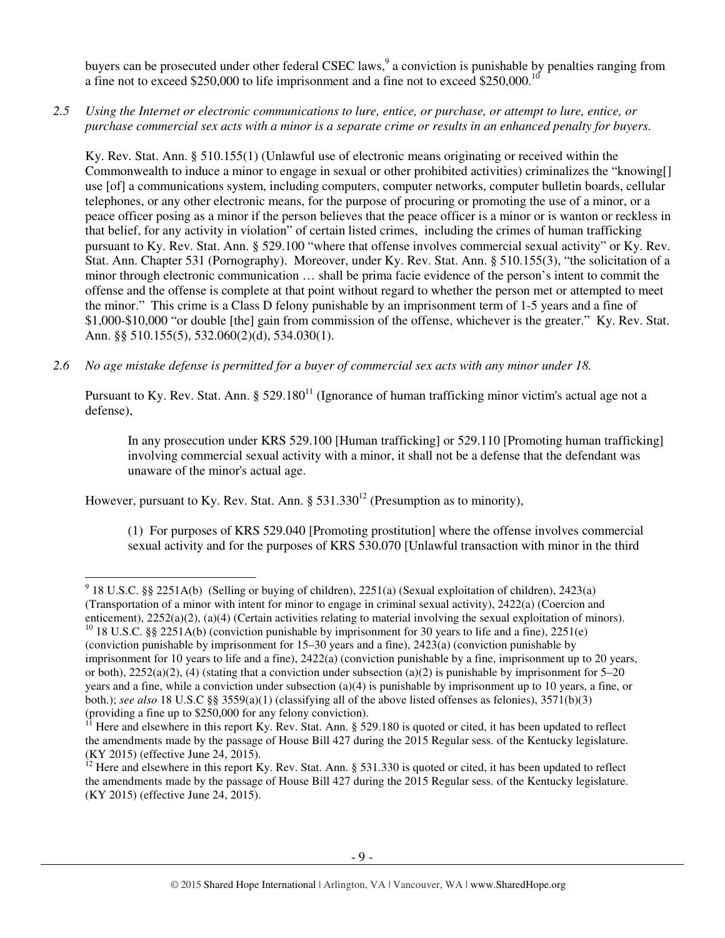buyers can be prosecuted under other federal CSEC laws,<sup>9</sup> a conviction is punishable by penalties ranging from a fine not to exceed \$250,000 to life imprisonment and a fine not to exceed \$250,000.<sup>10</sup>

*2.5 Using the Internet or electronic communications to lure, entice, or purchase, or attempt to lure, entice, or purchase commercial sex acts with a minor is a separate crime or results in an enhanced penalty for buyers.* 

Ky. Rev. Stat. Ann. § 510.155(1) (Unlawful use of electronic means originating or received within the Commonwealth to induce a minor to engage in sexual or other prohibited activities) criminalizes the "knowing[] use [of] a communications system, including computers, computer networks, computer bulletin boards, cellular telephones, or any other electronic means, for the purpose of procuring or promoting the use of a minor, or a peace officer posing as a minor if the person believes that the peace officer is a minor or is wanton or reckless in that belief, for any activity in violation" of certain listed crimes, including the crimes of human trafficking pursuant to Ky. Rev. Stat. Ann. § 529.100 "where that offense involves commercial sexual activity" or Ky. Rev. Stat. Ann. Chapter 531 (Pornography). Moreover, under Ky. Rev. Stat. Ann. § 510.155(3), "the solicitation of a minor through electronic communication … shall be prima facie evidence of the person's intent to commit the offense and the offense is complete at that point without regard to whether the person met or attempted to meet the minor." This crime is a Class D felony punishable by an imprisonment term of 1-5 years and a fine of \$1,000-\$10,000 "or double [the] gain from commission of the offense, whichever is the greater." Ky. Rev. Stat. Ann. §§ 510.155(5), 532.060(2)(d), 534.030(1).

*2.6 No age mistake defense is permitted for a buyer of commercial sex acts with any minor under 18.* 

Pursuant to Ky. Rev. Stat. Ann.  $\S 529.180<sup>11</sup>$  (Ignorance of human trafficking minor victim's actual age not a defense),

In any prosecution under KRS 529.100 [Human trafficking] or 529.110 [Promoting human trafficking] involving commercial sexual activity with a minor, it shall not be a defense that the defendant was unaware of the minor's actual age.

However, pursuant to Ky. Rev. Stat. Ann.  $\S 531.330^{12}$  (Presumption as to minority),

l

(1) For purposes of KRS 529.040 [Promoting prostitution] where the offense involves commercial sexual activity and for the purposes of KRS 530.070 [Unlawful transaction with minor in the third

<sup>&</sup>lt;sup>9</sup> 18 U.S.C. §§ 2251A(b) (Selling or buying of children), 2251(a) (Sexual exploitation of children), 2423(a) (Transportation of a minor with intent for minor to engage in criminal sexual activity), 2422(a) (Coercion and enticement), 2252(a)(2), (a)(4) (Certain activities relating to material involving the sexual exploitation of minors). <sup>10</sup> 18 U.S.C. §§ 2251A(b) (conviction punishable by imprisonment for 30 years to life and a fine), 2251(e)

<sup>(</sup>conviction punishable by imprisonment for 15–30 years and a fine), 2423(a) (conviction punishable by imprisonment for 10 years to life and a fine), 2422(a) (conviction punishable by a fine, imprisonment up to 20 years, or both),  $2252(a)(2)$ , (4) (stating that a conviction under subsection (a)(2) is punishable by imprisonment for 5–20 years and a fine, while a conviction under subsection (a)(4) is punishable by imprisonment up to 10 years, a fine, or both.); *see also* 18 U.S.C §§ 3559(a)(1) (classifying all of the above listed offenses as felonies), 3571(b)(3) (providing a fine up to \$250,000 for any felony conviction).

<sup>11</sup> Here and elsewhere in this report Ky. Rev. Stat. Ann. § 529.180 is quoted or cited, it has been updated to reflect the amendments made by the passage of House Bill 427 during the 2015 Regular sess. of the Kentucky legislature. (KY 2015) (effective June 24, 2015).

<sup>&</sup>lt;sup>12</sup> Here and elsewhere in this report Ky. Rev. Stat. Ann. § 531.330 is quoted or cited, it has been updated to reflect the amendments made by the passage of House Bill 427 during the 2015 Regular sess. of the Kentucky legislature. (KY 2015) (effective June 24, 2015).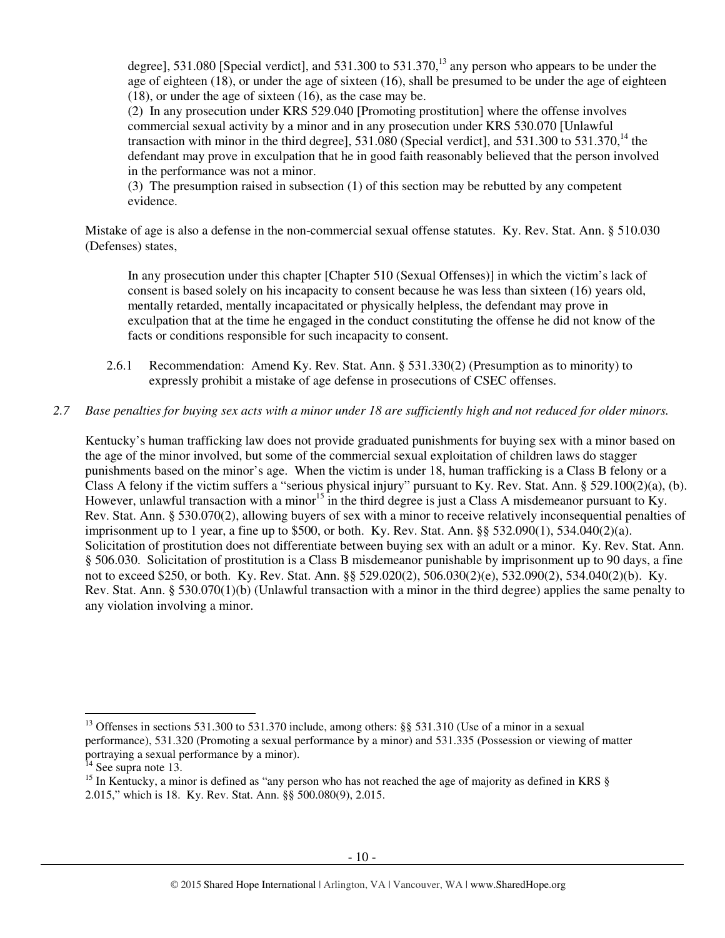degree], 531.080 [Special verdict], and 531.300 to 531.370,<sup>13</sup> any person who appears to be under the age of eighteen (18), or under the age of sixteen (16), shall be presumed to be under the age of eighteen (18), or under the age of sixteen (16), as the case may be.

(2) In any prosecution under KRS 529.040 [Promoting prostitution] where the offense involves commercial sexual activity by a minor and in any prosecution under KRS 530.070 [Unlawful transaction with minor in the third degree], 531.080 (Special verdict), and 531.300 to 531.370,<sup>14</sup> the defendant may prove in exculpation that he in good faith reasonably believed that the person involved in the performance was not a minor.

(3) The presumption raised in subsection (1) of this section may be rebutted by any competent evidence.

Mistake of age is also a defense in the non-commercial sexual offense statutes. Ky. Rev. Stat. Ann. § 510.030 (Defenses) states,

In any prosecution under this chapter [Chapter 510 (Sexual Offenses)] in which the victim's lack of consent is based solely on his incapacity to consent because he was less than sixteen (16) years old, mentally retarded, mentally incapacitated or physically helpless, the defendant may prove in exculpation that at the time he engaged in the conduct constituting the offense he did not know of the facts or conditions responsible for such incapacity to consent.

2.6.1 Recommendation: Amend Ky. Rev. Stat. Ann. § 531.330(2) (Presumption as to minority) to expressly prohibit a mistake of age defense in prosecutions of CSEC offenses.

# *2.7 Base penalties for buying sex acts with a minor under 18 are sufficiently high and not reduced for older minors.*

Kentucky's human trafficking law does not provide graduated punishments for buying sex with a minor based on the age of the minor involved, but some of the commercial sexual exploitation of children laws do stagger punishments based on the minor's age. When the victim is under 18, human trafficking is a Class B felony or a Class A felony if the victim suffers a "serious physical injury" pursuant to Ky. Rev. Stat. Ann. § 529.100(2)(a), (b). However, unlawful transaction with a minor<sup>15</sup> in the third degree is just a Class A misdemeanor pursuant to Ky. Rev. Stat. Ann. § 530.070(2), allowing buyers of sex with a minor to receive relatively inconsequential penalties of imprisonment up to 1 year, a fine up to \$500, or both. Ky. Rev. Stat. Ann. §§ 532.090(1), 534.040(2)(a). Solicitation of prostitution does not differentiate between buying sex with an adult or a minor. Ky. Rev. Stat. Ann. § 506.030. Solicitation of prostitution is a Class B misdemeanor punishable by imprisonment up to 90 days, a fine not to exceed \$250, or both. Ky. Rev. Stat. Ann. §§ 529.020(2), 506.030(2)(e), 532.090(2), 534.040(2)(b). Ky. Rev. Stat. Ann. § 530.070(1)(b) (Unlawful transaction with a minor in the third degree) applies the same penalty to any violation involving a minor.

l

<sup>&</sup>lt;sup>13</sup> Offenses in sections 531.300 to 531.370 include, among others: §§ 531.310 (Use of a minor in a sexual performance), 531.320 (Promoting a sexual performance by a minor) and 531.335 (Possession or viewing of matter portraying a sexual performance by a minor).

 $14$  See supra note 13.

<sup>&</sup>lt;sup>15</sup> In Kentucky, a minor is defined as "any person who has not reached the age of majority as defined in KRS § 2.015," which is 18. Ky. Rev. Stat. Ann. §§ 500.080(9), 2.015.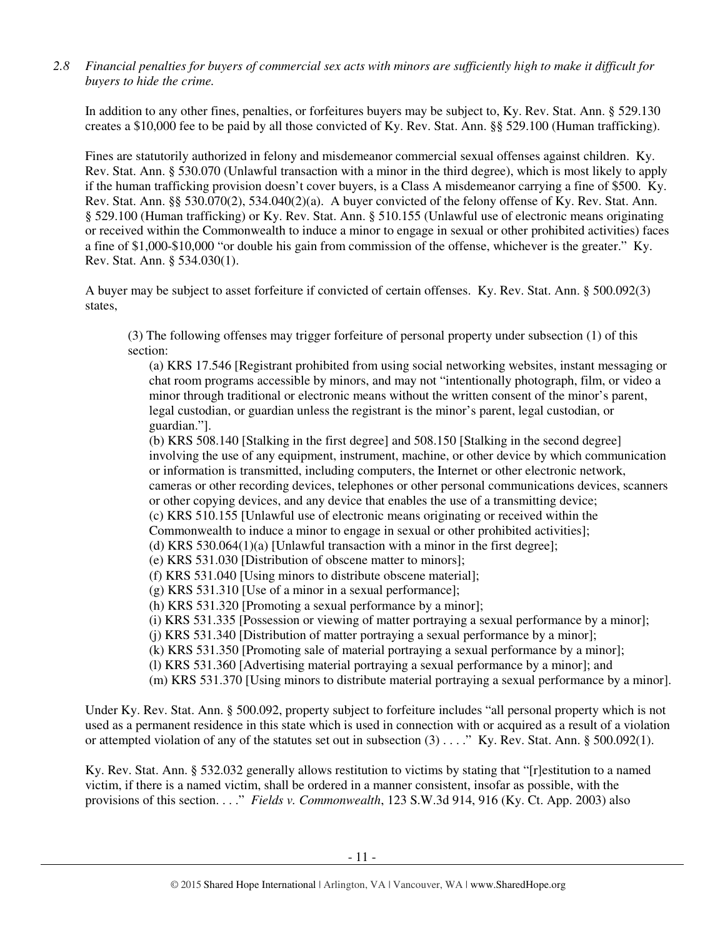*2.8 Financial penalties for buyers of commercial sex acts with minors are sufficiently high to make it difficult for buyers to hide the crime.* 

In addition to any other fines, penalties, or forfeitures buyers may be subject to, Ky. Rev. Stat. Ann. § 529.130 creates a \$10,000 fee to be paid by all those convicted of Ky. Rev. Stat. Ann. §§ 529.100 (Human trafficking).

Fines are statutorily authorized in felony and misdemeanor commercial sexual offenses against children. Ky. Rev. Stat. Ann. § 530.070 (Unlawful transaction with a minor in the third degree), which is most likely to apply if the human trafficking provision doesn't cover buyers, is a Class A misdemeanor carrying a fine of \$500. Ky. Rev. Stat. Ann. §§ 530.070(2), 534.040(2)(a). A buyer convicted of the felony offense of Ky. Rev. Stat. Ann. § 529.100 (Human trafficking) or Ky. Rev. Stat. Ann. § 510.155 (Unlawful use of electronic means originating or received within the Commonwealth to induce a minor to engage in sexual or other prohibited activities) faces a fine of \$1,000-\$10,000 "or double his gain from commission of the offense, whichever is the greater." Ky. Rev. Stat. Ann. § 534.030(1).

A buyer may be subject to asset forfeiture if convicted of certain offenses. Ky. Rev. Stat. Ann. § 500.092(3) states,

(3) The following offenses may trigger forfeiture of personal property under subsection (1) of this section:

(a) KRS 17.546 [Registrant prohibited from using social networking websites, instant messaging or chat room programs accessible by minors, and may not "intentionally photograph, film, or video a minor through traditional or electronic means without the written consent of the minor's parent, legal custodian, or guardian unless the registrant is the minor's parent, legal custodian, or guardian."].

(b) KRS 508.140 [Stalking in the first degree] and 508.150 [Stalking in the second degree] involving the use of any equipment, instrument, machine, or other device by which communication or information is transmitted, including computers, the Internet or other electronic network, cameras or other recording devices, telephones or other personal communications devices, scanners or other copying devices, and any device that enables the use of a transmitting device;

(c) KRS 510.155 [Unlawful use of electronic means originating or received within the Commonwealth to induce a minor to engage in sexual or other prohibited activities];

- (d) KRS  $530.064(1)(a)$  [Unlawful transaction with a minor in the first degree];
- (e) KRS 531.030 [Distribution of obscene matter to minors];
- (f) KRS 531.040 [Using minors to distribute obscene material];
- (g) KRS 531.310 [Use of a minor in a sexual performance];

(h) KRS 531.320 [Promoting a sexual performance by a minor];

(i) KRS 531.335 [Possession or viewing of matter portraying a sexual performance by a minor];

(j) KRS 531.340 [Distribution of matter portraying a sexual performance by a minor];

(k) KRS 531.350 [Promoting sale of material portraying a sexual performance by a minor];

(l) KRS 531.360 [Advertising material portraying a sexual performance by a minor]; and

(m) KRS 531.370 [Using minors to distribute material portraying a sexual performance by a minor].

Under Ky. Rev. Stat. Ann. § 500.092, property subject to forfeiture includes "all personal property which is not used as a permanent residence in this state which is used in connection with or acquired as a result of a violation or attempted violation of any of the statutes set out in subsection  $(3)$ ...." Ky. Rev. Stat. Ann. § 500.092(1).

Ky. Rev. Stat. Ann. § 532.032 generally allows restitution to victims by stating that "[r]estitution to a named victim, if there is a named victim, shall be ordered in a manner consistent, insofar as possible, with the provisions of this section. . . ." *Fields v. Commonwealth*, 123 S.W.3d 914, 916 (Ky. Ct. App. 2003) also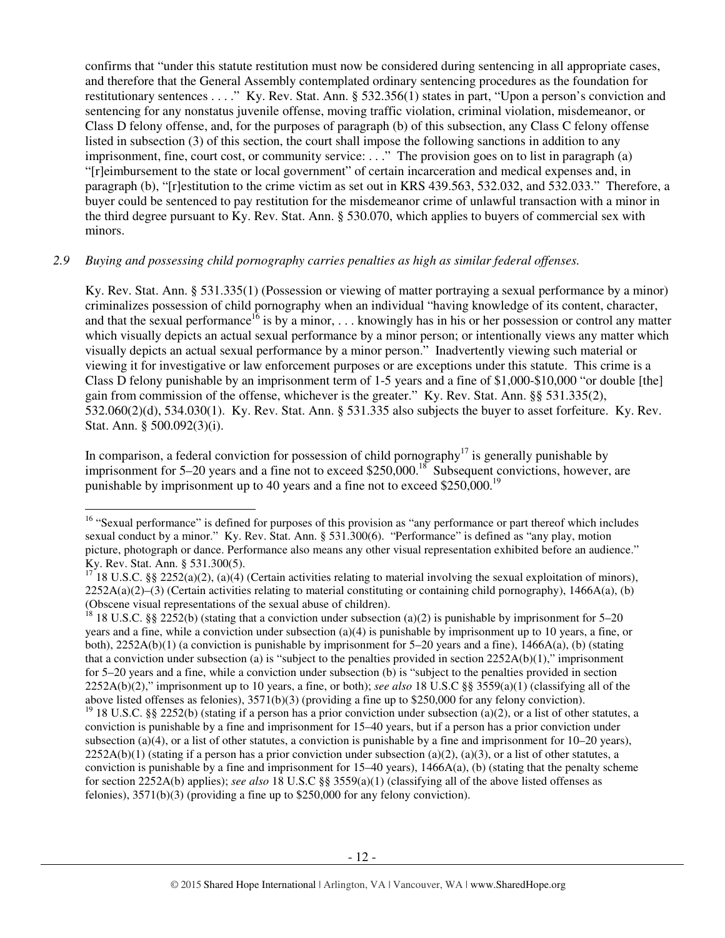confirms that "under this statute restitution must now be considered during sentencing in all appropriate cases, and therefore that the General Assembly contemplated ordinary sentencing procedures as the foundation for restitutionary sentences . . . ." Ky. Rev. Stat. Ann. § 532.356(1) states in part, "Upon a person's conviction and sentencing for any nonstatus juvenile offense, moving traffic violation, criminal violation, misdemeanor, or Class D felony offense, and, for the purposes of paragraph (b) of this subsection, any Class C felony offense listed in subsection (3) of this section, the court shall impose the following sanctions in addition to any imprisonment, fine, court cost, or community service: . . ." The provision goes on to list in paragraph (a) "[r]eimbursement to the state or local government" of certain incarceration and medical expenses and, in paragraph (b), "[r]estitution to the crime victim as set out in KRS 439.563, 532.032, and 532.033." Therefore, a buyer could be sentenced to pay restitution for the misdemeanor crime of unlawful transaction with a minor in the third degree pursuant to Ky. Rev. Stat. Ann. § 530.070, which applies to buyers of commercial sex with minors.

### *2.9 Buying and possessing child pornography carries penalties as high as similar federal offenses.*

Ky. Rev. Stat. Ann. § 531.335(1) (Possession or viewing of matter portraying a sexual performance by a minor) criminalizes possession of child pornography when an individual "having knowledge of its content, character, and that the sexual performance<sup>16</sup> is by a minor, ... knowingly has in his or her possession or control any matter which visually depicts an actual sexual performance by a minor person; or intentionally views any matter which visually depicts an actual sexual performance by a minor person." Inadvertently viewing such material or viewing it for investigative or law enforcement purposes or are exceptions under this statute. This crime is a Class D felony punishable by an imprisonment term of 1-5 years and a fine of \$1,000-\$10,000 "or double [the] gain from commission of the offense, whichever is the greater." Ky. Rev. Stat. Ann. §§ 531.335(2), 532.060(2)(d), 534.030(1). Ky. Rev. Stat. Ann. § 531.335 also subjects the buyer to asset forfeiture. Ky. Rev. Stat. Ann. § 500.092(3)(i).

In comparison, a federal conviction for possession of child pornography<sup>17</sup> is generally punishable by imprisonment for 5–20 years and a fine not to exceed \$250,000.<sup>18</sup> Subsequent convictions, however, are punishable by imprisonment up to 40 years and a fine not to exceed  $$250,000.<sup>19</sup>$ 

l

<sup>18</sup> 18 U.S.C. §§ 2252(b) (stating that a conviction under subsection (a)(2) is punishable by imprisonment for 5–20 years and a fine, while a conviction under subsection (a)(4) is punishable by imprisonment up to 10 years, a fine, or both), 2252A(b)(1) (a conviction is punishable by imprisonment for 5–20 years and a fine), 1466A(a), (b) (stating that a conviction under subsection (a) is "subject to the penalties provided in section  $2252A(b)(1)$ ," imprisonment for 5–20 years and a fine, while a conviction under subsection (b) is "subject to the penalties provided in section 2252A(b)(2)," imprisonment up to 10 years, a fine, or both); *see also* 18 U.S.C §§ 3559(a)(1) (classifying all of the above listed offenses as felonies), 3571(b)(3) (providing a fine up to \$250,000 for any felony conviction). <sup>19</sup> 18 U.S.C. §§ 2252(b) (stating if a person has a prior conviction under subsection (a)(2), or a list of other statutes, a conviction is punishable by a fine and imprisonment for 15–40 years, but if a person has a prior conviction under subsection (a)(4), or a list of other statutes, a conviction is punishable by a fine and imprisonment for  $10-20$  years),  $2252A(b)(1)$  (stating if a person has a prior conviction under subsection (a)(2), (a)(3), or a list of other statutes, a conviction is punishable by a fine and imprisonment for  $15-40$  years),  $1466A(a)$ , (b) (stating that the penalty scheme

for section 2252A(b) applies); *see also* 18 U.S.C §§ 3559(a)(1) (classifying all of the above listed offenses as felonies), 3571(b)(3) (providing a fine up to \$250,000 for any felony conviction).

<sup>&</sup>lt;sup>16</sup> "Sexual performance" is defined for purposes of this provision as "any performance or part thereof which includes sexual conduct by a minor." Ky. Rev. Stat. Ann. § 531.300(6). "Performance" is defined as "any play, motion picture, photograph or dance. Performance also means any other visual representation exhibited before an audience." Ky. Rev. Stat. Ann. § 531.300(5).

<sup>&</sup>lt;sup>17</sup> 18 U.S.C. §§ 2252(a)(2), (a)(4) (Certain activities relating to material involving the sexual exploitation of minors),  $2252A(a)(2)$ –(3) (Certain activities relating to material constituting or containing child pornography), 1466A(a), (b) (Obscene visual representations of the sexual abuse of children).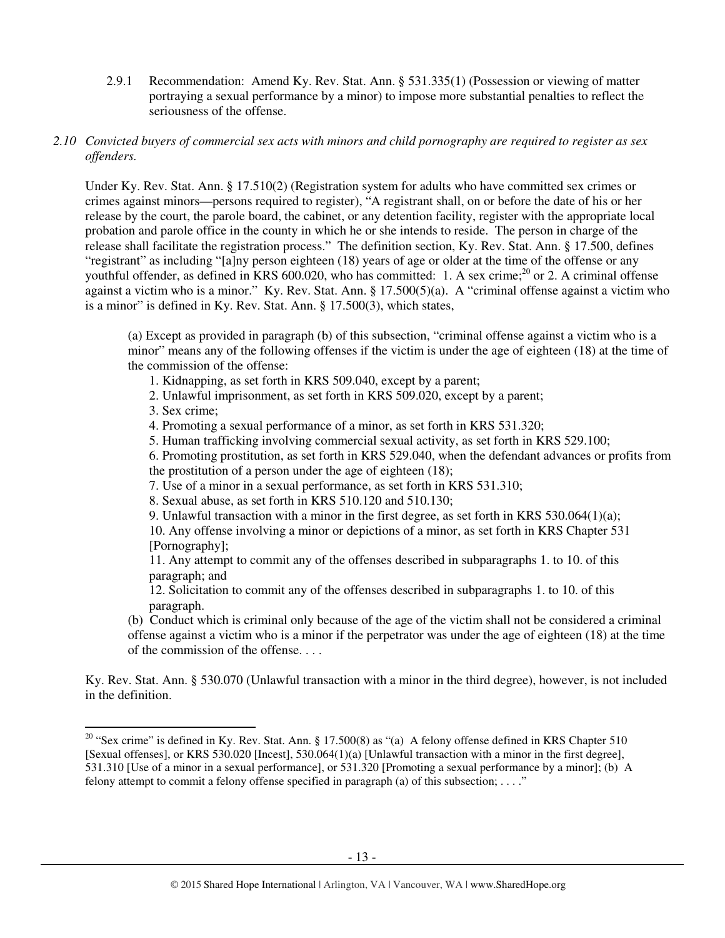2.9.1 Recommendation: Amend Ky. Rev. Stat. Ann. § 531.335(1) (Possession or viewing of matter portraying a sexual performance by a minor) to impose more substantial penalties to reflect the seriousness of the offense.

### *2.10 Convicted buyers of commercial sex acts with minors and child pornography are required to register as sex offenders.*

Under Ky. Rev. Stat. Ann. § 17.510(2) (Registration system for adults who have committed sex crimes or crimes against minors—persons required to register), "A registrant shall, on or before the date of his or her release by the court, the parole board, the cabinet, or any detention facility, register with the appropriate local probation and parole office in the county in which he or she intends to reside. The person in charge of the release shall facilitate the registration process." The definition section, Ky. Rev. Stat. Ann. § 17.500, defines "registrant" as including "[a]ny person eighteen (18) years of age or older at the time of the offense or any youthful offender, as defined in KRS 600.020, who has committed: 1. A sex crime;<sup>20</sup> or 2. A criminal offense against a victim who is a minor." Ky. Rev. Stat. Ann. § 17.500(5)(a). A "criminal offense against a victim who is a minor" is defined in Ky. Rev. Stat. Ann. § 17.500(3), which states,

(a) Except as provided in paragraph (b) of this subsection, "criminal offense against a victim who is a minor" means any of the following offenses if the victim is under the age of eighteen (18) at the time of the commission of the offense:

- 1. Kidnapping, as set forth in KRS 509.040, except by a parent;
- 2. Unlawful imprisonment, as set forth in KRS 509.020, except by a parent;
- 3. Sex crime;

 $\overline{a}$ 

- 4. Promoting a sexual performance of a minor, as set forth in KRS 531.320;
- 5. Human trafficking involving commercial sexual activity, as set forth in KRS 529.100;

6. Promoting prostitution, as set forth in KRS 529.040, when the defendant advances or profits from the prostitution of a person under the age of eighteen (18);

- 7. Use of a minor in a sexual performance, as set forth in KRS 531.310;
- 8. Sexual abuse, as set forth in KRS 510.120 and 510.130;
- 9. Unlawful transaction with a minor in the first degree, as set forth in KRS  $530.064(1)(a)$ ;

10. Any offense involving a minor or depictions of a minor, as set forth in KRS Chapter 531 [Pornography];

11. Any attempt to commit any of the offenses described in subparagraphs 1. to 10. of this paragraph; and

12. Solicitation to commit any of the offenses described in subparagraphs 1. to 10. of this paragraph.

(b) Conduct which is criminal only because of the age of the victim shall not be considered a criminal offense against a victim who is a minor if the perpetrator was under the age of eighteen (18) at the time of the commission of the offense. . . .

Ky. Rev. Stat. Ann. § 530.070 (Unlawful transaction with a minor in the third degree), however, is not included in the definition.

<sup>&</sup>lt;sup>20</sup> "Sex crime" is defined in Ky. Rev. Stat. Ann. § 17.500(8) as "(a) A felony offense defined in KRS Chapter 510 [Sexual offenses], or KRS 530.020 [Incest], 530.064(1)(a) [Unlawful transaction with a minor in the first degree], 531.310 [Use of a minor in a sexual performance], or 531.320 [Promoting a sexual performance by a minor]; (b) A felony attempt to commit a felony offense specified in paragraph (a) of this subsection; . . . ."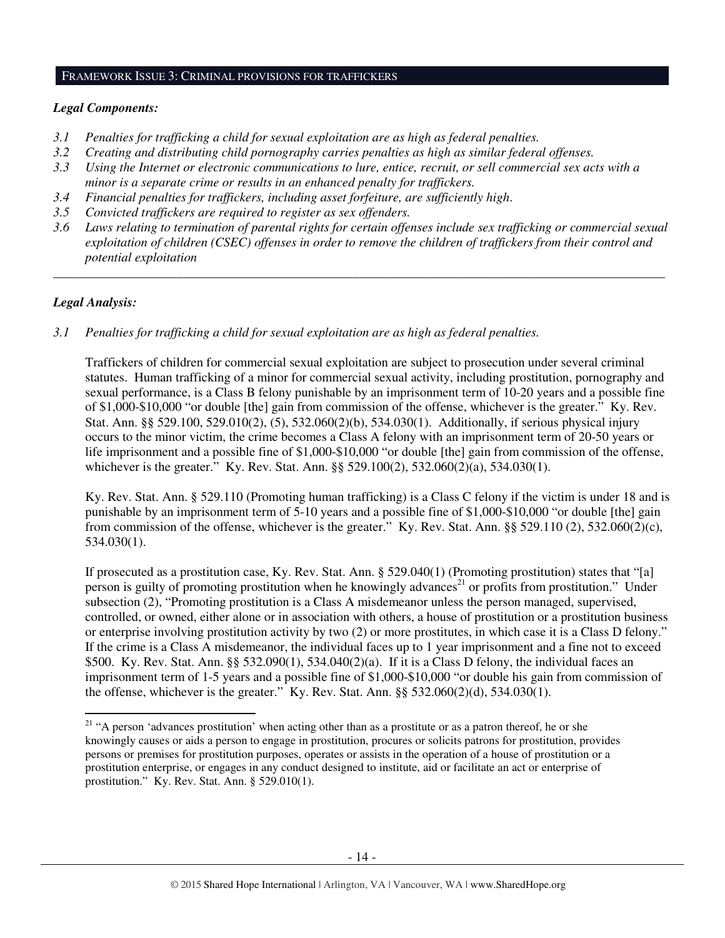#### FRAMEWORK ISSUE 3: CRIMINAL PROVISIONS FOR TRAFFICKERS

### *Legal Components:*

- *3.1 Penalties for trafficking a child for sexual exploitation are as high as federal penalties.*
- *3.2 Creating and distributing child pornography carries penalties as high as similar federal offenses.*
- *3.3 Using the Internet or electronic communications to lure, entice, recruit, or sell commercial sex acts with a minor is a separate crime or results in an enhanced penalty for traffickers.*
- *3.4 Financial penalties for traffickers, including asset forfeiture, are sufficiently high*.
- *3.5 Convicted traffickers are required to register as sex offenders.*
- *3.6 Laws relating to termination of parental rights for certain offenses include sex trafficking or commercial sexual exploitation of children (CSEC) offenses in order to remove the children of traffickers from their control and potential exploitation*

*\_\_\_\_\_\_\_\_\_\_\_\_\_\_\_\_\_\_\_\_\_\_\_\_\_\_\_\_\_\_\_\_\_\_\_\_\_\_\_\_\_\_\_\_\_\_\_\_\_\_\_\_\_\_\_\_\_\_\_\_\_\_\_\_\_\_\_\_\_\_\_\_\_\_\_\_\_\_\_\_\_\_\_\_\_\_\_\_\_\_\_\_\_\_* 

# *Legal Analysis:*

 $\overline{a}$ 

*3.1 Penalties for trafficking a child for sexual exploitation are as high as federal penalties.* 

Traffickers of children for commercial sexual exploitation are subject to prosecution under several criminal statutes. Human trafficking of a minor for commercial sexual activity, including prostitution, pornography and sexual performance, is a Class B felony punishable by an imprisonment term of 10-20 years and a possible fine of \$1,000-\$10,000 "or double [the] gain from commission of the offense, whichever is the greater." Ky. Rev. Stat. Ann. §§ 529.100, 529.010(2), (5), 532.060(2)(b), 534.030(1). Additionally, if serious physical injury occurs to the minor victim, the crime becomes a Class A felony with an imprisonment term of 20-50 years or life imprisonment and a possible fine of \$1,000-\$10,000 "or double [the] gain from commission of the offense, whichever is the greater." Ky. Rev. Stat. Ann. §§ 529.100(2), 532.060(2)(a), 534.030(1).

Ky. Rev. Stat. Ann. § 529.110 (Promoting human trafficking) is a Class C felony if the victim is under 18 and is punishable by an imprisonment term of 5-10 years and a possible fine of \$1,000-\$10,000 "or double [the] gain from commission of the offense, whichever is the greater." Ky. Rev. Stat. Ann. §§ 529.110 (2), 532.060(2)(c), 534.030(1).

If prosecuted as a prostitution case, Ky. Rev. Stat. Ann. § 529.040(1) (Promoting prostitution) states that "[a] person is guilty of promoting prostitution when he knowingly advances<sup>21</sup> or profits from prostitution." Under subsection (2), "Promoting prostitution is a Class A misdemeanor unless the person managed, supervised, controlled, or owned, either alone or in association with others, a house of prostitution or a prostitution business or enterprise involving prostitution activity by two (2) or more prostitutes, in which case it is a Class D felony." If the crime is a Class A misdemeanor, the individual faces up to 1 year imprisonment and a fine not to exceed \$500. Ky. Rev. Stat. Ann. §§ 532.090(1), 534.040(2)(a). If it is a Class D felony, the individual faces an imprisonment term of 1-5 years and a possible fine of \$1,000-\$10,000 "or double his gain from commission of the offense, whichever is the greater." Ky. Rev. Stat. Ann.  $\S$ § 532.060(2)(d), 534.030(1).

<sup>&</sup>lt;sup>21</sup> "A person 'advances prostitution' when acting other than as a prostitute or as a patron thereof, he or she knowingly causes or aids a person to engage in prostitution, procures or solicits patrons for prostitution, provides persons or premises for prostitution purposes, operates or assists in the operation of a house of prostitution or a prostitution enterprise, or engages in any conduct designed to institute, aid or facilitate an act or enterprise of prostitution." Ky. Rev. Stat. Ann. § 529.010(1).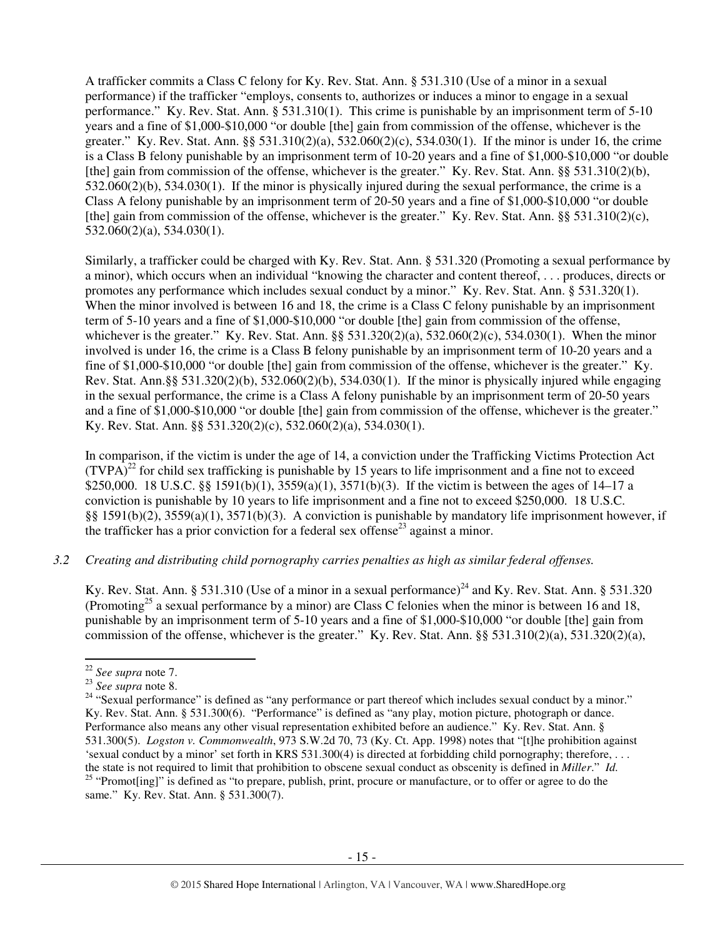A trafficker commits a Class C felony for Ky. Rev. Stat. Ann. § 531.310 (Use of a minor in a sexual performance) if the trafficker "employs, consents to, authorizes or induces a minor to engage in a sexual performance." Ky. Rev. Stat. Ann. § 531.310(1). This crime is punishable by an imprisonment term of 5-10 years and a fine of \$1,000-\$10,000 "or double [the] gain from commission of the offense, whichever is the greater." Ky. Rev. Stat. Ann. §§ 531.310(2)(a), 532.060(2)(c), 534.030(1). If the minor is under 16, the crime is a Class B felony punishable by an imprisonment term of 10-20 years and a fine of \$1,000-\$10,000 "or double [the] gain from commission of the offense, whichever is the greater." Ky. Rev. Stat. Ann. §§ 531.310(2)(b), 532.060(2)(b), 534.030(1). If the minor is physically injured during the sexual performance, the crime is a Class A felony punishable by an imprisonment term of 20-50 years and a fine of \$1,000-\$10,000 "or double [the] gain from commission of the offense, whichever is the greater." Ky. Rev. Stat. Ann. §§ 531.310(2)(c), 532.060(2)(a), 534.030(1).

Similarly, a trafficker could be charged with Ky. Rev. Stat. Ann. § 531.320 (Promoting a sexual performance by a minor), which occurs when an individual "knowing the character and content thereof, . . . produces, directs or promotes any performance which includes sexual conduct by a minor." Ky. Rev. Stat. Ann. § 531.320(1). When the minor involved is between 16 and 18, the crime is a Class C felony punishable by an imprisonment term of 5-10 years and a fine of \$1,000-\$10,000 "or double [the] gain from commission of the offense, whichever is the greater." Ky. Rev. Stat. Ann. §§ 531.320(2)(a), 532.060(2)(c), 534.030(1). When the minor involved is under 16, the crime is a Class B felony punishable by an imprisonment term of 10-20 years and a fine of \$1,000-\$10,000 "or double [the] gain from commission of the offense, whichever is the greater." Ky. Rev. Stat. Ann.§§ 531.320(2)(b), 532.060(2)(b), 534.030(1). If the minor is physically injured while engaging in the sexual performance, the crime is a Class A felony punishable by an imprisonment term of 20-50 years and a fine of \$1,000-\$10,000 "or double [the] gain from commission of the offense, whichever is the greater." Ky. Rev. Stat. Ann. §§ 531.320(2)(c), 532.060(2)(a), 534.030(1).

In comparison, if the victim is under the age of 14, a conviction under the Trafficking Victims Protection Act  $(TVPA)<sup>22</sup>$  for child sex trafficking is punishable by 15 years to life imprisonment and a fine not to exceed \$250,000. 18 U.S.C. §§ 1591(b)(1), 3559(a)(1), 3571(b)(3). If the victim is between the ages of 14–17 a conviction is punishable by 10 years to life imprisonment and a fine not to exceed \$250,000. 18 U.S.C. §§ 1591(b)(2), 3559(a)(1), 3571(b)(3). A conviction is punishable by mandatory life imprisonment however, if the trafficker has a prior conviction for a federal sex offense<sup>23</sup> against a minor.

### *3.2 Creating and distributing child pornography carries penalties as high as similar federal offenses.*

Ky. Rev. Stat. Ann. § 531.310 (Use of a minor in a sexual performance)<sup>24</sup> and Ky. Rev. Stat. Ann. § 531.320 (Promoting<sup>25</sup> a sexual performance by a minor) are Class C felonies when the minor is between 16 and 18, punishable by an imprisonment term of 5-10 years and a fine of \$1,000-\$10,000 "or double [the] gain from commission of the offense, whichever is the greater." Ky. Rev. Stat. Ann.  $\S$ § 531.310(2)(a), 531.320(2)(a),

 $\overline{a}$ 

<sup>22</sup> *See supra* note 7.

<sup>23</sup> *See supra* note 8.

<sup>&</sup>lt;sup>24</sup> "Sexual performance" is defined as "any performance or part thereof which includes sexual conduct by a minor." Ky. Rev. Stat. Ann. § 531.300(6). "Performance" is defined as "any play, motion picture, photograph or dance. Performance also means any other visual representation exhibited before an audience." Ky. Rev. Stat. Ann. § 531.300(5). *Logston v. Commonwealth*, 973 S.W.2d 70, 73 (Ky. Ct. App. 1998) notes that "[t]he prohibition against 'sexual conduct by a minor' set forth in KRS 531.300(4) is directed at forbidding child pornography; therefore, . . . the state is not required to limit that prohibition to obscene sexual conduct as obscenity is defined in *Miller*." *Id.* <sup>25</sup> "Promot[ing]" is defined as "to prepare, publish, print, procure or manufacture, or to offer or agree to do the same." Ky. Rev. Stat. Ann. § 531.300(7).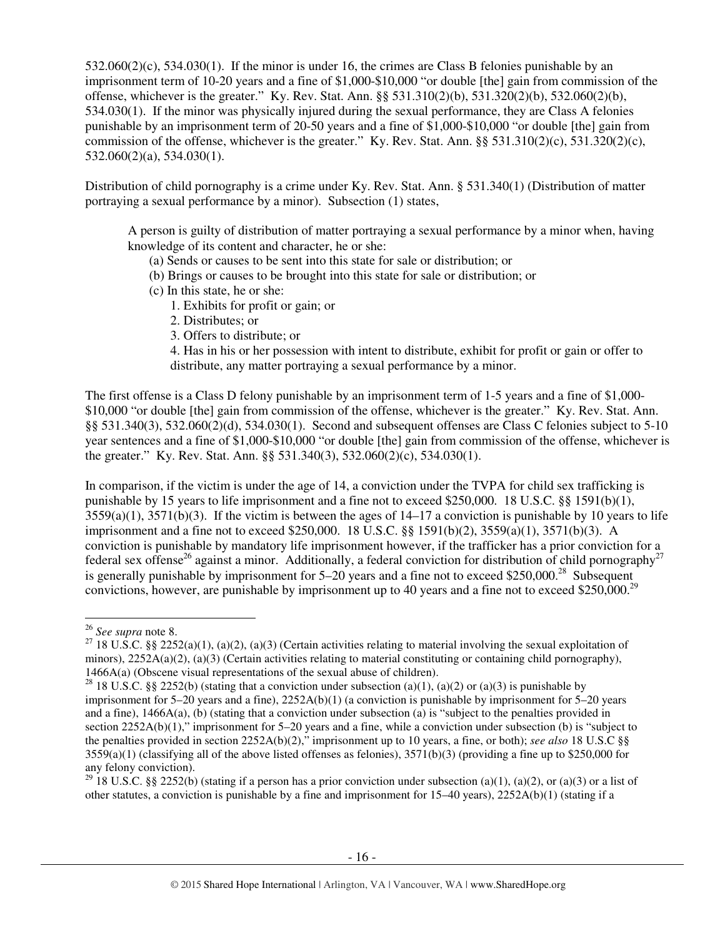532.060(2)(c), 534.030(1). If the minor is under 16, the crimes are Class B felonies punishable by an imprisonment term of 10-20 years and a fine of \$1,000-\$10,000 "or double [the] gain from commission of the offense, whichever is the greater." Ky. Rev. Stat. Ann. §§ 531.310(2)(b), 531.320(2)(b), 532.060(2)(b), 534.030(1). If the minor was physically injured during the sexual performance, they are Class A felonies punishable by an imprisonment term of 20-50 years and a fine of \$1,000-\$10,000 "or double [the] gain from commission of the offense, whichever is the greater." Ky. Rev. Stat. Ann.  $\S$ § 531.310(2)(c), 531.320(2)(c), 532.060(2)(a), 534.030(1).

Distribution of child pornography is a crime under Ky. Rev. Stat. Ann. § 531.340(1) (Distribution of matter portraying a sexual performance by a minor). Subsection (1) states,

A person is guilty of distribution of matter portraying a sexual performance by a minor when, having knowledge of its content and character, he or she:

- (a) Sends or causes to be sent into this state for sale or distribution; or
- (b) Brings or causes to be brought into this state for sale or distribution; or
- (c) In this state, he or she:
	- 1. Exhibits for profit or gain; or
	- 2. Distributes; or
	- 3. Offers to distribute; or

4. Has in his or her possession with intent to distribute, exhibit for profit or gain or offer to distribute, any matter portraying a sexual performance by a minor.

The first offense is a Class D felony punishable by an imprisonment term of 1-5 years and a fine of \$1,000- \$10,000 "or double [the] gain from commission of the offense, whichever is the greater." Ky. Rev. Stat. Ann. §§ 531.340(3), 532.060(2)(d), 534.030(1). Second and subsequent offenses are Class C felonies subject to 5-10 year sentences and a fine of \$1,000-\$10,000 "or double [the] gain from commission of the offense, whichever is the greater." Ky. Rev. Stat. Ann. §§ 531.340(3), 532.060(2)(c), 534.030(1).

In comparison, if the victim is under the age of 14, a conviction under the TVPA for child sex trafficking is punishable by 15 years to life imprisonment and a fine not to exceed \$250,000. 18 U.S.C. §§ 1591(b)(1),  $3559(a)(1)$ ,  $3571(b)(3)$ . If the victim is between the ages of  $14-17$  a conviction is punishable by 10 years to life imprisonment and a fine not to exceed \$250,000. 18 U.S.C. §§ 1591(b)(2), 3559(a)(1), 3571(b)(3). A conviction is punishable by mandatory life imprisonment however, if the trafficker has a prior conviction for a federal sex offense<sup>26</sup> against a minor. Additionally, a federal conviction for distribution of child pornography<sup>27</sup> is generally punishable by imprisonment for  $5-20$  years and a fine not to exceed \$250,000.<sup>28</sup> Subsequent convictions, however, are punishable by imprisonment up to 40 years and a fine not to exceed \$250,000.<sup>29</sup>

l

<sup>26</sup> *See supra* note 8.

<sup>&</sup>lt;sup>27</sup> 18 U.S.C. §§ 2252(a)(1), (a)(2), (a)(3) (Certain activities relating to material involving the sexual exploitation of minors),  $2252A(a)(2)$ , (a)(3) (Certain activities relating to material constituting or containing child pornography), 1466A(a) (Obscene visual representations of the sexual abuse of children).

<sup>&</sup>lt;sup>28</sup> 18 U.S.C. §§ 2252(b) (stating that a conviction under subsection (a)(1), (a)(2) or (a)(3) is punishable by imprisonment for  $5-20$  years and a fine),  $2252A(b)(1)$  (a conviction is punishable by imprisonment for  $5-20$  years and a fine), 1466A(a), (b) (stating that a conviction under subsection (a) is "subject to the penalties provided in section 2252A(b)(1)," imprisonment for 5–20 years and a fine, while a conviction under subsection (b) is "subject to the penalties provided in section 2252A(b)(2)," imprisonment up to 10 years, a fine, or both); *see also* 18 U.S.C §§  $3559(a)(1)$  (classifying all of the above listed offenses as felonies),  $3571(b)(3)$  (providing a fine up to \$250,000 for any felony conviction).

<sup>&</sup>lt;sup>29</sup> 18 U.S.C. §§ 2252(b) (stating if a person has a prior conviction under subsection (a)(1), (a)(2), or (a)(3) or a list of other statutes, a conviction is punishable by a fine and imprisonment for 15–40 years), 2252A(b)(1) (stating if a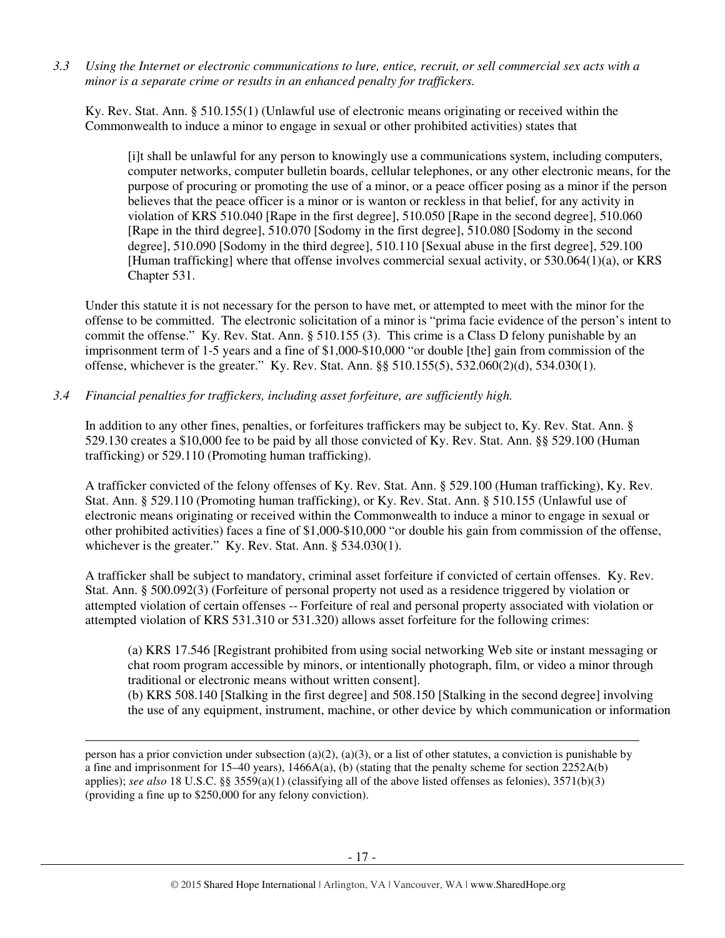*3.3 Using the Internet or electronic communications to lure, entice, recruit, or sell commercial sex acts with a minor is a separate crime or results in an enhanced penalty for traffickers.* 

Ky. Rev. Stat. Ann. § 510.155(1) (Unlawful use of electronic means originating or received within the Commonwealth to induce a minor to engage in sexual or other prohibited activities) states that

[i]t shall be unlawful for any person to knowingly use a communications system, including computers, computer networks, computer bulletin boards, cellular telephones, or any other electronic means, for the purpose of procuring or promoting the use of a minor, or a peace officer posing as a minor if the person believes that the peace officer is a minor or is wanton or reckless in that belief, for any activity in violation of KRS 510.040 [Rape in the first degree], 510.050 [Rape in the second degree], 510.060 [Rape in the third degree], 510.070 [Sodomy in the first degree], 510.080 [Sodomy in the second degree], 510.090 [Sodomy in the third degree], 510.110 [Sexual abuse in the first degree], 529.100 [Human trafficking] where that offense involves commercial sexual activity, or 530.064(1)(a), or KRS Chapter 531.

Under this statute it is not necessary for the person to have met, or attempted to meet with the minor for the offense to be committed. The electronic solicitation of a minor is "prima facie evidence of the person's intent to commit the offense." Ky. Rev. Stat. Ann. § 510.155 (3). This crime is a Class D felony punishable by an imprisonment term of 1-5 years and a fine of \$1,000-\$10,000 "or double [the] gain from commission of the offense, whichever is the greater." Ky. Rev. Stat. Ann. §§ 510.155(5), 532.060(2)(d), 534.030(1).

*3.4 Financial penalties for traffickers, including asset forfeiture, are sufficiently high.*

 $\overline{a}$ 

In addition to any other fines, penalties, or forfeitures traffickers may be subject to, Ky. Rev. Stat. Ann. § 529.130 creates a \$10,000 fee to be paid by all those convicted of Ky. Rev. Stat. Ann. §§ 529.100 (Human trafficking) or 529.110 (Promoting human trafficking).

A trafficker convicted of the felony offenses of Ky. Rev. Stat. Ann. § 529.100 (Human trafficking), Ky. Rev. Stat. Ann. § 529.110 (Promoting human trafficking), or Ky. Rev. Stat. Ann. § 510.155 (Unlawful use of electronic means originating or received within the Commonwealth to induce a minor to engage in sexual or other prohibited activities) faces a fine of \$1,000-\$10,000 "or double his gain from commission of the offense, whichever is the greater." Ky. Rev. Stat. Ann. § 534.030(1).

A trafficker shall be subject to mandatory, criminal asset forfeiture if convicted of certain offenses. Ky. Rev. Stat. Ann. § 500.092(3) (Forfeiture of personal property not used as a residence triggered by violation or attempted violation of certain offenses -- Forfeiture of real and personal property associated with violation or attempted violation of KRS 531.310 or 531.320) allows asset forfeiture for the following crimes:

(a) KRS 17.546 [Registrant prohibited from using social networking Web site or instant messaging or chat room program accessible by minors, or intentionally photograph, film, or video a minor through traditional or electronic means without written consent].

(b) KRS 508.140 [Stalking in the first degree] and 508.150 [Stalking in the second degree] involving the use of any equipment, instrument, machine, or other device by which communication or information

person has a prior conviction under subsection (a)(2), (a)(3), or a list of other statutes, a conviction is punishable by a fine and imprisonment for  $15-40$  years),  $1466A(a)$ , (b) (stating that the penalty scheme for section  $2252A(b)$ applies); *see also* 18 U.S.C. §§ 3559(a)(1) (classifying all of the above listed offenses as felonies), 3571(b)(3) (providing a fine up to \$250,000 for any felony conviction).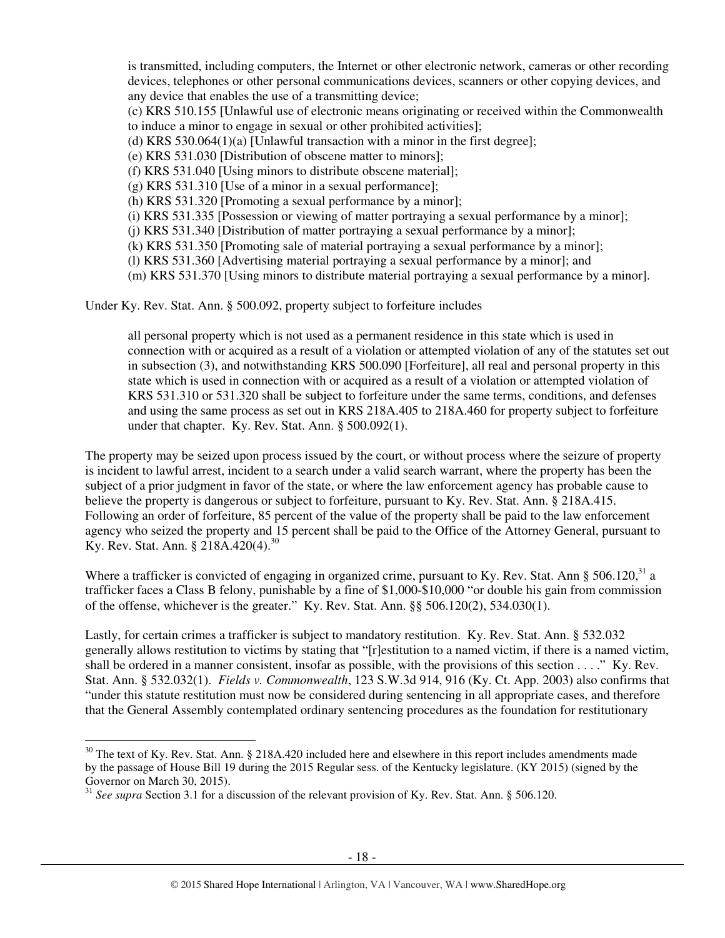is transmitted, including computers, the Internet or other electronic network, cameras or other recording devices, telephones or other personal communications devices, scanners or other copying devices, and any device that enables the use of a transmitting device;

(c) KRS 510.155 [Unlawful use of electronic means originating or received within the Commonwealth to induce a minor to engage in sexual or other prohibited activities];

(d) KRS 530.064(1)(a) [Unlawful transaction with a minor in the first degree];

(e) KRS 531.030 [Distribution of obscene matter to minors];

(f) KRS 531.040 [Using minors to distribute obscene material];

(g) KRS 531.310 [Use of a minor in a sexual performance];

(h) KRS 531.320 [Promoting a sexual performance by a minor];

(i) KRS 531.335 [Possession or viewing of matter portraying a sexual performance by a minor];

(j) KRS 531.340 [Distribution of matter portraying a sexual performance by a minor];

(k) KRS 531.350 [Promoting sale of material portraying a sexual performance by a minor];

(l) KRS 531.360 [Advertising material portraying a sexual performance by a minor]; and

(m) KRS 531.370 [Using minors to distribute material portraying a sexual performance by a minor].

Under Ky. Rev. Stat. Ann. § 500.092, property subject to forfeiture includes

all personal property which is not used as a permanent residence in this state which is used in connection with or acquired as a result of a violation or attempted violation of any of the statutes set out in subsection (3), and notwithstanding KRS 500.090 [Forfeiture], all real and personal property in this state which is used in connection with or acquired as a result of a violation or attempted violation of KRS 531.310 or 531.320 shall be subject to forfeiture under the same terms, conditions, and defenses and using the same process as set out in KRS 218A.405 to 218A.460 for property subject to forfeiture under that chapter. Ky. Rev. Stat. Ann. § 500.092(1).

The property may be seized upon process issued by the court, or without process where the seizure of property is incident to lawful arrest, incident to a search under a valid search warrant, where the property has been the subject of a prior judgment in favor of the state, or where the law enforcement agency has probable cause to believe the property is dangerous or subject to forfeiture, pursuant to Ky. Rev. Stat. Ann. § 218A.415. Following an order of forfeiture, 85 percent of the value of the property shall be paid to the law enforcement agency who seized the property and 15 percent shall be paid to the Office of the Attorney General, pursuant to Ky. Rev. Stat. Ann. § 218A.420(4).<sup>30</sup>

Where a trafficker is convicted of engaging in organized crime, pursuant to Ky. Rev. Stat. Ann  $\S 506.120$ ,  $31a$ trafficker faces a Class B felony, punishable by a fine of \$1,000-\$10,000 "or double his gain from commission of the offense, whichever is the greater." Ky. Rev. Stat. Ann. §§ 506.120(2), 534.030(1).

Lastly, for certain crimes a trafficker is subject to mandatory restitution. Ky. Rev. Stat. Ann. § 532.032 generally allows restitution to victims by stating that "[r]estitution to a named victim, if there is a named victim, shall be ordered in a manner consistent, insofar as possible, with the provisions of this section . . . ." Ky. Rev. Stat. Ann. § 532.032(1). *Fields v. Commonwealth*, 123 S.W.3d 914, 916 (Ky. Ct. App. 2003) also confirms that "under this statute restitution must now be considered during sentencing in all appropriate cases, and therefore that the General Assembly contemplated ordinary sentencing procedures as the foundation for restitutionary

 $\overline{a}$ 

 $30$  The text of Ky. Rev. Stat. Ann. § 218A.420 included here and elsewhere in this report includes amendments made by the passage of House Bill 19 during the 2015 Regular sess. of the Kentucky legislature. (KY 2015) (signed by the Governor on March 30, 2015).

<sup>31</sup> *See supra* Section 3.1 for a discussion of the relevant provision of Ky. Rev. Stat. Ann. § 506.120.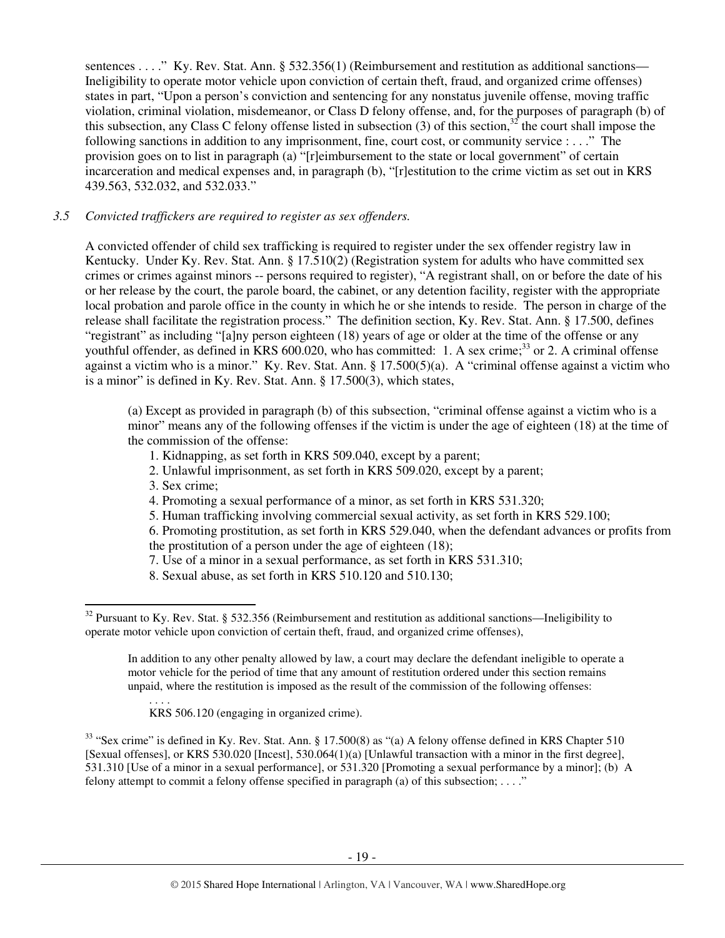sentences . . . ." Ky. Rev. Stat. Ann. § 532.356(1) (Reimbursement and restitution as additional sanctions— Ineligibility to operate motor vehicle upon conviction of certain theft, fraud, and organized crime offenses) states in part, "Upon a person's conviction and sentencing for any nonstatus juvenile offense, moving traffic violation, criminal violation, misdemeanor, or Class D felony offense, and, for the purposes of paragraph (b) of this subsection, any Class C felony offense listed in subsection  $(3)$  of this section,<sup>32</sup> the court shall impose the following sanctions in addition to any imprisonment, fine, court cost, or community service : . . ." The provision goes on to list in paragraph (a) "[r]eimbursement to the state or local government" of certain incarceration and medical expenses and, in paragraph (b), "[r]estitution to the crime victim as set out in KRS 439.563, 532.032, and 532.033."

# *3.5 Convicted traffickers are required to register as sex offenders.*

A convicted offender of child sex trafficking is required to register under the sex offender registry law in Kentucky. Under Ky. Rev. Stat. Ann. § 17.510(2) (Registration system for adults who have committed sex crimes or crimes against minors -- persons required to register), "A registrant shall, on or before the date of his or her release by the court, the parole board, the cabinet, or any detention facility, register with the appropriate local probation and parole office in the county in which he or she intends to reside. The person in charge of the release shall facilitate the registration process." The definition section, Ky. Rev. Stat. Ann. § 17.500, defines "registrant" as including "[a]ny person eighteen (18) years of age or older at the time of the offense or any youthful offender, as defined in KRS 600.020, who has committed: 1. A sex crime;<sup>33</sup> or 2. A criminal offense against a victim who is a minor." Ky. Rev. Stat. Ann. § 17.500(5)(a). A "criminal offense against a victim who is a minor" is defined in Ky. Rev. Stat. Ann. § 17.500(3), which states,

(a) Except as provided in paragraph (b) of this subsection, "criminal offense against a victim who is a minor" means any of the following offenses if the victim is under the age of eighteen (18) at the time of the commission of the offense:

- 1. Kidnapping, as set forth in KRS 509.040, except by a parent;
- 2. Unlawful imprisonment, as set forth in KRS 509.020, except by a parent;
- 3. Sex crime;

l

- 4. Promoting a sexual performance of a minor, as set forth in KRS 531.320;
- 5. Human trafficking involving commercial sexual activity, as set forth in KRS 529.100;
- 6. Promoting prostitution, as set forth in KRS 529.040, when the defendant advances or profits from the prostitution of a person under the age of eighteen (18);
- 7. Use of a minor in a sexual performance, as set forth in KRS 531.310;
- 8. Sexual abuse, as set forth in KRS 510.120 and 510.130;

. . . . KRS 506.120 (engaging in organized crime).

 $33$  "Sex crime" is defined in Ky. Rev. Stat. Ann. § 17.500(8) as "(a) A felony offense defined in KRS Chapter 510 [Sexual offenses], or KRS 530.020 [Incest], 530.064(1)(a) [Unlawful transaction with a minor in the first degree], 531.310 [Use of a minor in a sexual performance], or 531.320 [Promoting a sexual performance by a minor]; (b) A felony attempt to commit a felony offense specified in paragraph (a) of this subsection; . . . ."

 $32$  Pursuant to Ky. Rev. Stat. § 532.356 (Reimbursement and restitution as additional sanctions—Ineligibility to operate motor vehicle upon conviction of certain theft, fraud, and organized crime offenses),

In addition to any other penalty allowed by law, a court may declare the defendant ineligible to operate a motor vehicle for the period of time that any amount of restitution ordered under this section remains unpaid, where the restitution is imposed as the result of the commission of the following offenses: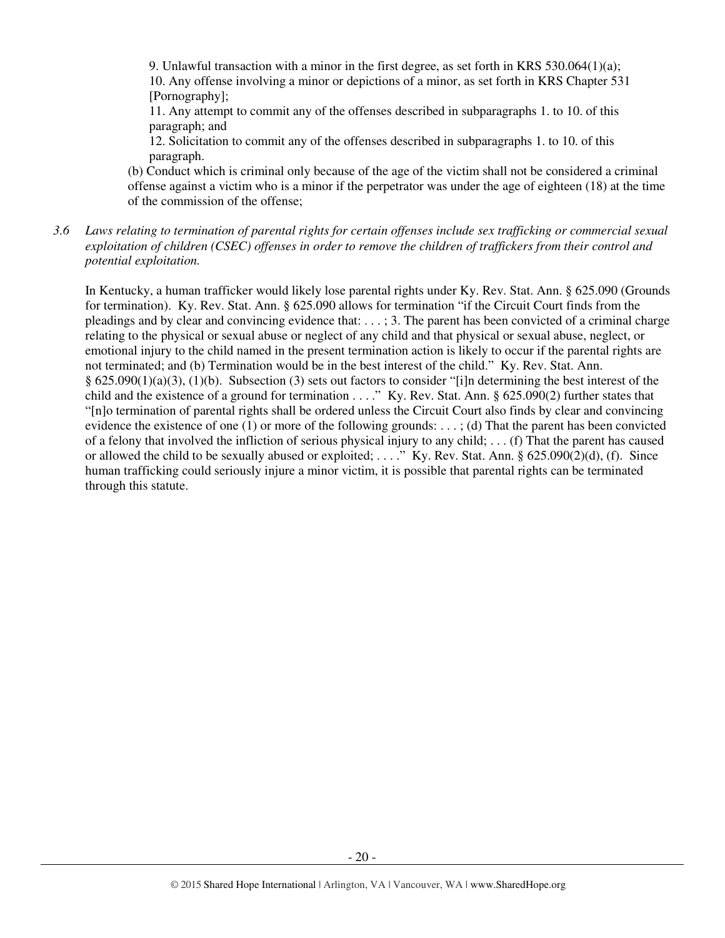9. Unlawful transaction with a minor in the first degree, as set forth in KRS  $530.064(1)(a)$ ; 10. Any offense involving a minor or depictions of a minor, as set forth in KRS Chapter 531 [Pornography];

11. Any attempt to commit any of the offenses described in subparagraphs 1. to 10. of this paragraph; and

12. Solicitation to commit any of the offenses described in subparagraphs 1. to 10. of this paragraph.

(b) Conduct which is criminal only because of the age of the victim shall not be considered a criminal offense against a victim who is a minor if the perpetrator was under the age of eighteen (18) at the time of the commission of the offense;

*3.6 Laws relating to termination of parental rights for certain offenses include sex trafficking or commercial sexual exploitation of children (CSEC) offenses in order to remove the children of traffickers from their control and potential exploitation.* 

In Kentucky, a human trafficker would likely lose parental rights under Ky. Rev. Stat. Ann. § 625.090 (Grounds for termination). Ky. Rev. Stat. Ann. § 625.090 allows for termination "if the Circuit Court finds from the pleadings and by clear and convincing evidence that: . . . ; 3. The parent has been convicted of a criminal charge relating to the physical or sexual abuse or neglect of any child and that physical or sexual abuse, neglect, or emotional injury to the child named in the present termination action is likely to occur if the parental rights are not terminated; and (b) Termination would be in the best interest of the child." Ky. Rev. Stat. Ann. § 625.090(1)(a)(3), (1)(b). Subsection (3) sets out factors to consider "[i]n determining the best interest of the child and the existence of a ground for termination . . . ." Ky. Rev. Stat. Ann. § 625.090(2) further states that "[n]o termination of parental rights shall be ordered unless the Circuit Court also finds by clear and convincing evidence the existence of one (1) or more of the following grounds: . . . ; (d) That the parent has been convicted of a felony that involved the infliction of serious physical injury to any child;  $\dots$  (f) That the parent has caused or allowed the child to be sexually abused or exploited; . . . ." Ky. Rev. Stat. Ann. § 625.090(2)(d), (f). Since human trafficking could seriously injure a minor victim, it is possible that parental rights can be terminated through this statute.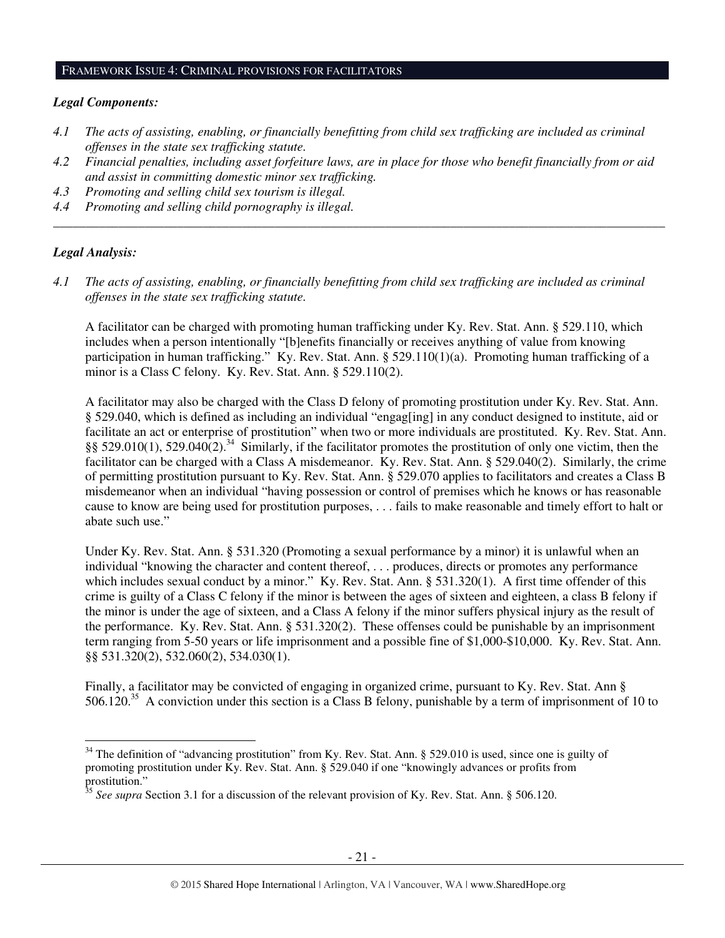#### FRAMEWORK ISSUE 4: CRIMINAL PROVISIONS FOR FACILITATORS

#### *Legal Components:*

- *4.1 The acts of assisting, enabling, or financially benefitting from child sex trafficking are included as criminal offenses in the state sex trafficking statute.*
- *4.2 Financial penalties, including asset forfeiture laws, are in place for those who benefit financially from or aid and assist in committing domestic minor sex trafficking.*

*\_\_\_\_\_\_\_\_\_\_\_\_\_\_\_\_\_\_\_\_\_\_\_\_\_\_\_\_\_\_\_\_\_\_\_\_\_\_\_\_\_\_\_\_\_\_\_\_\_\_\_\_\_\_\_\_\_\_\_\_\_\_\_\_\_\_\_\_\_\_\_\_\_\_\_\_\_\_\_\_\_\_\_\_\_\_\_\_\_\_\_\_\_\_* 

- *4.3 Promoting and selling child sex tourism is illegal.*
- *4.4 Promoting and selling child pornography is illegal.*

### *Legal Analysis:*

l

*4.1 The acts of assisting, enabling, or financially benefitting from child sex trafficking are included as criminal offenses in the state sex trafficking statute.*

A facilitator can be charged with promoting human trafficking under Ky. Rev. Stat. Ann. § 529.110, which includes when a person intentionally "[b]enefits financially or receives anything of value from knowing participation in human trafficking." Ky. Rev. Stat. Ann. § 529.110(1)(a). Promoting human trafficking of a minor is a Class C felony. Ky. Rev. Stat. Ann. § 529.110(2).

A facilitator may also be charged with the Class D felony of promoting prostitution under Ky. Rev. Stat. Ann. § 529.040, which is defined as including an individual "engag[ing] in any conduct designed to institute, aid or facilitate an act or enterprise of prostitution" when two or more individuals are prostituted. Ky. Rev. Stat. Ann. §§ 529.010(1), 529.040(2).<sup>34</sup> Similarly, if the facilitator promotes the prostitution of only one victim, then the facilitator can be charged with a Class A misdemeanor. Ky. Rev. Stat. Ann. § 529.040(2). Similarly, the crime of permitting prostitution pursuant to Ky. Rev. Stat. Ann. § 529.070 applies to facilitators and creates a Class B misdemeanor when an individual "having possession or control of premises which he knows or has reasonable cause to know are being used for prostitution purposes, . . . fails to make reasonable and timely effort to halt or abate such use."

Under Ky. Rev. Stat. Ann. § 531.320 (Promoting a sexual performance by a minor) it is unlawful when an individual "knowing the character and content thereof, . . . produces, directs or promotes any performance which includes sexual conduct by a minor." Ky. Rev. Stat. Ann. § 531.320(1). A first time offender of this crime is guilty of a Class C felony if the minor is between the ages of sixteen and eighteen, a class B felony if the minor is under the age of sixteen, and a Class A felony if the minor suffers physical injury as the result of the performance. Ky. Rev. Stat. Ann. § 531.320(2). These offenses could be punishable by an imprisonment term ranging from 5-50 years or life imprisonment and a possible fine of \$1,000-\$10,000. Ky. Rev. Stat. Ann. §§ 531.320(2), 532.060(2), 534.030(1).

Finally, a facilitator may be convicted of engaging in organized crime, pursuant to Ky. Rev. Stat. Ann § 506.120.<sup>35</sup> A conviction under this section is a Class B felony, punishable by a term of imprisonment of 10 to

 $34$  The definition of "advancing prostitution" from Ky. Rev. Stat. Ann. § 529.010 is used, since one is guilty of promoting prostitution under Ky. Rev. Stat. Ann. § 529.040 if one "knowingly advances or profits from prostitution."

<sup>35</sup> *See supra* Section 3.1 for a discussion of the relevant provision of Ky. Rev. Stat. Ann. § 506.120.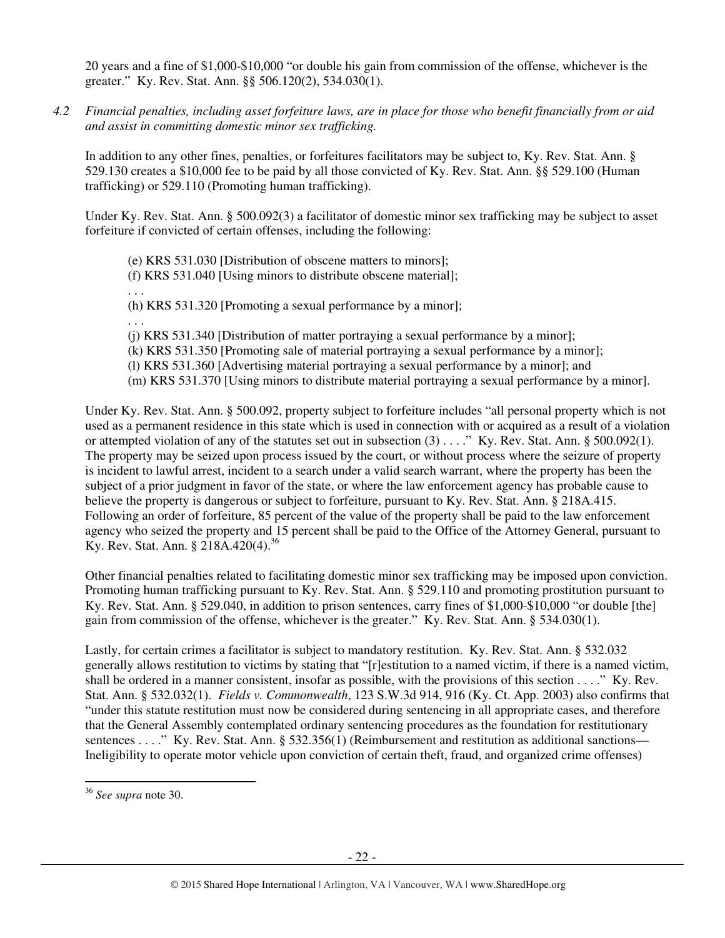20 years and a fine of \$1,000-\$10,000 "or double his gain from commission of the offense, whichever is the greater." Ky. Rev. Stat. Ann. §§ 506.120(2), 534.030(1).

*4.2 Financial penalties, including asset forfeiture laws, are in place for those who benefit financially from or aid and assist in committing domestic minor sex trafficking.* 

In addition to any other fines, penalties, or forfeitures facilitators may be subject to, Ky. Rev. Stat. Ann. § 529.130 creates a \$10,000 fee to be paid by all those convicted of Ky. Rev. Stat. Ann. §§ 529.100 (Human trafficking) or 529.110 (Promoting human trafficking).

Under Ky. Rev. Stat. Ann. § 500.092(3) a facilitator of domestic minor sex trafficking may be subject to asset forfeiture if convicted of certain offenses, including the following:

(e) KRS 531.030 [Distribution of obscene matters to minors]; (f) KRS 531.040 [Using minors to distribute obscene material]; . . . (h) KRS 531.320 [Promoting a sexual performance by a minor]; . . . (j) KRS 531.340 [Distribution of matter portraying a sexual performance by a minor]; (k) KRS 531.350 [Promoting sale of material portraying a sexual performance by a minor]; (l) KRS 531.360 [Advertising material portraying a sexual performance by a minor]; and (m) KRS 531.370 [Using minors to distribute material portraying a sexual performance by a minor].

Under Ky. Rev. Stat. Ann. § 500.092, property subject to forfeiture includes "all personal property which is not used as a permanent residence in this state which is used in connection with or acquired as a result of a violation or attempted violation of any of the statutes set out in subsection (3) . . . ." Ky. Rev. Stat. Ann. § 500.092(1). The property may be seized upon process issued by the court, or without process where the seizure of property is incident to lawful arrest, incident to a search under a valid search warrant, where the property has been the subject of a prior judgment in favor of the state, or where the law enforcement agency has probable cause to believe the property is dangerous or subject to forfeiture, pursuant to Ky. Rev. Stat. Ann. § 218A.415. Following an order of forfeiture, 85 percent of the value of the property shall be paid to the law enforcement agency who seized the property and 15 percent shall be paid to the Office of the Attorney General, pursuant to Ky. Rev. Stat. Ann. § 218A.420(4).<sup>36</sup>

Other financial penalties related to facilitating domestic minor sex trafficking may be imposed upon conviction. Promoting human trafficking pursuant to Ky. Rev. Stat. Ann. § 529.110 and promoting prostitution pursuant to Ky. Rev. Stat. Ann. § 529.040, in addition to prison sentences, carry fines of \$1,000-\$10,000 "or double [the] gain from commission of the offense, whichever is the greater." Ky. Rev. Stat. Ann. § 534.030(1).

Lastly, for certain crimes a facilitator is subject to mandatory restitution. Ky. Rev. Stat. Ann. § 532.032 generally allows restitution to victims by stating that "[r]estitution to a named victim, if there is a named victim, shall be ordered in a manner consistent, insofar as possible, with the provisions of this section . . . ." Ky. Rev. Stat. Ann. § 532.032(1). *Fields v. Commonwealth*, 123 S.W.3d 914, 916 (Ky. Ct. App. 2003) also confirms that "under this statute restitution must now be considered during sentencing in all appropriate cases, and therefore that the General Assembly contemplated ordinary sentencing procedures as the foundation for restitutionary sentences . . . ." Ky. Rev. Stat. Ann. § 532.356(1) (Reimbursement and restitution as additional sanctions— Ineligibility to operate motor vehicle upon conviction of certain theft, fraud, and organized crime offenses)

 $\overline{a}$ 

<sup>36</sup> *See supra* note 30.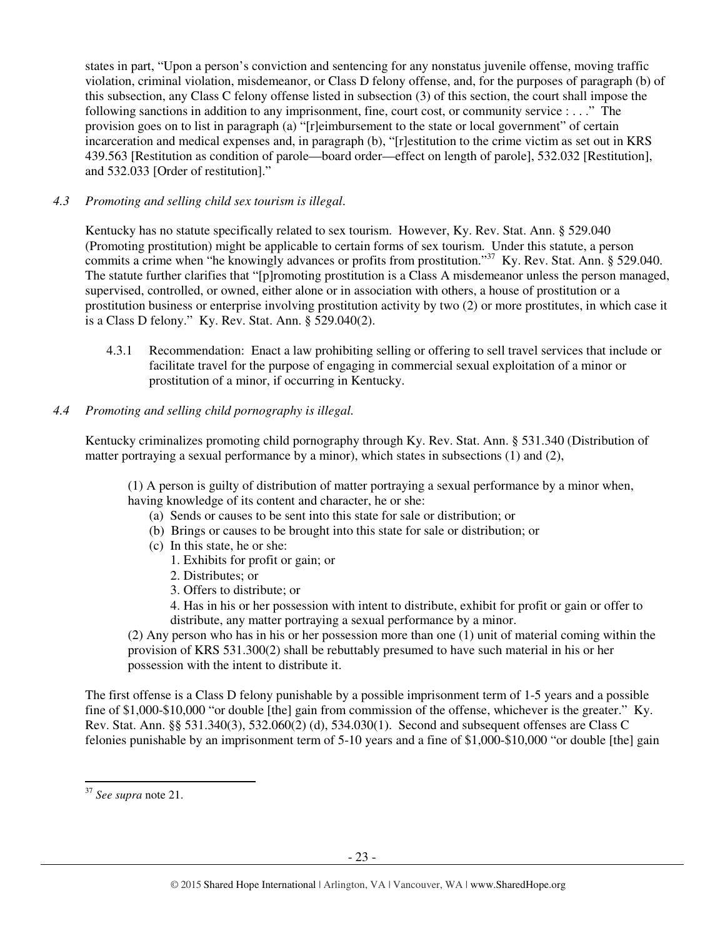states in part, "Upon a person's conviction and sentencing for any nonstatus juvenile offense, moving traffic violation, criminal violation, misdemeanor, or Class D felony offense, and, for the purposes of paragraph (b) of this subsection, any Class C felony offense listed in subsection (3) of this section, the court shall impose the following sanctions in addition to any imprisonment, fine, court cost, or community service : . . ." The provision goes on to list in paragraph (a) "[r]eimbursement to the state or local government" of certain incarceration and medical expenses and, in paragraph (b), "[r]estitution to the crime victim as set out in KRS 439.563 [Restitution as condition of parole—board order—effect on length of parole], 532.032 [Restitution], and 532.033 [Order of restitution]."

# *4.3 Promoting and selling child sex tourism is illegal*.

Kentucky has no statute specifically related to sex tourism. However, Ky. Rev. Stat. Ann. § 529.040 (Promoting prostitution) might be applicable to certain forms of sex tourism. Under this statute, a person commits a crime when "he knowingly advances or profits from prostitution."<sup>37</sup> Ky. Rev. Stat. Ann. § 529.040. The statute further clarifies that "[p]romoting prostitution is a Class A misdemeanor unless the person managed, supervised, controlled, or owned, either alone or in association with others, a house of prostitution or a prostitution business or enterprise involving prostitution activity by two (2) or more prostitutes, in which case it is a Class D felony." Ky. Rev. Stat. Ann. § 529.040(2).

4.3.1 Recommendation: Enact a law prohibiting selling or offering to sell travel services that include or facilitate travel for the purpose of engaging in commercial sexual exploitation of a minor or prostitution of a minor, if occurring in Kentucky.

# *4.4 Promoting and selling child pornography is illegal.*

Kentucky criminalizes promoting child pornography through Ky. Rev. Stat. Ann. § 531.340 (Distribution of matter portraying a sexual performance by a minor), which states in subsections (1) and (2),

(1) A person is guilty of distribution of matter portraying a sexual performance by a minor when, having knowledge of its content and character, he or she:

- (a) Sends or causes to be sent into this state for sale or distribution; or
- (b) Brings or causes to be brought into this state for sale or distribution; or
- (c) In this state, he or she:
	- 1. Exhibits for profit or gain; or
	- 2. Distributes; or
	- 3. Offers to distribute; or

4. Has in his or her possession with intent to distribute, exhibit for profit or gain or offer to distribute, any matter portraying a sexual performance by a minor.

(2) Any person who has in his or her possession more than one (1) unit of material coming within the provision of KRS 531.300(2) shall be rebuttably presumed to have such material in his or her possession with the intent to distribute it.

The first offense is a Class D felony punishable by a possible imprisonment term of 1-5 years and a possible fine of \$1,000-\$10,000 "or double [the] gain from commission of the offense, whichever is the greater." Ky. Rev. Stat. Ann. §§ 531.340(3), 532.060(2) (d), 534.030(1). Second and subsequent offenses are Class C felonies punishable by an imprisonment term of 5-10 years and a fine of \$1,000-\$10,000 "or double [the] gain

l

<sup>37</sup> *See supra* note 21.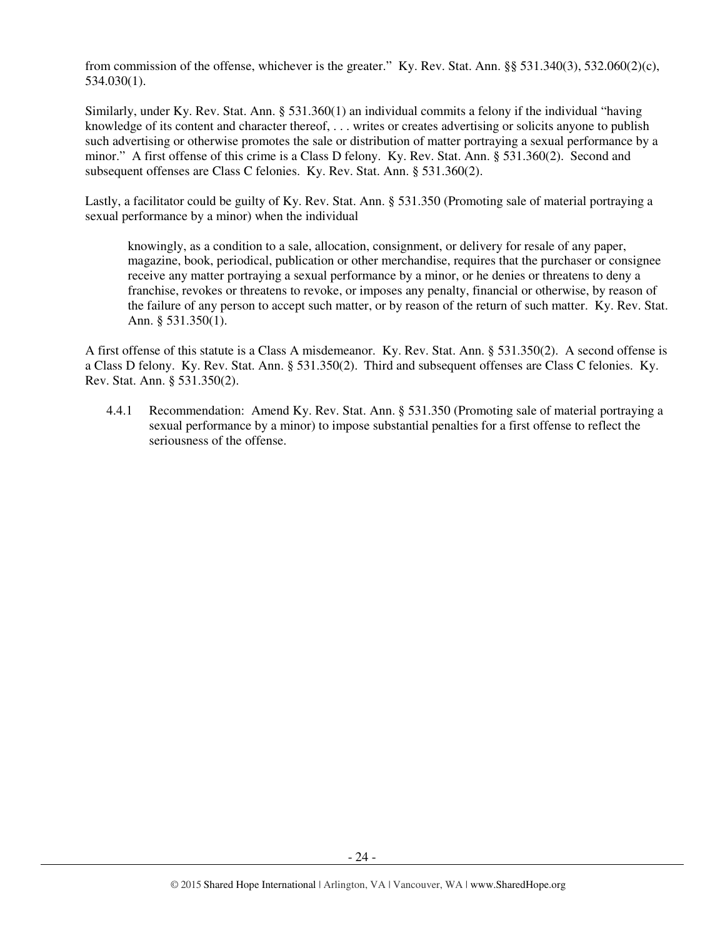from commission of the offense, whichever is the greater." Ky. Rev. Stat. Ann. §§ 531.340(3), 532.060(2)(c), 534.030(1).

Similarly, under Ky. Rev. Stat. Ann. § 531.360(1) an individual commits a felony if the individual "having knowledge of its content and character thereof, . . . writes or creates advertising or solicits anyone to publish such advertising or otherwise promotes the sale or distribution of matter portraying a sexual performance by a minor." A first offense of this crime is a Class D felony. Ky. Rev. Stat. Ann. § 531.360(2). Second and subsequent offenses are Class C felonies. Ky. Rev. Stat. Ann. § 531.360(2).

Lastly, a facilitator could be guilty of Ky. Rev. Stat. Ann. § 531.350 (Promoting sale of material portraying a sexual performance by a minor) when the individual

knowingly, as a condition to a sale, allocation, consignment, or delivery for resale of any paper, magazine, book, periodical, publication or other merchandise, requires that the purchaser or consignee receive any matter portraying a sexual performance by a minor, or he denies or threatens to deny a franchise, revokes or threatens to revoke, or imposes any penalty, financial or otherwise, by reason of the failure of any person to accept such matter, or by reason of the return of such matter. Ky. Rev. Stat. Ann. § 531.350(1).

A first offense of this statute is a Class A misdemeanor. Ky. Rev. Stat. Ann. § 531.350(2). A second offense is a Class D felony. Ky. Rev. Stat. Ann. § 531.350(2). Third and subsequent offenses are Class C felonies. Ky. Rev. Stat. Ann. § 531.350(2).

4.4.1 Recommendation: Amend Ky. Rev. Stat. Ann. § 531.350 (Promoting sale of material portraying a sexual performance by a minor) to impose substantial penalties for a first offense to reflect the seriousness of the offense.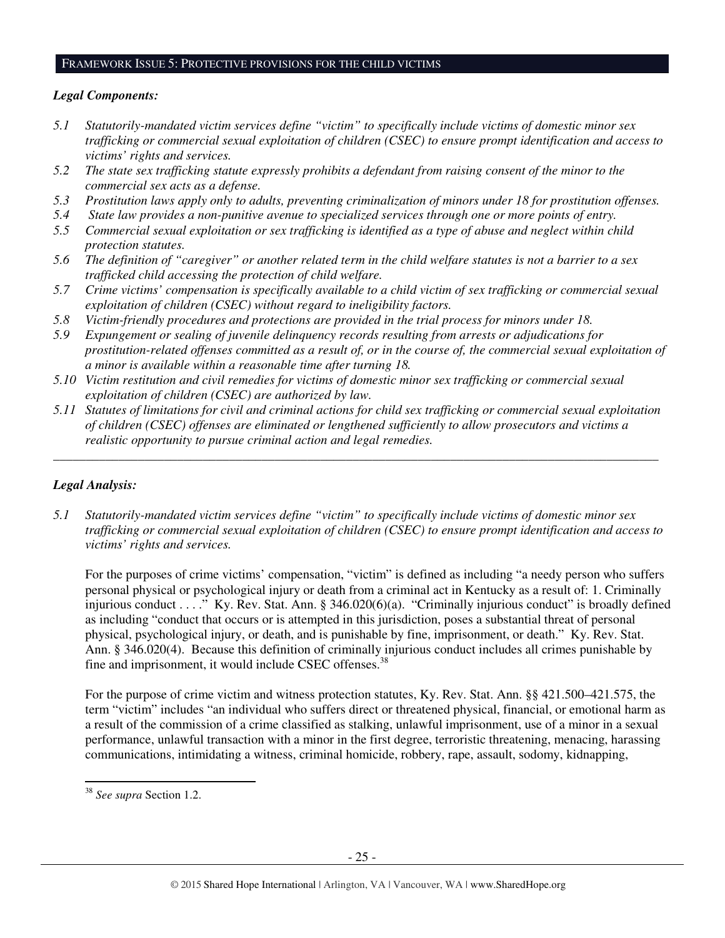#### FRAMEWORK ISSUE 5: PROTECTIVE PROVISIONS FOR THE CHILD VICTIMS

# *Legal Components:*

- *5.1 Statutorily-mandated victim services define "victim" to specifically include victims of domestic minor sex trafficking or commercial sexual exploitation of children (CSEC) to ensure prompt identification and access to victims' rights and services.*
- *5.2 The state sex trafficking statute expressly prohibits a defendant from raising consent of the minor to the commercial sex acts as a defense.*
- *5.3 Prostitution laws apply only to adults, preventing criminalization of minors under 18 for prostitution offenses.*
- *5.4 State law provides a non-punitive avenue to specialized services through one or more points of entry.*
- *5.5 Commercial sexual exploitation or sex trafficking is identified as a type of abuse and neglect within child protection statutes.*
- *5.6 The definition of "caregiver" or another related term in the child welfare statutes is not a barrier to a sex trafficked child accessing the protection of child welfare.*
- *5.7 Crime victims' compensation is specifically available to a child victim of sex trafficking or commercial sexual exploitation of children (CSEC) without regard to ineligibility factors.*
- *5.8 Victim-friendly procedures and protections are provided in the trial process for minors under 18.*
- *5.9 Expungement or sealing of juvenile delinquency records resulting from arrests or adjudications for prostitution-related offenses committed as a result of, or in the course of, the commercial sexual exploitation of a minor is available within a reasonable time after turning 18.*
- *5.10 Victim restitution and civil remedies for victims of domestic minor sex trafficking or commercial sexual exploitation of children (CSEC) are authorized by law.*
- *5.11 Statutes of limitations for civil and criminal actions for child sex trafficking or commercial sexual exploitation of children (CSEC) offenses are eliminated or lengthened sufficiently to allow prosecutors and victims a realistic opportunity to pursue criminal action and legal remedies.*

*\_\_\_\_\_\_\_\_\_\_\_\_\_\_\_\_\_\_\_\_\_\_\_\_\_\_\_\_\_\_\_\_\_\_\_\_\_\_\_\_\_\_\_\_\_\_\_\_\_\_\_\_\_\_\_\_\_\_\_\_\_\_\_\_\_\_\_\_\_\_\_\_\_\_\_\_\_\_\_\_\_\_\_\_\_\_\_\_\_\_\_\_\_* 

# *Legal Analysis:*

*5.1 Statutorily-mandated victim services define "victim" to specifically include victims of domestic minor sex trafficking or commercial sexual exploitation of children (CSEC) to ensure prompt identification and access to victims' rights and services.* 

For the purposes of crime victims' compensation, "victim" is defined as including "a needy person who suffers personal physical or psychological injury or death from a criminal act in Kentucky as a result of: 1. Criminally injurious conduct . . . ." Ky. Rev. Stat. Ann. § 346.020(6)(a). "Criminally injurious conduct" is broadly defined as including "conduct that occurs or is attempted in this jurisdiction, poses a substantial threat of personal physical, psychological injury, or death, and is punishable by fine, imprisonment, or death." Ky. Rev. Stat. Ann. § 346.020(4). Because this definition of criminally injurious conduct includes all crimes punishable by fine and imprisonment, it would include CSEC offenses.<sup>38</sup>

For the purpose of crime victim and witness protection statutes, Ky. Rev. Stat. Ann. §§ 421.500–421.575, the term "victim" includes "an individual who suffers direct or threatened physical, financial, or emotional harm as a result of the commission of a crime classified as stalking, unlawful imprisonment, use of a minor in a sexual performance, unlawful transaction with a minor in the first degree, terroristic threatening, menacing, harassing communications, intimidating a witness, criminal homicide, robbery, rape, assault, sodomy, kidnapping,

 $\overline{a}$ 

<sup>38</sup> *See supra* Section 1.2.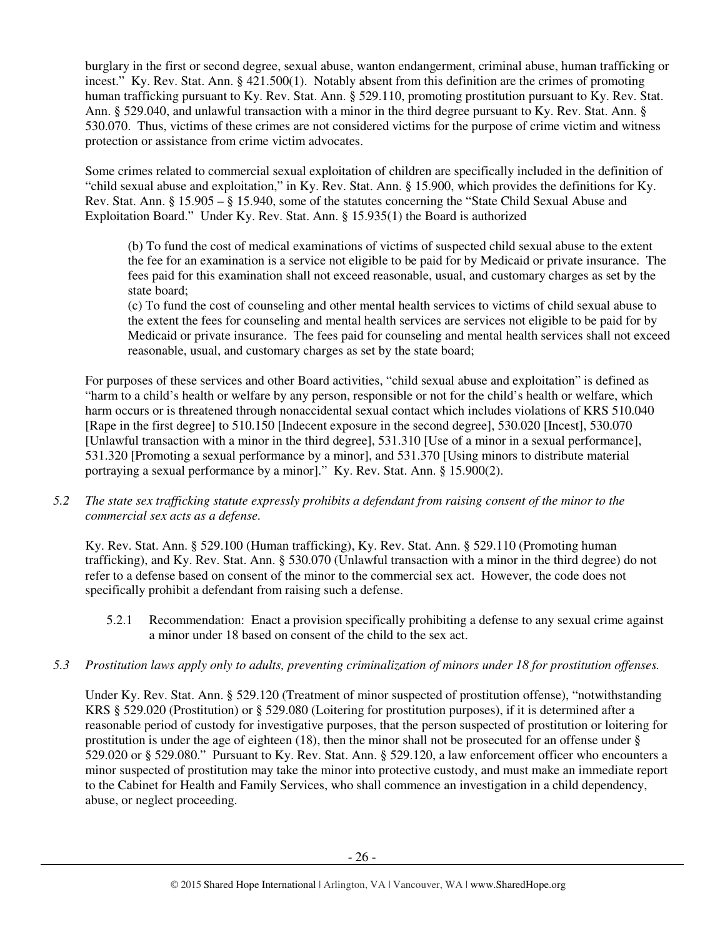burglary in the first or second degree, sexual abuse, wanton endangerment, criminal abuse, human trafficking or incest." Ky. Rev. Stat. Ann. § 421.500(1). Notably absent from this definition are the crimes of promoting human trafficking pursuant to Ky. Rev. Stat. Ann. § 529.110, promoting prostitution pursuant to Ky. Rev. Stat. Ann. § 529.040, and unlawful transaction with a minor in the third degree pursuant to Ky. Rev. Stat. Ann. § 530.070. Thus, victims of these crimes are not considered victims for the purpose of crime victim and witness protection or assistance from crime victim advocates.

Some crimes related to commercial sexual exploitation of children are specifically included in the definition of "child sexual abuse and exploitation," in Ky. Rev. Stat. Ann. § 15.900, which provides the definitions for Ky. Rev. Stat. Ann. § 15.905 – § 15.940, some of the statutes concerning the "State Child Sexual Abuse and Exploitation Board." Under Ky. Rev. Stat. Ann. § 15.935(1) the Board is authorized

(b) To fund the cost of medical examinations of victims of suspected child sexual abuse to the extent the fee for an examination is a service not eligible to be paid for by Medicaid or private insurance. The fees paid for this examination shall not exceed reasonable, usual, and customary charges as set by the state board;

(c) To fund the cost of counseling and other mental health services to victims of child sexual abuse to the extent the fees for counseling and mental health services are services not eligible to be paid for by Medicaid or private insurance. The fees paid for counseling and mental health services shall not exceed reasonable, usual, and customary charges as set by the state board;

For purposes of these services and other Board activities, "child sexual abuse and exploitation" is defined as "harm to a child's health or welfare by any person, responsible or not for the child's health or welfare, which harm occurs or is threatened through nonaccidental sexual contact which includes violations of KRS 510.040 [Rape in the first degree] to 510.150 [Indecent exposure in the second degree], 530.020 [Incest], 530.070 [Unlawful transaction with a minor in the third degree], 531.310 [Use of a minor in a sexual performance], 531.320 [Promoting a sexual performance by a minor], and 531.370 [Using minors to distribute material portraying a sexual performance by a minor]." Ky. Rev. Stat. Ann. § 15.900(2).

*5.2 The state sex trafficking statute expressly prohibits a defendant from raising consent of the minor to the commercial sex acts as a defense.* 

Ky. Rev. Stat. Ann. § 529.100 (Human trafficking), Ky. Rev. Stat. Ann. § 529.110 (Promoting human trafficking), and Ky. Rev. Stat. Ann. § 530.070 (Unlawful transaction with a minor in the third degree) do not refer to a defense based on consent of the minor to the commercial sex act. However, the code does not specifically prohibit a defendant from raising such a defense.

- 5.2.1 Recommendation: Enact a provision specifically prohibiting a defense to any sexual crime against a minor under 18 based on consent of the child to the sex act.
- *5.3 Prostitution laws apply only to adults, preventing criminalization of minors under 18 for prostitution offenses.*

Under Ky. Rev. Stat. Ann. § 529.120 (Treatment of minor suspected of prostitution offense), "notwithstanding KRS § 529.020 (Prostitution) or § 529.080 (Loitering for prostitution purposes), if it is determined after a reasonable period of custody for investigative purposes, that the person suspected of prostitution or loitering for prostitution is under the age of eighteen (18), then the minor shall not be prosecuted for an offense under § 529.020 or § 529.080." Pursuant to Ky. Rev. Stat. Ann. § 529.120, a law enforcement officer who encounters a minor suspected of prostitution may take the minor into protective custody, and must make an immediate report to the Cabinet for Health and Family Services, who shall commence an investigation in a child dependency, abuse, or neglect proceeding.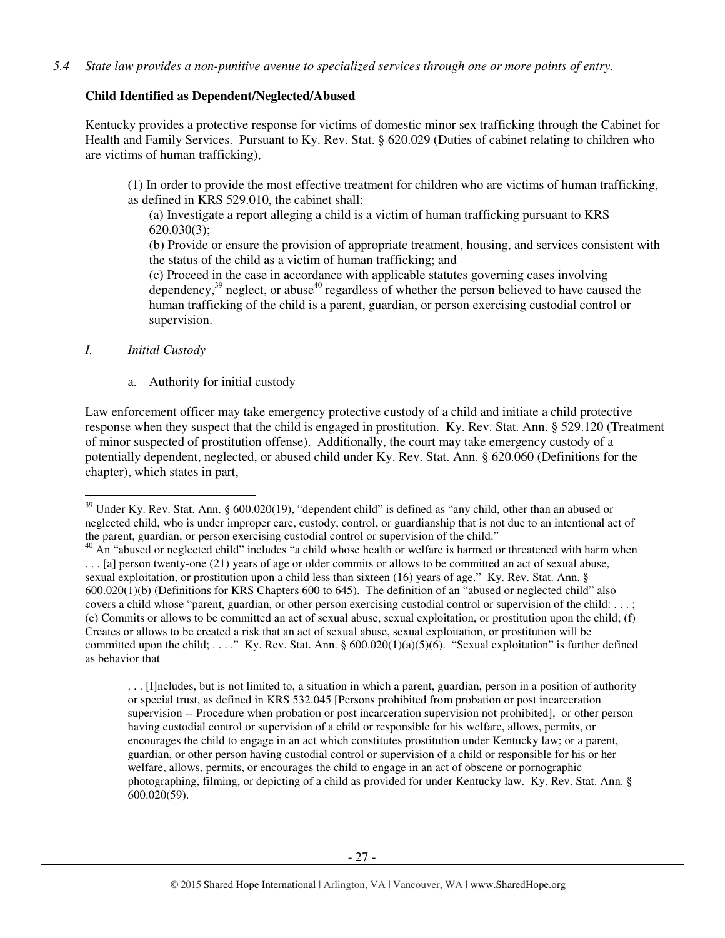# **Child Identified as Dependent/Neglected/Abused**

Kentucky provides a protective response for victims of domestic minor sex trafficking through the Cabinet for Health and Family Services. Pursuant to Ky. Rev. Stat. § 620.029 (Duties of cabinet relating to children who are victims of human trafficking),

(1) In order to provide the most effective treatment for children who are victims of human trafficking, as defined in KRS 529.010, the cabinet shall:

(a) Investigate a report alleging a child is a victim of human trafficking pursuant to KRS 620.030(3);

(b) Provide or ensure the provision of appropriate treatment, housing, and services consistent with the status of the child as a victim of human trafficking; and

(c) Proceed in the case in accordance with applicable statutes governing cases involving dependency,<sup>39</sup> neglect, or abuse<sup>40</sup> regardless of whether the person believed to have caused the human trafficking of the child is a parent, guardian, or person exercising custodial control or supervision.

# *I. Initial Custody*

l

a. Authority for initial custody

Law enforcement officer may take emergency protective custody of a child and initiate a child protective response when they suspect that the child is engaged in prostitution. Ky. Rev. Stat. Ann. § 529.120 (Treatment of minor suspected of prostitution offense). Additionally, the court may take emergency custody of a potentially dependent, neglected, or abused child under Ky. Rev. Stat. Ann. § 620.060 (Definitions for the chapter), which states in part,

. . . [I]ncludes, but is not limited to, a situation in which a parent, guardian, person in a position of authority or special trust, as defined in KRS 532.045 [Persons prohibited from probation or post incarceration supervision -- Procedure when probation or post incarceration supervision not prohibited], or other person having custodial control or supervision of a child or responsible for his welfare, allows, permits, or encourages the child to engage in an act which constitutes prostitution under Kentucky law; or a parent, guardian, or other person having custodial control or supervision of a child or responsible for his or her welfare, allows, permits, or encourages the child to engage in an act of obscene or pornographic photographing, filming, or depicting of a child as provided for under Kentucky law. Ky. Rev. Stat. Ann. § 600.020(59).

<sup>&</sup>lt;sup>39</sup> Under Ky. Rev. Stat. Ann. § 600.020(19), "dependent child" is defined as "any child, other than an abused or neglected child, who is under improper care, custody, control, or guardianship that is not due to an intentional act of the parent, guardian, or person exercising custodial control or supervision of the child."

 $^{40}$  An "abused or neglected child" includes "a child whose health or welfare is harmed or threatened with harm when . . . [a] person twenty-one (21) years of age or older commits or allows to be committed an act of sexual abuse, sexual exploitation, or prostitution upon a child less than sixteen (16) years of age." Ky. Rev. Stat. Ann. § 600.020(1)(b) (Definitions for KRS Chapters 600 to 645). The definition of an "abused or neglected child" also covers a child whose "parent, guardian, or other person exercising custodial control or supervision of the child: . . . ; (e) Commits or allows to be committed an act of sexual abuse, sexual exploitation, or prostitution upon the child; (f) Creates or allows to be created a risk that an act of sexual abuse, sexual exploitation, or prostitution will be committed upon the child; ...." Ky. Rev. Stat. Ann. § 600.020(1)(a)(5)(6). "Sexual exploitation" is further defined as behavior that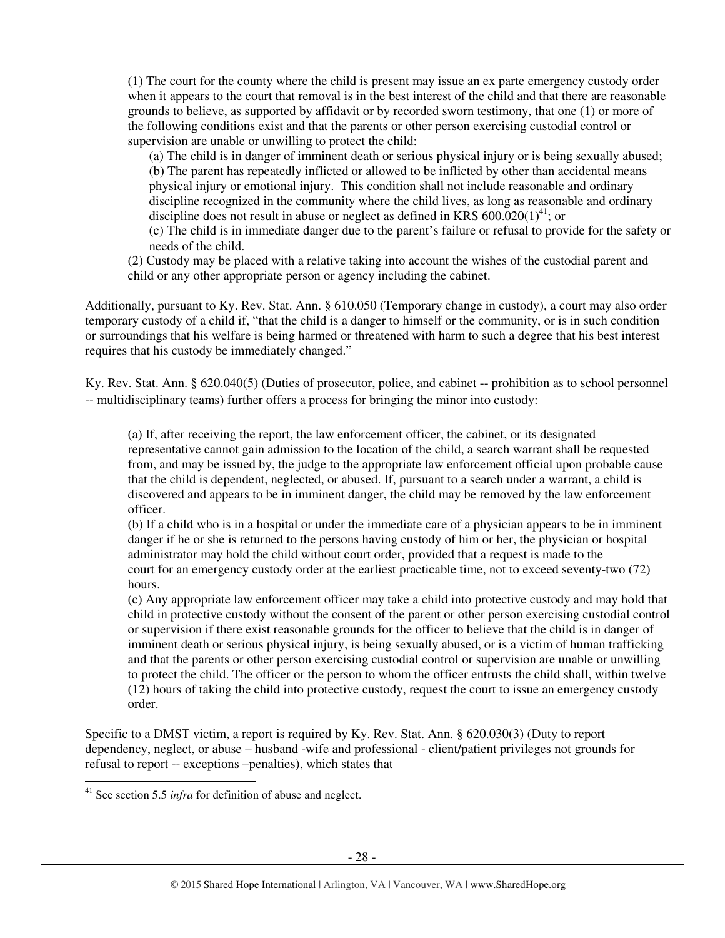(1) The court for the county where the child is present may issue an ex parte emergency custody order when it appears to the court that removal is in the best interest of the child and that there are reasonable grounds to believe, as supported by affidavit or by recorded sworn testimony, that one (1) or more of the following conditions exist and that the parents or other person exercising custodial control or supervision are unable or unwilling to protect the child:

(a) The child is in danger of imminent death or serious physical injury or is being sexually abused; (b) The parent has repeatedly inflicted or allowed to be inflicted by other than accidental means physical injury or emotional injury. This condition shall not include reasonable and ordinary discipline recognized in the community where the child lives, as long as reasonable and ordinary discipline does not result in abuse or neglect as defined in KRS  $600.020(1)^{41}$ ; or (c) The child is in immediate danger due to the parent's failure or refusal to provide for the safety or

needs of the child.

(2) Custody may be placed with a relative taking into account the wishes of the custodial parent and child or any other appropriate person or agency including the cabinet.

Additionally, pursuant to Ky. Rev. Stat. Ann. § 610.050 (Temporary change in custody), a court may also order temporary custody of a child if, "that the child is a danger to himself or the community, or is in such condition or surroundings that his welfare is being harmed or threatened with harm to such a degree that his best interest requires that his custody be immediately changed."

Ky. Rev. Stat. Ann. § 620.040(5) (Duties of prosecutor, police, and cabinet -- prohibition as to school personnel -- multidisciplinary teams) further offers a process for bringing the minor into custody:

(a) If, after receiving the report, the law enforcement officer, the cabinet, or its designated representative cannot gain admission to the location of the child, a search warrant shall be requested from, and may be issued by, the judge to the appropriate law enforcement official upon probable cause that the child is dependent, neglected, or abused. If, pursuant to a search under a warrant, a child is discovered and appears to be in imminent danger, the child may be removed by the law enforcement officer.

(b) If a child who is in a hospital or under the immediate care of a physician appears to be in imminent danger if he or she is returned to the persons having custody of him or her, the physician or hospital administrator may hold the child without court order, provided that a request is made to the court for an emergency custody order at the earliest practicable time, not to exceed seventy-two (72) hours.

(c) Any appropriate law enforcement officer may take a child into protective custody and may hold that child in protective custody without the consent of the parent or other person exercising custodial control or supervision if there exist reasonable grounds for the officer to believe that the child is in danger of imminent death or serious physical injury, is being sexually abused, or is a victim of human trafficking and that the parents or other person exercising custodial control or supervision are unable or unwilling to protect the child. The officer or the person to whom the officer entrusts the child shall, within twelve (12) hours of taking the child into protective custody, request the court to issue an emergency custody order.

Specific to a DMST victim, a report is required by Ky. Rev. Stat. Ann. § 620.030(3) (Duty to report dependency, neglect, or abuse – husband -wife and professional - client/patient privileges not grounds for refusal to report -- exceptions –penalties), which states that l

<sup>41</sup> See section 5.5 *infra* for definition of abuse and neglect.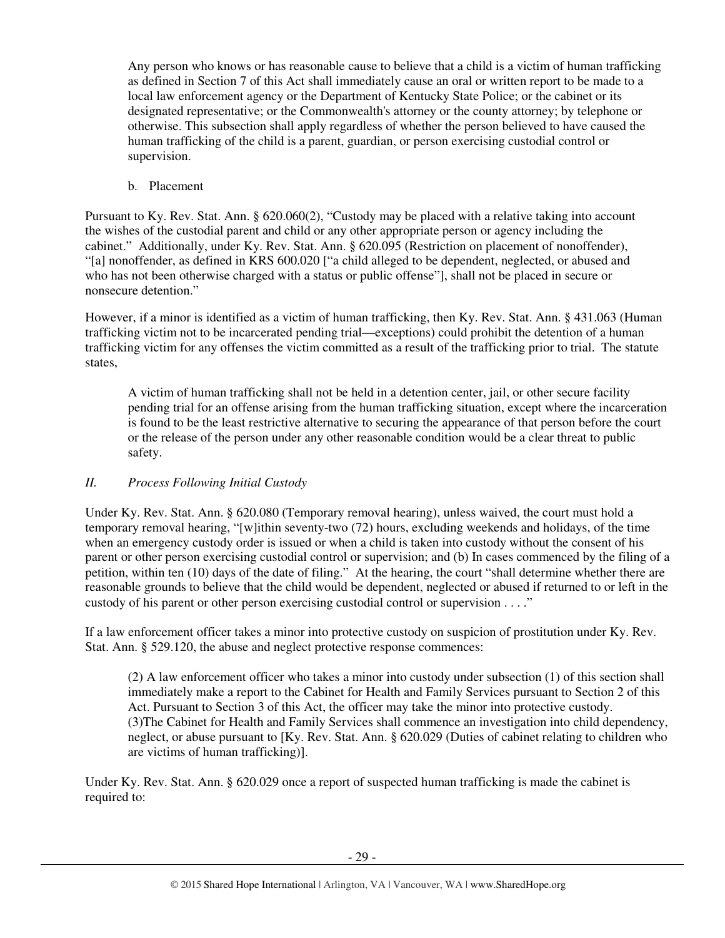Any person who knows or has reasonable cause to believe that a child is a victim of human trafficking as defined in Section 7 of this Act shall immediately cause an oral or written report to be made to a local law enforcement agency or the Department of Kentucky State Police; or the cabinet or its designated representative; or the Commonwealth's attorney or the county attorney; by telephone or otherwise. This subsection shall apply regardless of whether the person believed to have caused the human trafficking of the child is a parent, guardian, or person exercising custodial control or supervision.

b. Placement

Pursuant to Ky. Rev. Stat. Ann. § 620.060(2), "Custody may be placed with a relative taking into account the wishes of the custodial parent and child or any other appropriate person or agency including the cabinet." Additionally, under Ky. Rev. Stat. Ann. § 620.095 (Restriction on placement of nonoffender), "[a] nonoffender, as defined in KRS 600.020 ["a child alleged to be dependent, neglected, or abused and who has not been otherwise charged with a status or public offense"], shall not be placed in secure or nonsecure detention."

However, if a minor is identified as a victim of human trafficking, then Ky. Rev. Stat. Ann. § 431.063 (Human trafficking victim not to be incarcerated pending trial—exceptions) could prohibit the detention of a human trafficking victim for any offenses the victim committed as a result of the trafficking prior to trial. The statute states,

A victim of human trafficking shall not be held in a detention center, jail, or other secure facility pending trial for an offense arising from the human trafficking situation, except where the incarceration is found to be the least restrictive alternative to securing the appearance of that person before the court or the release of the person under any other reasonable condition would be a clear threat to public safety.

# *II. Process Following Initial Custody*

Under Ky. Rev. Stat. Ann. § 620.080 (Temporary removal hearing), unless waived, the court must hold a temporary removal hearing, "[w]ithin seventy-two (72) hours, excluding weekends and holidays, of the time when an emergency custody order is issued or when a child is taken into custody without the consent of his parent or other person exercising custodial control or supervision; and (b) In cases commenced by the filing of a petition, within ten (10) days of the date of filing." At the hearing, the court "shall determine whether there are reasonable grounds to believe that the child would be dependent, neglected or abused if returned to or left in the custody of his parent or other person exercising custodial control or supervision . . . ."

If a law enforcement officer takes a minor into protective custody on suspicion of prostitution under Ky. Rev. Stat. Ann. § 529.120, the abuse and neglect protective response commences:

(2) A law enforcement officer who takes a minor into custody under subsection (1) of this section shall immediately make a report to the Cabinet for Health and Family Services pursuant to Section 2 of this Act. Pursuant to Section 3 of this Act, the officer may take the minor into protective custody. (3)The Cabinet for Health and Family Services shall commence an investigation into child dependency, neglect, or abuse pursuant to [Ky. Rev. Stat. Ann. § 620.029 (Duties of cabinet relating to children who are victims of human trafficking)].

Under Ky. Rev. Stat. Ann. § 620.029 once a report of suspected human trafficking is made the cabinet is required to: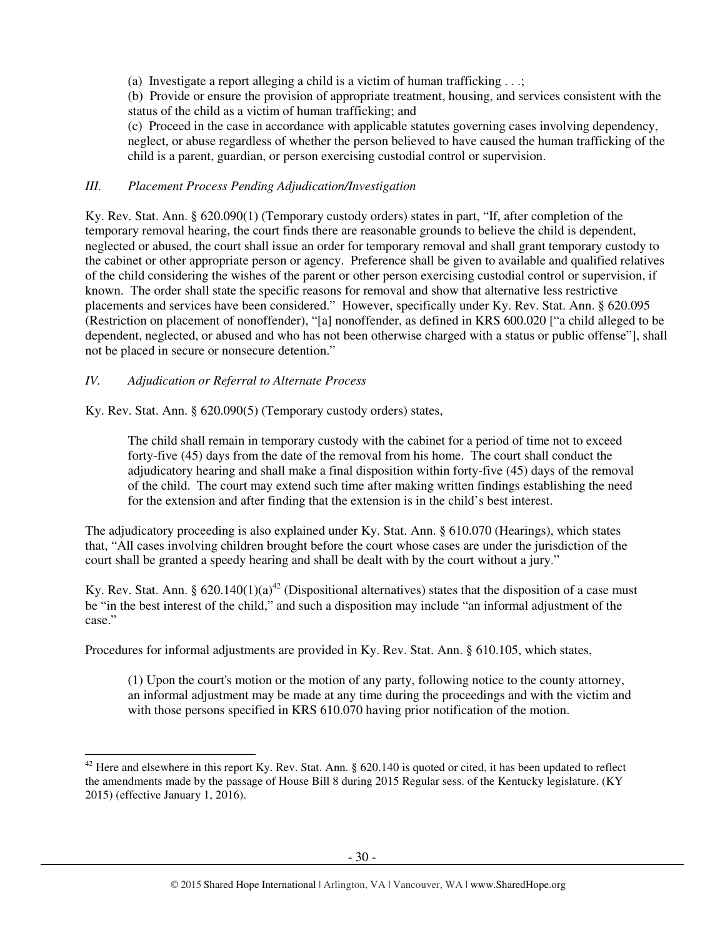(a) Investigate a report alleging a child is a victim of human trafficking . . .;

(b) Provide or ensure the provision of appropriate treatment, housing, and services consistent with the status of the child as a victim of human trafficking; and

(c) Proceed in the case in accordance with applicable statutes governing cases involving dependency, neglect, or abuse regardless of whether the person believed to have caused the human trafficking of the child is a parent, guardian, or person exercising custodial control or supervision.

# *III. Placement Process Pending Adjudication/Investigation*

Ky. Rev. Stat. Ann. § 620.090(1) (Temporary custody orders) states in part, "If, after completion of the temporary removal hearing, the court finds there are reasonable grounds to believe the child is dependent, neglected or abused, the court shall issue an order for temporary removal and shall grant temporary custody to the cabinet or other appropriate person or agency. Preference shall be given to available and qualified relatives of the child considering the wishes of the parent or other person exercising custodial control or supervision, if known. The order shall state the specific reasons for removal and show that alternative less restrictive placements and services have been considered." However, specifically under Ky. Rev. Stat. Ann. § 620.095 (Restriction on placement of nonoffender), "[a] nonoffender, as defined in KRS 600.020 ["a child alleged to be dependent, neglected, or abused and who has not been otherwise charged with a status or public offense"], shall not be placed in secure or nonsecure detention."

# *IV. Adjudication or Referral to Alternate Process*

 $\overline{a}$ 

Ky. Rev. Stat. Ann. § 620.090(5) (Temporary custody orders) states,

The child shall remain in temporary custody with the cabinet for a period of time not to exceed forty-five (45) days from the date of the removal from his home. The court shall conduct the adjudicatory hearing and shall make a final disposition within forty-five (45) days of the removal of the child. The court may extend such time after making written findings establishing the need for the extension and after finding that the extension is in the child's best interest.

The adjudicatory proceeding is also explained under Ky. Stat. Ann. § 610.070 (Hearings), which states that, "All cases involving children brought before the court whose cases are under the jurisdiction of the court shall be granted a speedy hearing and shall be dealt with by the court without a jury."

Ky. Rev. Stat. Ann. §  $620.140(1)(a)^{42}$  (Dispositional alternatives) states that the disposition of a case must be "in the best interest of the child," and such a disposition may include "an informal adjustment of the case."

Procedures for informal adjustments are provided in Ky. Rev. Stat. Ann. § 610.105, which states,

(1) Upon the court's motion or the motion of any party, following notice to the county attorney, an informal adjustment may be made at any time during the proceedings and with the victim and with those persons specified in KRS 610.070 having prior notification of the motion.

 $42$  Here and elsewhere in this report Ky. Rev. Stat. Ann. § 620.140 is quoted or cited, it has been updated to reflect the amendments made by the passage of House Bill 8 during 2015 Regular sess. of the Kentucky legislature. (KY 2015) (effective January 1, 2016).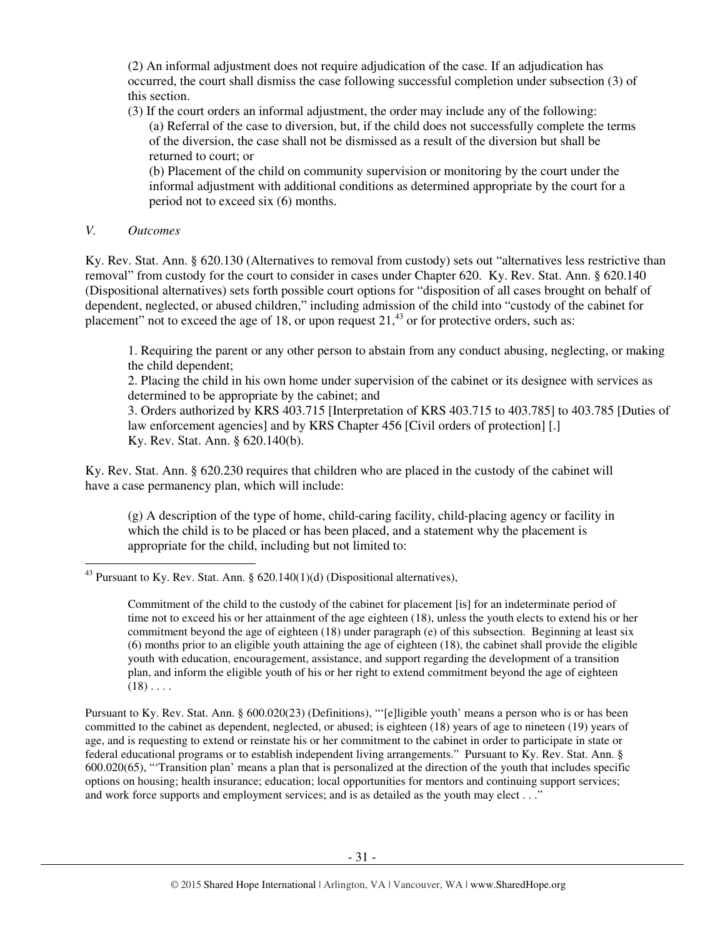(2) An informal adjustment does not require adjudication of the case. If an adjudication has occurred, the court shall dismiss the case following successful completion under subsection (3) of this section.

(3) If the court orders an informal adjustment, the order may include any of the following: (a) Referral of the case to diversion, but, if the child does not successfully complete the terms of the diversion, the case shall not be dismissed as a result of the diversion but shall be returned to court; or

(b) Placement of the child on community supervision or monitoring by the court under the informal adjustment with additional conditions as determined appropriate by the court for a period not to exceed six (6) months.

### *V. Outcomes*

l

Ky. Rev. Stat. Ann. § 620.130 (Alternatives to removal from custody) sets out "alternatives less restrictive than removal" from custody for the court to consider in cases under Chapter 620. Ky. Rev. Stat. Ann. § 620.140 (Dispositional alternatives) sets forth possible court options for "disposition of all cases brought on behalf of dependent, neglected, or abused children," including admission of the child into "custody of the cabinet for placement" not to exceed the age of 18, or upon request  $21<sup>43</sup>$  or for protective orders, such as:

1. Requiring the parent or any other person to abstain from any conduct abusing, neglecting, or making the child dependent;

2. Placing the child in his own home under supervision of the cabinet or its designee with services as determined to be appropriate by the cabinet; and

3. Orders authorized by KRS 403.715 [Interpretation of KRS 403.715 to 403.785] to 403.785 [Duties of law enforcement agencies] and by KRS Chapter 456 [Civil orders of protection] [.] Ky. Rev. Stat. Ann. § 620.140(b).

Ky. Rev. Stat. Ann. § 620.230 requires that children who are placed in the custody of the cabinet will have a case permanency plan, which will include:

(g) A description of the type of home, child-caring facility, child-placing agency or facility in which the child is to be placed or has been placed, and a statement why the placement is appropriate for the child, including but not limited to:

Pursuant to Ky. Rev. Stat. Ann. § 600.020(23) (Definitions), "'[e]ligible youth' means a person who is or has been committed to the cabinet as dependent, neglected, or abused; is eighteen (18) years of age to nineteen (19) years of age, and is requesting to extend or reinstate his or her commitment to the cabinet in order to participate in state or federal educational programs or to establish independent living arrangements." Pursuant to Ky. Rev. Stat. Ann. § 600.020(65), "'Transition plan' means a plan that is personalized at the direction of the youth that includes specific options on housing; health insurance; education; local opportunities for mentors and continuing support services; and work force supports and employment services; and is as detailed as the youth may elect . . ."

 $43$  Pursuant to Ky. Rev. Stat. Ann. § 620.140(1)(d) (Dispositional alternatives),

Commitment of the child to the custody of the cabinet for placement [is] for an indeterminate period of time not to exceed his or her attainment of the age eighteen (18), unless the youth elects to extend his or her commitment beyond the age of eighteen (18) under paragraph (e) of this subsection. Beginning at least six (6) months prior to an eligible youth attaining the age of eighteen (18), the cabinet shall provide the eligible youth with education, encouragement, assistance, and support regarding the development of a transition plan, and inform the eligible youth of his or her right to extend commitment beyond the age of eighteen  $(18) \ldots$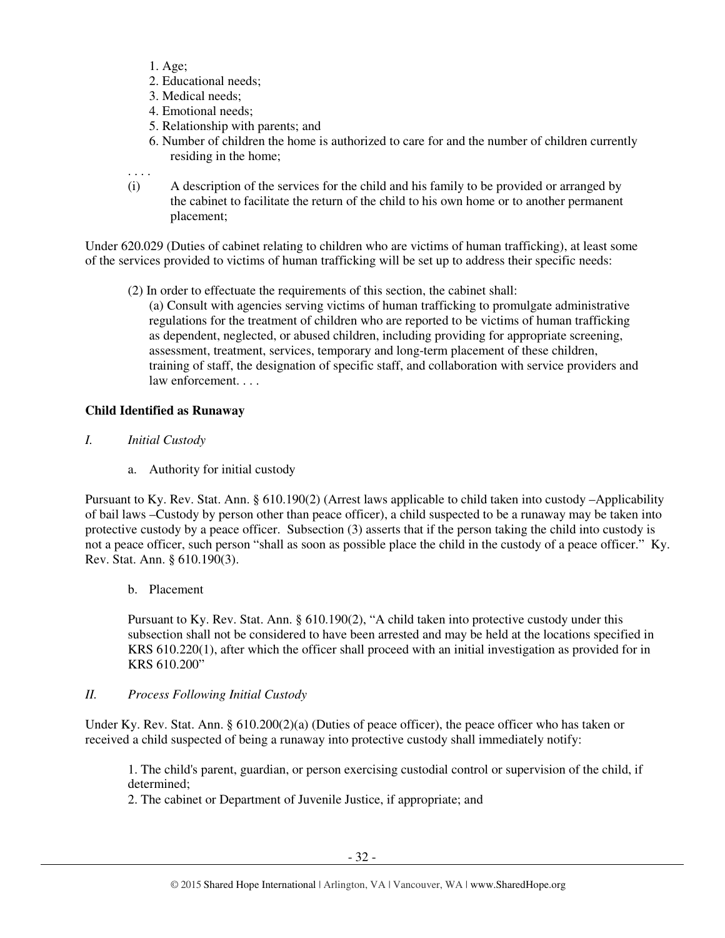- 1. Age;
- 2. Educational needs;
- 3. Medical needs;
- 4. Emotional needs;
- 5. Relationship with parents; and
- 6. Number of children the home is authorized to care for and the number of children currently residing in the home;

. . . .

(i) A description of the services for the child and his family to be provided or arranged by the cabinet to facilitate the return of the child to his own home or to another permanent placement;

Under 620.029 (Duties of cabinet relating to children who are victims of human trafficking), at least some of the services provided to victims of human trafficking will be set up to address their specific needs:

(2) In order to effectuate the requirements of this section, the cabinet shall:

(a) Consult with agencies serving victims of human trafficking to promulgate administrative regulations for the treatment of children who are reported to be victims of human trafficking as dependent, neglected, or abused children, including providing for appropriate screening, assessment, treatment, services, temporary and long-term placement of these children, training of staff, the designation of specific staff, and collaboration with service providers and law enforcement. . . .

# **Child Identified as Runaway**

- *I. Initial Custody* 
	- a. Authority for initial custody

Pursuant to Ky. Rev. Stat. Ann. § 610.190(2) (Arrest laws applicable to child taken into custody –Applicability of bail laws –Custody by person other than peace officer), a child suspected to be a runaway may be taken into protective custody by a peace officer. Subsection (3) asserts that if the person taking the child into custody is not a peace officer, such person "shall as soon as possible place the child in the custody of a peace officer." Ky. Rev. Stat. Ann. § 610.190(3).

b. Placement

Pursuant to Ky. Rev. Stat. Ann. § 610.190(2), "A child taken into protective custody under this subsection shall not be considered to have been arrested and may be held at the locations specified in KRS 610.220(1), after which the officer shall proceed with an initial investigation as provided for in KRS 610.200"

# *II. Process Following Initial Custody*

Under Ky. Rev. Stat. Ann. § 610.200(2)(a) (Duties of peace officer), the peace officer who has taken or received a child suspected of being a runaway into protective custody shall immediately notify:

1. The child's parent, guardian, or person exercising custodial control or supervision of the child, if determined;

2. The cabinet or Department of Juvenile Justice, if appropriate; and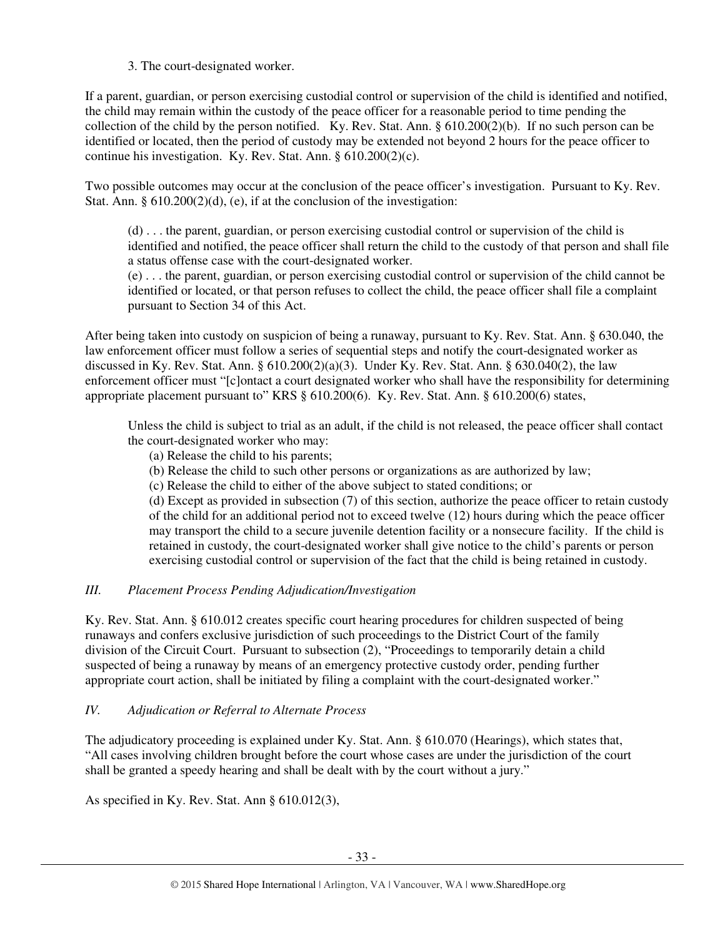# 3. The court-designated worker.

If a parent, guardian, or person exercising custodial control or supervision of the child is identified and notified, the child may remain within the custody of the peace officer for a reasonable period to time pending the collection of the child by the person notified. Ky. Rev. Stat. Ann. § 610.200(2)(b). If no such person can be identified or located, then the period of custody may be extended not beyond 2 hours for the peace officer to continue his investigation. Ky. Rev. Stat. Ann. § 610.200(2)(c).

Two possible outcomes may occur at the conclusion of the peace officer's investigation. Pursuant to Ky. Rev. Stat. Ann. § 610.200(2)(d), (e), if at the conclusion of the investigation:

(d) . . . the parent, guardian, or person exercising custodial control or supervision of the child is identified and notified, the peace officer shall return the child to the custody of that person and shall file a status offense case with the court-designated worker.

(e) . . . the parent, guardian, or person exercising custodial control or supervision of the child cannot be identified or located, or that person refuses to collect the child, the peace officer shall file a complaint pursuant to Section 34 of this Act.

After being taken into custody on suspicion of being a runaway, pursuant to Ky. Rev. Stat. Ann. § 630.040, the law enforcement officer must follow a series of sequential steps and notify the court-designated worker as discussed in Ky. Rev. Stat. Ann. § 610.200(2)(a)(3). Under Ky. Rev. Stat. Ann. § 630.040(2), the law enforcement officer must "[c]ontact a court designated worker who shall have the responsibility for determining appropriate placement pursuant to" KRS § 610.200(6). Ky. Rev. Stat. Ann. § 610.200(6) states,

Unless the child is subject to trial as an adult, if the child is not released, the peace officer shall contact the court-designated worker who may:

- (a) Release the child to his parents;
- (b) Release the child to such other persons or organizations as are authorized by law;
- (c) Release the child to either of the above subject to stated conditions; or

(d) Except as provided in subsection (7) of this section, authorize the peace officer to retain custody of the child for an additional period not to exceed twelve (12) hours during which the peace officer may transport the child to a secure juvenile detention facility or a nonsecure facility. If the child is retained in custody, the court-designated worker shall give notice to the child's parents or person exercising custodial control or supervision of the fact that the child is being retained in custody.

# *III. Placement Process Pending Adjudication/Investigation*

Ky. Rev. Stat. Ann. § 610.012 creates specific court hearing procedures for children suspected of being runaways and confers exclusive jurisdiction of such proceedings to the District Court of the family division of the Circuit Court. Pursuant to subsection (2), "Proceedings to temporarily detain a child suspected of being a runaway by means of an emergency protective custody order, pending further appropriate court action, shall be initiated by filing a complaint with the court-designated worker."

# *IV. Adjudication or Referral to Alternate Process*

The adjudicatory proceeding is explained under Ky. Stat. Ann. § 610.070 (Hearings), which states that, "All cases involving children brought before the court whose cases are under the jurisdiction of the court shall be granted a speedy hearing and shall be dealt with by the court without a jury."

As specified in Ky. Rev. Stat. Ann § 610.012(3),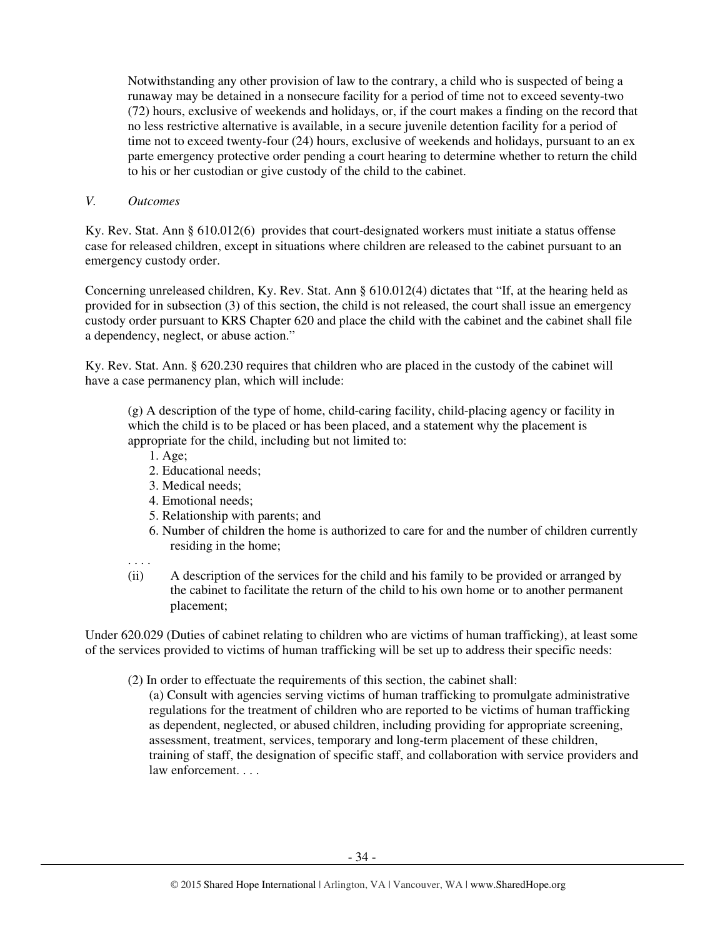Notwithstanding any other provision of law to the contrary, a child who is suspected of being a runaway may be detained in a nonsecure facility for a period of time not to exceed seventy-two (72) hours, exclusive of weekends and holidays, or, if the court makes a finding on the record that no less restrictive alternative is available, in a secure juvenile detention facility for a period of time not to exceed twenty-four (24) hours, exclusive of weekends and holidays, pursuant to an ex parte emergency protective order pending a court hearing to determine whether to return the child to his or her custodian or give custody of the child to the cabinet.

### *V. Outcomes*

Ky. Rev. Stat. Ann § 610.012(6) provides that court-designated workers must initiate a status offense case for released children, except in situations where children are released to the cabinet pursuant to an emergency custody order.

Concerning unreleased children, Ky. Rev. Stat. Ann § 610.012(4) dictates that "If, at the hearing held as provided for in subsection (3) of this section, the child is not released, the court shall issue an emergency custody order pursuant to KRS Chapter 620 and place the child with the cabinet and the cabinet shall file a dependency, neglect, or abuse action."

Ky. Rev. Stat. Ann. § 620.230 requires that children who are placed in the custody of the cabinet will have a case permanency plan, which will include:

(g) A description of the type of home, child-caring facility, child-placing agency or facility in which the child is to be placed or has been placed, and a statement why the placement is appropriate for the child, including but not limited to:

- 1. Age;
- 2. Educational needs;
- 3. Medical needs;
- 4. Emotional needs;
- 5. Relationship with parents; and
- 6. Number of children the home is authorized to care for and the number of children currently residing in the home;
- . . . .
- (ii) A description of the services for the child and his family to be provided or arranged by the cabinet to facilitate the return of the child to his own home or to another permanent placement;

Under 620.029 (Duties of cabinet relating to children who are victims of human trafficking), at least some of the services provided to victims of human trafficking will be set up to address their specific needs:

- (2) In order to effectuate the requirements of this section, the cabinet shall:
	- (a) Consult with agencies serving victims of human trafficking to promulgate administrative regulations for the treatment of children who are reported to be victims of human trafficking as dependent, neglected, or abused children, including providing for appropriate screening, assessment, treatment, services, temporary and long-term placement of these children, training of staff, the designation of specific staff, and collaboration with service providers and law enforcement. . . .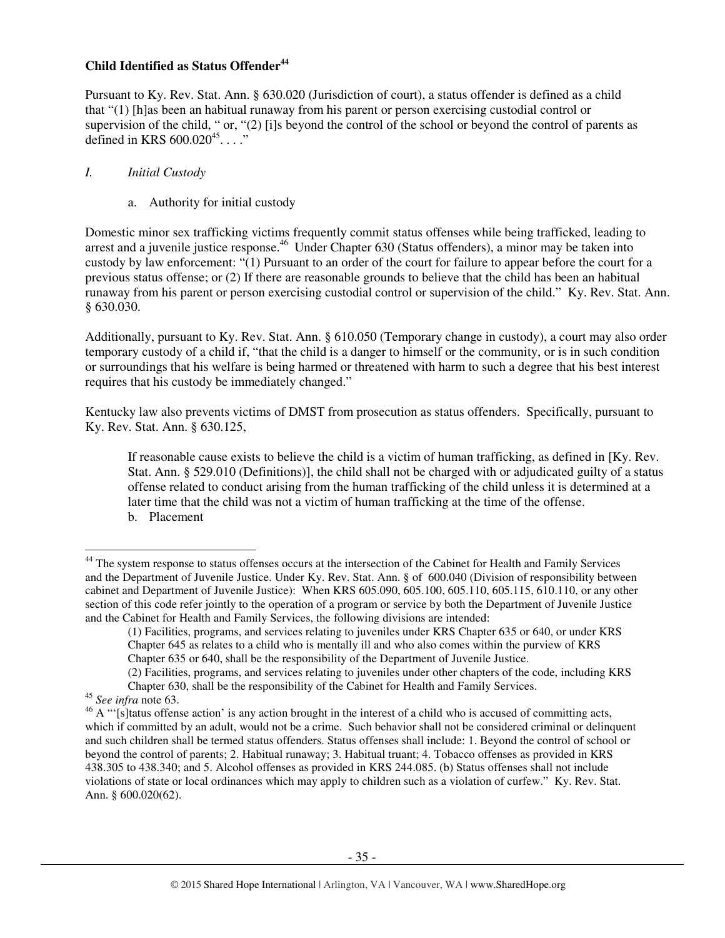# **Child Identified as Status Offender<sup>44</sup>**

Pursuant to Ky. Rev. Stat. Ann. § 630.020 (Jurisdiction of court), a status offender is defined as a child that "(1) [h]as been an habitual runaway from his parent or person exercising custodial control or supervision of the child, " or, "(2) [i]s beyond the control of the school or beyond the control of parents as defined in KRS  $600.020^{45}$ ...."

### *I. Initial Custody*

a. Authority for initial custody

Domestic minor sex trafficking victims frequently commit status offenses while being trafficked, leading to arrest and a juvenile justice response.<sup>46</sup> Under Chapter 630 (Status offenders), a minor may be taken into custody by law enforcement: "(1) Pursuant to an order of the court for failure to appear before the court for a previous status offense; or (2) If there are reasonable grounds to believe that the child has been an habitual runaway from his parent or person exercising custodial control or supervision of the child." Ky. Rev. Stat. Ann. § 630.030.

Additionally, pursuant to Ky. Rev. Stat. Ann. § 610.050 (Temporary change in custody), a court may also order temporary custody of a child if, "that the child is a danger to himself or the community, or is in such condition or surroundings that his welfare is being harmed or threatened with harm to such a degree that his best interest requires that his custody be immediately changed."

Kentucky law also prevents victims of DMST from prosecution as status offenders. Specifically, pursuant to Ky. Rev. Stat. Ann. § 630.125,

If reasonable cause exists to believe the child is a victim of human trafficking, as defined in [Ky. Rev. Stat. Ann. § 529.010 (Definitions)], the child shall not be charged with or adjudicated guilty of a status offense related to conduct arising from the human trafficking of the child unless it is determined at a later time that the child was not a victim of human trafficking at the time of the offense. b. Placement

l

<sup>&</sup>lt;sup>44</sup> The system response to status offenses occurs at the intersection of the Cabinet for Health and Family Services and the Department of Juvenile Justice. Under Ky. Rev. Stat. Ann. § of 600.040 (Division of responsibility between cabinet and Department of Juvenile Justice): When KRS 605.090, 605.100, 605.110, 605.115, 610.110, or any other section of this code refer jointly to the operation of a program or service by both the Department of Juvenile Justice and the Cabinet for Health and Family Services, the following divisions are intended:

<sup>(1)</sup> Facilities, programs, and services relating to juveniles under KRS Chapter 635 or 640, or under KRS Chapter 645 as relates to a child who is mentally ill and who also comes within the purview of KRS Chapter 635 or 640, shall be the responsibility of the Department of Juvenile Justice.

<sup>(2)</sup> Facilities, programs, and services relating to juveniles under other chapters of the code, including KRS Chapter 630, shall be the responsibility of the Cabinet for Health and Family Services.

<sup>45</sup> *See infra* note 63.

<sup>&</sup>lt;sup>46</sup> A "'[s]tatus offense action' is any action brought in the interest of a child who is accused of committing acts, which if committed by an adult, would not be a crime. Such behavior shall not be considered criminal or delinquent and such children shall be termed status offenders. Status offenses shall include: 1. Beyond the control of school or beyond the control of parents; 2. Habitual runaway; 3. Habitual truant; 4. Tobacco offenses as provided in KRS 438.305 to 438.340; and 5. Alcohol offenses as provided in KRS 244.085. (b) Status offenses shall not include violations of state or local ordinances which may apply to children such as a violation of curfew." Ky. Rev. Stat. Ann. § 600.020(62).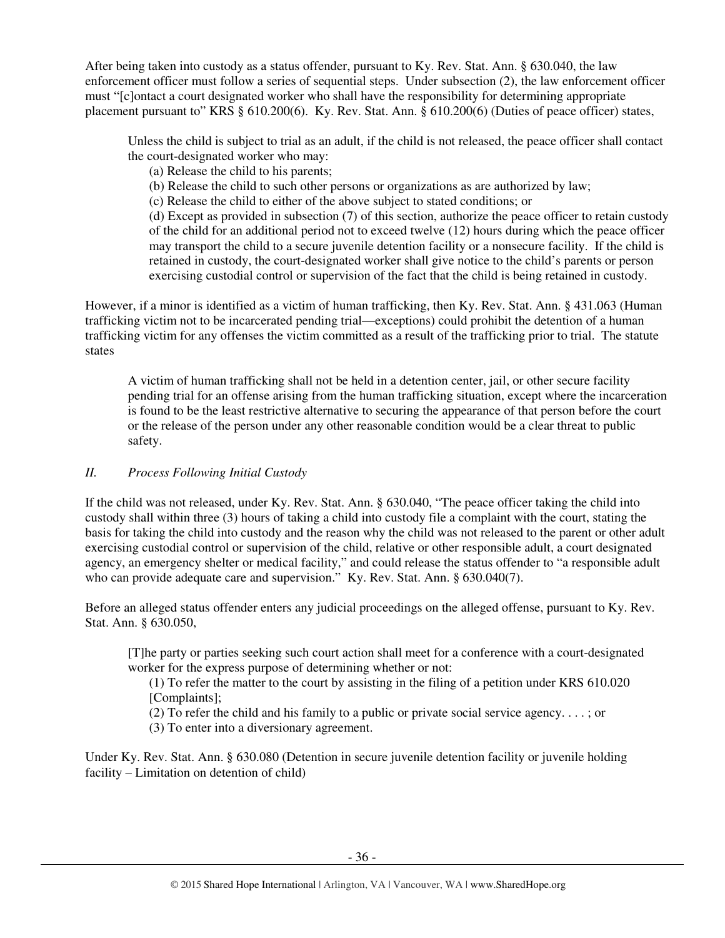After being taken into custody as a status offender, pursuant to Ky. Rev. Stat. Ann. § 630.040, the law enforcement officer must follow a series of sequential steps. Under subsection (2), the law enforcement officer must "[c]ontact a court designated worker who shall have the responsibility for determining appropriate placement pursuant to" KRS § 610.200(6). Ky. Rev. Stat. Ann. § 610.200(6) (Duties of peace officer) states,

Unless the child is subject to trial as an adult, if the child is not released, the peace officer shall contact the court-designated worker who may:

- (a) Release the child to his parents;
- (b) Release the child to such other persons or organizations as are authorized by law;
- (c) Release the child to either of the above subject to stated conditions; or

(d) Except as provided in subsection (7) of this section, authorize the peace officer to retain custody of the child for an additional period not to exceed twelve (12) hours during which the peace officer may transport the child to a secure juvenile detention facility or a nonsecure facility. If the child is retained in custody, the court-designated worker shall give notice to the child's parents or person exercising custodial control or supervision of the fact that the child is being retained in custody.

However, if a minor is identified as a victim of human trafficking, then Ky. Rev. Stat. Ann. § 431.063 (Human trafficking victim not to be incarcerated pending trial—exceptions) could prohibit the detention of a human trafficking victim for any offenses the victim committed as a result of the trafficking prior to trial. The statute states

A victim of human trafficking shall not be held in a detention center, jail, or other secure facility pending trial for an offense arising from the human trafficking situation, except where the incarceration is found to be the least restrictive alternative to securing the appearance of that person before the court or the release of the person under any other reasonable condition would be a clear threat to public safety.

# *II. Process Following Initial Custody*

If the child was not released, under Ky. Rev. Stat. Ann. § 630.040, "The peace officer taking the child into custody shall within three (3) hours of taking a child into custody file a complaint with the court, stating the basis for taking the child into custody and the reason why the child was not released to the parent or other adult exercising custodial control or supervision of the child, relative or other responsible adult, a court designated agency, an emergency shelter or medical facility," and could release the status offender to "a responsible adult who can provide adequate care and supervision." Ky. Rev. Stat. Ann. § 630.040(7).

Before an alleged status offender enters any judicial proceedings on the alleged offense, pursuant to Ky. Rev. Stat. Ann. § 630.050,

[T]he party or parties seeking such court action shall meet for a conference with a court-designated worker for the express purpose of determining whether or not:

(1) To refer the matter to the court by assisting in the filing of a petition under KRS 610.020 [Complaints];

- (2) To refer the child and his family to a public or private social service agency. . . . ; or
- (3) To enter into a diversionary agreement.

Under Ky. Rev. Stat. Ann. § 630.080 (Detention in secure juvenile detention facility or juvenile holding facility – Limitation on detention of child)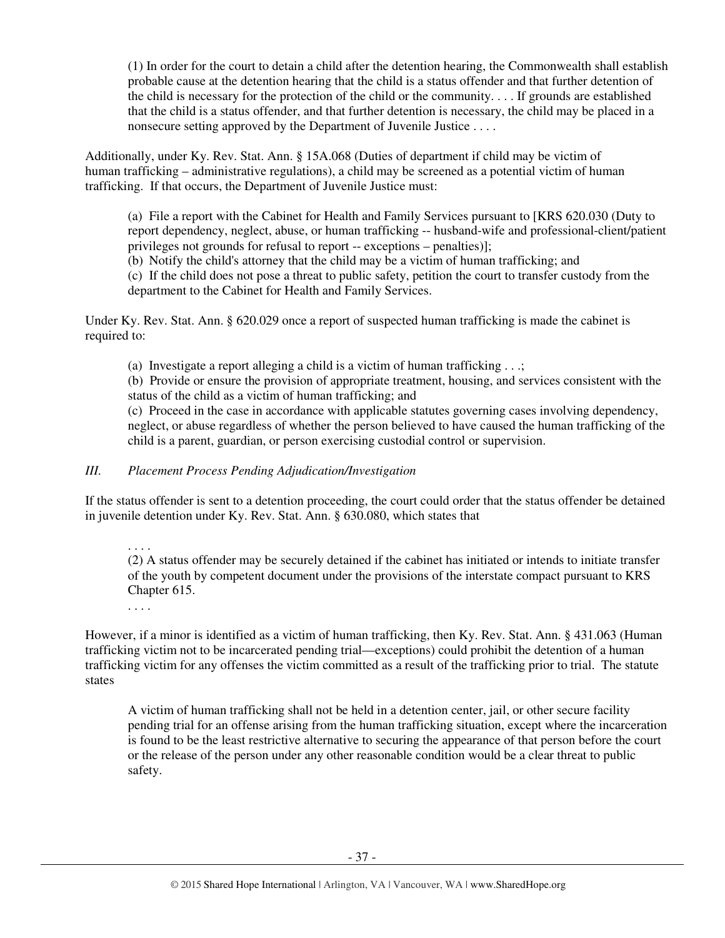(1) In order for the court to detain a child after the detention hearing, the Commonwealth shall establish probable cause at the detention hearing that the child is a status offender and that further detention of the child is necessary for the protection of the child or the community. . . . If grounds are established that the child is a status offender, and that further detention is necessary, the child may be placed in a nonsecure setting approved by the Department of Juvenile Justice . . . .

Additionally, under Ky. Rev. Stat. Ann. § 15A.068 (Duties of department if child may be victim of human trafficking – administrative regulations), a child may be screened as a potential victim of human trafficking. If that occurs, the Department of Juvenile Justice must:

(a) File a report with the Cabinet for Health and Family Services pursuant to [KRS 620.030 (Duty to report dependency, neglect, abuse, or human trafficking -- husband-wife and professional-client/patient privileges not grounds for refusal to report -- exceptions – penalties)];

(b) Notify the child's attorney that the child may be a victim of human trafficking; and

(c) If the child does not pose a threat to public safety, petition the court to transfer custody from the department to the Cabinet for Health and Family Services.

Under Ky. Rev. Stat. Ann. § 620.029 once a report of suspected human trafficking is made the cabinet is required to:

(a) Investigate a report alleging a child is a victim of human trafficking  $\dots$ ;

(b) Provide or ensure the provision of appropriate treatment, housing, and services consistent with the status of the child as a victim of human trafficking; and

(c) Proceed in the case in accordance with applicable statutes governing cases involving dependency, neglect, or abuse regardless of whether the person believed to have caused the human trafficking of the child is a parent, guardian, or person exercising custodial control or supervision.

# *III. Placement Process Pending Adjudication/Investigation*

If the status offender is sent to a detention proceeding, the court could order that the status offender be detained in juvenile detention under Ky. Rev. Stat. Ann. § 630.080, which states that

. . . .

(2) A status offender may be securely detained if the cabinet has initiated or intends to initiate transfer of the youth by competent document under the provisions of the interstate compact pursuant to KRS Chapter 615.

. . . .

However, if a minor is identified as a victim of human trafficking, then Ky. Rev. Stat. Ann. § 431.063 (Human trafficking victim not to be incarcerated pending trial—exceptions) could prohibit the detention of a human trafficking victim for any offenses the victim committed as a result of the trafficking prior to trial. The statute states

A victim of human trafficking shall not be held in a detention center, jail, or other secure facility pending trial for an offense arising from the human trafficking situation, except where the incarceration is found to be the least restrictive alternative to securing the appearance of that person before the court or the release of the person under any other reasonable condition would be a clear threat to public safety.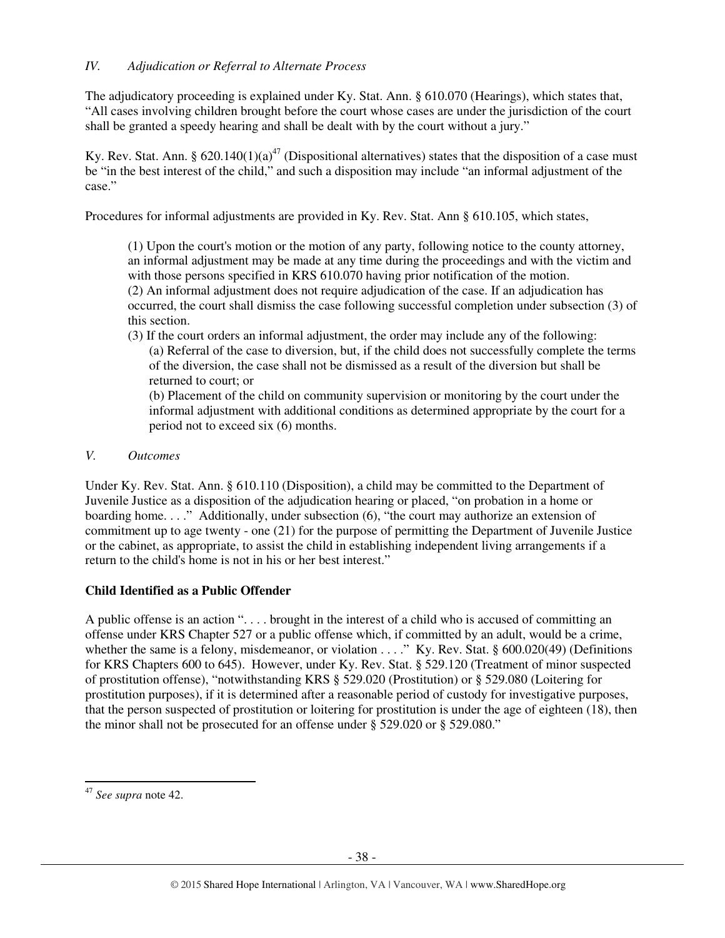The adjudicatory proceeding is explained under Ky. Stat. Ann. § 610.070 (Hearings), which states that, "All cases involving children brought before the court whose cases are under the jurisdiction of the court shall be granted a speedy hearing and shall be dealt with by the court without a jury."

Ky. Rev. Stat. Ann. § 620.140(1)(a)<sup>47</sup> (Dispositional alternatives) states that the disposition of a case must be "in the best interest of the child," and such a disposition may include "an informal adjustment of the case."

Procedures for informal adjustments are provided in Ky. Rev. Stat. Ann § 610.105, which states,

(1) Upon the court's motion or the motion of any party, following notice to the county attorney, an informal adjustment may be made at any time during the proceedings and with the victim and with those persons specified in KRS 610.070 having prior notification of the motion. (2) An informal adjustment does not require adjudication of the case. If an adjudication has occurred, the court shall dismiss the case following successful completion under subsection (3) of this section.

(3) If the court orders an informal adjustment, the order may include any of the following: (a) Referral of the case to diversion, but, if the child does not successfully complete the terms of the diversion, the case shall not be dismissed as a result of the diversion but shall be returned to court; or

(b) Placement of the child on community supervision or monitoring by the court under the informal adjustment with additional conditions as determined appropriate by the court for a period not to exceed six (6) months.

# *V. Outcomes*

Under Ky. Rev. Stat. Ann. § 610.110 (Disposition), a child may be committed to the Department of Juvenile Justice as a disposition of the adjudication hearing or placed, "on probation in a home or boarding home...." Additionally, under subsection (6), "the court may authorize an extension of commitment up to age twenty - one (21) for the purpose of permitting the Department of Juvenile Justice or the cabinet, as appropriate, to assist the child in establishing independent living arrangements if a return to the child's home is not in his or her best interest."

# **Child Identified as a Public Offender**

A public offense is an action ". . . . brought in the interest of a child who is accused of committing an offense under KRS Chapter 527 or a public offense which, if committed by an adult, would be a crime, whether the same is a felony, misdemeanor, or violation . . . ." Ky. Rev. Stat. § 600.020(49) (Definitions for KRS Chapters 600 to 645). However, under Ky. Rev. Stat. § 529.120 (Treatment of minor suspected of prostitution offense), "notwithstanding KRS § 529.020 (Prostitution) or § 529.080 (Loitering for prostitution purposes), if it is determined after a reasonable period of custody for investigative purposes, that the person suspected of prostitution or loitering for prostitution is under the age of eighteen (18), then the minor shall not be prosecuted for an offense under § 529.020 or § 529.080."

 $\overline{a}$ 

<sup>47</sup> *See supra* note 42.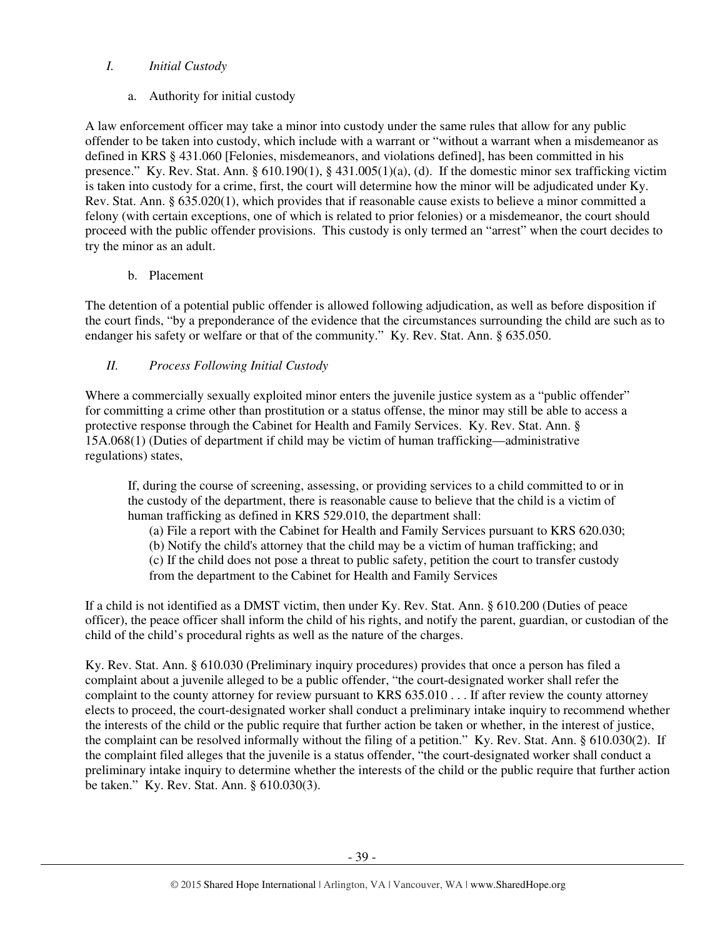# *I. Initial Custody*

a. Authority for initial custody

A law enforcement officer may take a minor into custody under the same rules that allow for any public offender to be taken into custody, which include with a warrant or "without a warrant when a misdemeanor as defined in KRS § 431.060 [Felonies, misdemeanors, and violations defined], has been committed in his presence." Ky. Rev. Stat. Ann.  $\S 610.190(1)$ ,  $\S 431.005(1)(a)$ , (d). If the domestic minor sex trafficking victim is taken into custody for a crime, first, the court will determine how the minor will be adjudicated under Ky. Rev. Stat. Ann. § 635.020(1), which provides that if reasonable cause exists to believe a minor committed a felony (with certain exceptions, one of which is related to prior felonies) or a misdemeanor, the court should proceed with the public offender provisions. This custody is only termed an "arrest" when the court decides to try the minor as an adult.

# b. Placement

The detention of a potential public offender is allowed following adjudication, as well as before disposition if the court finds, "by a preponderance of the evidence that the circumstances surrounding the child are such as to endanger his safety or welfare or that of the community." Ky. Rev. Stat. Ann. § 635.050.

# *II. Process Following Initial Custody*

Where a commercially sexually exploited minor enters the juvenile justice system as a "public offender" for committing a crime other than prostitution or a status offense, the minor may still be able to access a protective response through the Cabinet for Health and Family Services. Ky. Rev. Stat. Ann. § 15A.068(1) (Duties of department if child may be victim of human trafficking—administrative regulations) states,

If, during the course of screening, assessing, or providing services to a child committed to or in the custody of the department, there is reasonable cause to believe that the child is a victim of human trafficking as defined in KRS 529.010, the department shall:

(a) File a report with the Cabinet for Health and Family Services pursuant to KRS 620.030;

(b) Notify the child's attorney that the child may be a victim of human trafficking; and

(c) If the child does not pose a threat to public safety, petition the court to transfer custody from the department to the Cabinet for Health and Family Services

If a child is not identified as a DMST victim, then under Ky. Rev. Stat. Ann. § 610.200 (Duties of peace officer), the peace officer shall inform the child of his rights, and notify the parent, guardian, or custodian of the child of the child's procedural rights as well as the nature of the charges.

Ky. Rev. Stat. Ann. § 610.030 (Preliminary inquiry procedures) provides that once a person has filed a complaint about a juvenile alleged to be a public offender, "the court-designated worker shall refer the complaint to the county attorney for review pursuant to KRS 635.010 . . . If after review the county attorney elects to proceed, the court-designated worker shall conduct a preliminary intake inquiry to recommend whether the interests of the child or the public require that further action be taken or whether, in the interest of justice, the complaint can be resolved informally without the filing of a petition." Ky. Rev. Stat. Ann. § 610.030(2). If the complaint filed alleges that the juvenile is a status offender, "the court-designated worker shall conduct a preliminary intake inquiry to determine whether the interests of the child or the public require that further action be taken." Ky. Rev. Stat. Ann. § 610.030(3).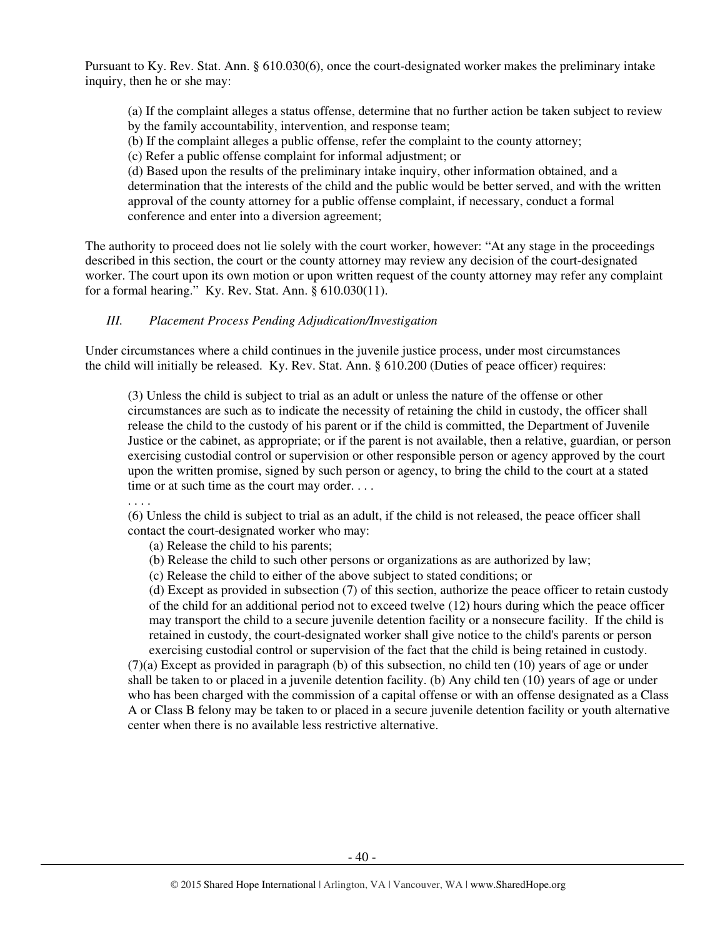Pursuant to Ky. Rev. Stat. Ann. § 610.030(6), once the court-designated worker makes the preliminary intake inquiry, then he or she may:

(a) If the complaint alleges a status offense, determine that no further action be taken subject to review by the family accountability, intervention, and response team;

(b) If the complaint alleges a public offense, refer the complaint to the county attorney;

(c) Refer a public offense complaint for informal adjustment; or

(d) Based upon the results of the preliminary intake inquiry, other information obtained, and a determination that the interests of the child and the public would be better served, and with the written approval of the county attorney for a public offense complaint, if necessary, conduct a formal conference and enter into a diversion agreement;

The authority to proceed does not lie solely with the court worker, however: "At any stage in the proceedings described in this section, the court or the county attorney may review any decision of the court-designated worker. The court upon its own motion or upon written request of the county attorney may refer any complaint for a formal hearing." Ky. Rev. Stat. Ann. § 610.030(11).

# *III. Placement Process Pending Adjudication/Investigation*

Under circumstances where a child continues in the juvenile justice process, under most circumstances the child will initially be released. Ky. Rev. Stat. Ann. § 610.200 (Duties of peace officer) requires:

(3) Unless the child is subject to trial as an adult or unless the nature of the offense or other circumstances are such as to indicate the necessity of retaining the child in custody, the officer shall release the child to the custody of his parent or if the child is committed, the Department of Juvenile Justice or the cabinet, as appropriate; or if the parent is not available, then a relative, guardian, or person exercising custodial control or supervision or other responsible person or agency approved by the court upon the written promise, signed by such person or agency, to bring the child to the court at a stated time or at such time as the court may order. . . .

. . . .

(6) Unless the child is subject to trial as an adult, if the child is not released, the peace officer shall contact the court-designated worker who may:

(a) Release the child to his parents;

(b) Release the child to such other persons or organizations as are authorized by law;

(c) Release the child to either of the above subject to stated conditions; or

(d) Except as provided in subsection (7) of this section, authorize the peace officer to retain custody of the child for an additional period not to exceed twelve (12) hours during which the peace officer may transport the child to a secure juvenile detention facility or a nonsecure facility. If the child is retained in custody, the court-designated worker shall give notice to the child's parents or person exercising custodial control or supervision of the fact that the child is being retained in custody.

(7)(a) Except as provided in paragraph (b) of this subsection, no child ten (10) years of age or under shall be taken to or placed in a juvenile detention facility. (b) Any child ten (10) years of age or under who has been charged with the commission of a capital offense or with an offense designated as a Class A or Class B felony may be taken to or placed in a secure juvenile detention facility or youth alternative center when there is no available less restrictive alternative.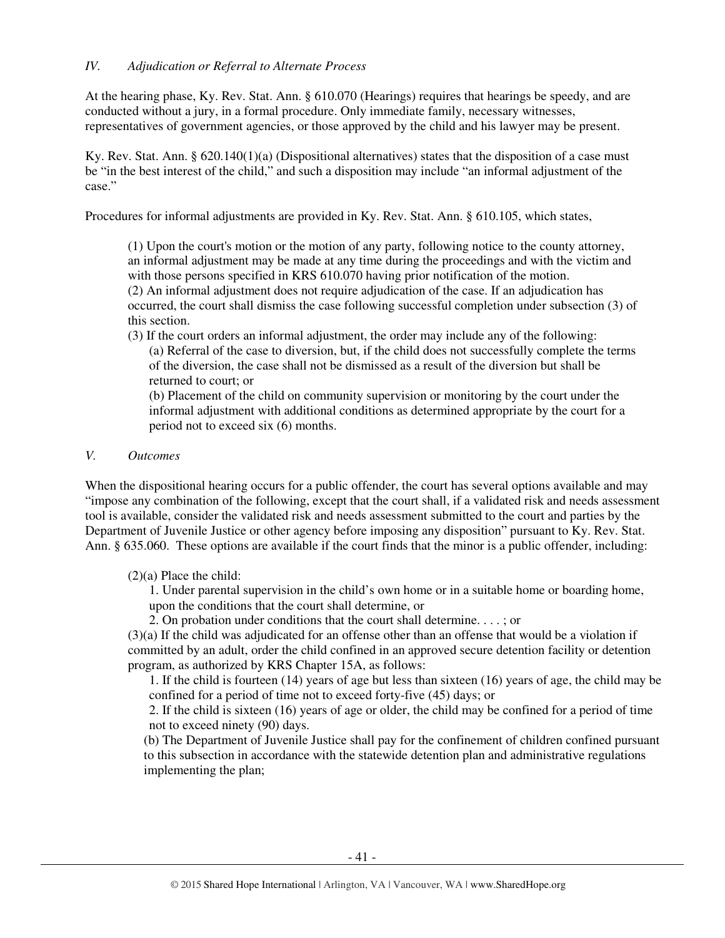At the hearing phase, Ky. Rev. Stat. Ann. § 610.070 (Hearings) requires that hearings be speedy, and are conducted without a jury, in a formal procedure. Only immediate family, necessary witnesses, representatives of government agencies, or those approved by the child and his lawyer may be present.

Ky. Rev. Stat. Ann. § 620.140(1)(a) (Dispositional alternatives) states that the disposition of a case must be "in the best interest of the child," and such a disposition may include "an informal adjustment of the case."

Procedures for informal adjustments are provided in Ky. Rev. Stat. Ann. § 610.105, which states,

(1) Upon the court's motion or the motion of any party, following notice to the county attorney, an informal adjustment may be made at any time during the proceedings and with the victim and with those persons specified in KRS 610.070 having prior notification of the motion. (2) An informal adjustment does not require adjudication of the case. If an adjudication has occurred, the court shall dismiss the case following successful completion under subsection (3) of this section.

(3) If the court orders an informal adjustment, the order may include any of the following: (a) Referral of the case to diversion, but, if the child does not successfully complete the terms of the diversion, the case shall not be dismissed as a result of the diversion but shall be returned to court; or

(b) Placement of the child on community supervision or monitoring by the court under the informal adjustment with additional conditions as determined appropriate by the court for a period not to exceed six (6) months.

### *V. Outcomes*

When the dispositional hearing occurs for a public offender, the court has several options available and may "impose any combination of the following, except that the court shall, if a validated risk and needs assessment tool is available, consider the validated risk and needs assessment submitted to the court and parties by the Department of Juvenile Justice or other agency before imposing any disposition" pursuant to Ky. Rev. Stat. Ann. § 635.060. These options are available if the court finds that the minor is a public offender, including:

(2)(a) Place the child:

1. Under parental supervision in the child's own home or in a suitable home or boarding home, upon the conditions that the court shall determine, or

2. On probation under conditions that the court shall determine. . . . ; or

(3)(a) If the child was adjudicated for an offense other than an offense that would be a violation if committed by an adult, order the child confined in an approved secure detention facility or detention program, as authorized by KRS Chapter 15A, as follows:

1. If the child is fourteen (14) years of age but less than sixteen (16) years of age, the child may be confined for a period of time not to exceed forty-five (45) days; or

2. If the child is sixteen (16) years of age or older, the child may be confined for a period of time not to exceed ninety (90) days.

(b) The Department of Juvenile Justice shall pay for the confinement of children confined pursuant to this subsection in accordance with the statewide detention plan and administrative regulations implementing the plan;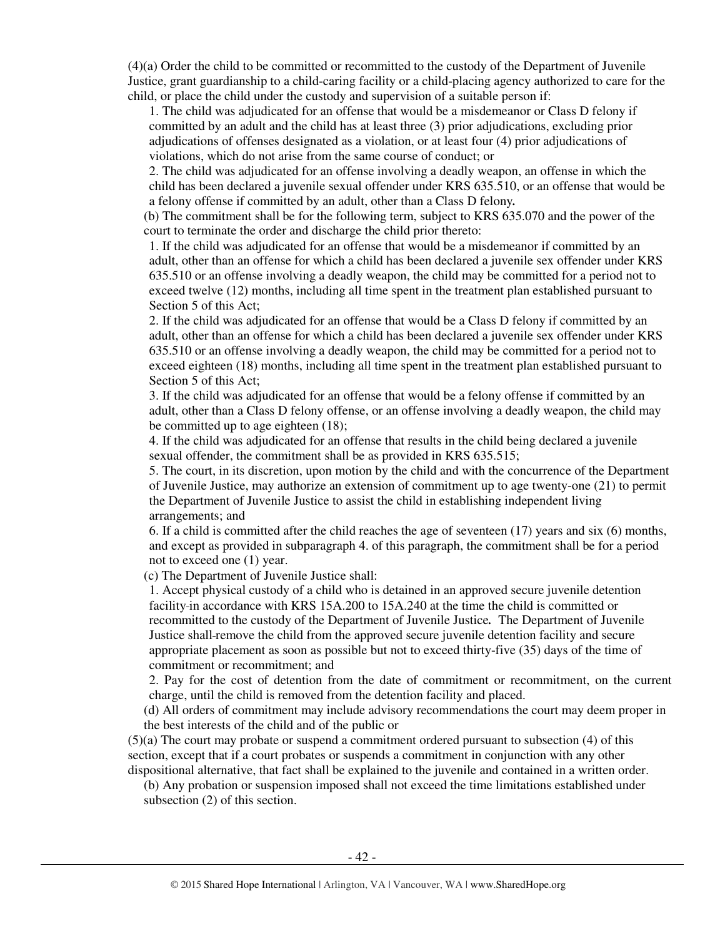(4)(a) Order the child to be committed or recommitted to the custody of the Department of Juvenile Justice, grant guardianship to a child-caring facility or a child-placing agency authorized to care for the child, or place the child under the custody and supervision of a suitable person if:

1. The child was adjudicated for an offense that would be a misdemeanor or Class D felony if committed by an adult and the child has at least three (3) prior adjudications, excluding prior adjudications of offenses designated as a violation, or at least four (4) prior adjudications of violations, which do not arise from the same course of conduct; or

2. The child was adjudicated for an offense involving a deadly weapon, an offense in which the child has been declared a juvenile sexual offender under KRS 635.510, or an offense that would be a felony offense if committed by an adult, other than a Class D felony*.* 

(b) The commitment shall be for the following term, subject to KRS 635.070 and the power of the court to terminate the order and discharge the child prior thereto:

1. If the child was adjudicated for an offense that would be a misdemeanor if committed by an adult, other than an offense for which a child has been declared a juvenile sex offender under KRS 635.510 or an offense involving a deadly weapon, the child may be committed for a period not to exceed twelve (12) months, including all time spent in the treatment plan established pursuant to Section 5 of this Act;

2. If the child was adjudicated for an offense that would be a Class D felony if committed by an adult, other than an offense for which a child has been declared a juvenile sex offender under KRS 635.510 or an offense involving a deadly weapon, the child may be committed for a period not to exceed eighteen (18) months, including all time spent in the treatment plan established pursuant to Section 5 of this Act;

3. If the child was adjudicated for an offense that would be a felony offense if committed by an adult, other than a Class D felony offense, or an offense involving a deadly weapon, the child may be committed up to age eighteen (18);

4. If the child was adjudicated for an offense that results in the child being declared a juvenile sexual offender, the commitment shall be as provided in KRS 635.515;

5. The court, in its discretion, upon motion by the child and with the concurrence of the Department of Juvenile Justice, may authorize an extension of commitment up to age twenty-one (21) to permit the Department of Juvenile Justice to assist the child in establishing independent living arrangements; and

6. If a child is committed after the child reaches the age of seventeen (17) years and six (6) months, and except as provided in subparagraph 4. of this paragraph, the commitment shall be for a period not to exceed one (1) year.

(c) The Department of Juvenile Justice shall:

1. Accept physical custody of a child who is detained in an approved secure juvenile detention facility in accordance with KRS 15A.200 to 15A.240 at the time the child is committed or recommitted to the custody of the Department of Juvenile Justice*.* The Department of Juvenile Justice shall remove the child from the approved secure juvenile detention facility and secure appropriate placement as soon as possible but not to exceed thirty-five (35) days of the time of commitment or recommitment; and

2. Pay for the cost of detention from the date of commitment or recommitment, on the current charge, until the child is removed from the detention facility and placed.

(d) All orders of commitment may include advisory recommendations the court may deem proper in the best interests of the child and of the public or

(5)(a) The court may probate or suspend a commitment ordered pursuant to subsection (4) of this section, except that if a court probates or suspends a commitment in conjunction with any other dispositional alternative, that fact shall be explained to the juvenile and contained in a written order.

(b) Any probation or suspension imposed shall not exceed the time limitations established under subsection (2) of this section.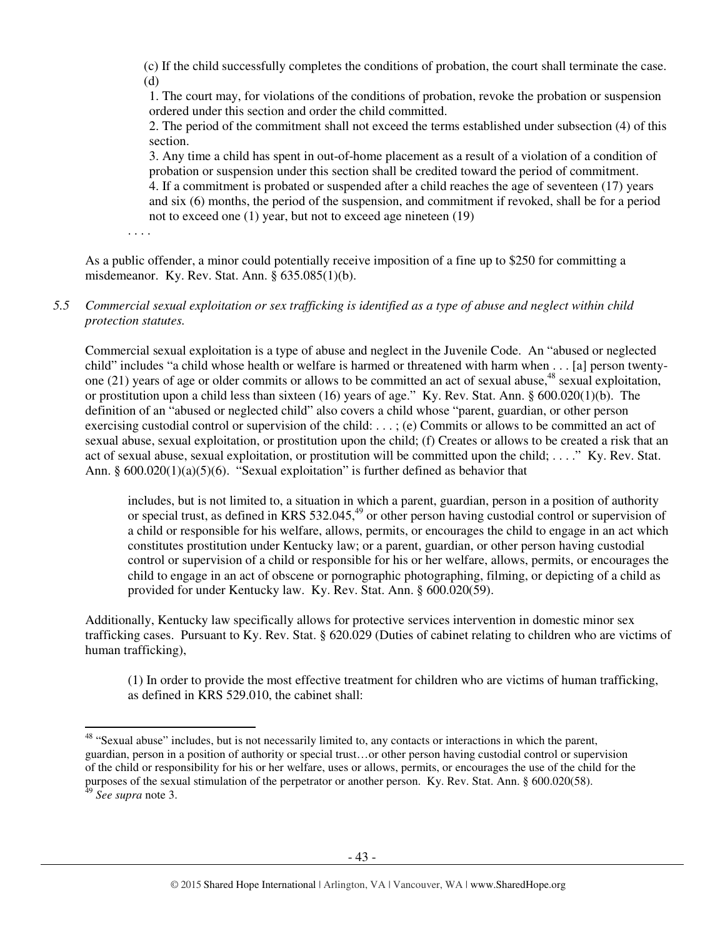(c) If the child successfully completes the conditions of probation, the court shall terminate the case. (d)

1. The court may, for violations of the conditions of probation, revoke the probation or suspension ordered under this section and order the child committed.

2. The period of the commitment shall not exceed the terms established under subsection (4) of this section.

3. Any time a child has spent in out-of-home placement as a result of a violation of a condition of probation or suspension under this section shall be credited toward the period of commitment. 4. If a commitment is probated or suspended after a child reaches the age of seventeen (17) years and six (6) months, the period of the suspension, and commitment if revoked, shall be for a period not to exceed one (1) year, but not to exceed age nineteen (19)

. . . .

l

As a public offender, a minor could potentially receive imposition of a fine up to \$250 for committing a misdemeanor. Ky. Rev. Stat. Ann. § 635.085(1)(b).

# *5.5 Commercial sexual exploitation or sex trafficking is identified as a type of abuse and neglect within child protection statutes.*

Commercial sexual exploitation is a type of abuse and neglect in the Juvenile Code. An "abused or neglected child" includes "a child whose health or welfare is harmed or threatened with harm when . . . [a] person twentyone (21) years of age or older commits or allows to be committed an act of sexual abuse,  $48$  sexual exploitation, or prostitution upon a child less than sixteen (16) years of age." Ky. Rev. Stat. Ann. § 600.020(1)(b). The definition of an "abused or neglected child" also covers a child whose "parent, guardian, or other person exercising custodial control or supervision of the child: . . . ; (e) Commits or allows to be committed an act of sexual abuse, sexual exploitation, or prostitution upon the child; (f) Creates or allows to be created a risk that an act of sexual abuse, sexual exploitation, or prostitution will be committed upon the child; . . . ." Ky. Rev. Stat. Ann. §  $600.020(1)(a)(5)(6)$ . "Sexual exploitation" is further defined as behavior that

includes, but is not limited to, a situation in which a parent, guardian, person in a position of authority or special trust, as defined in KRS 532.045,<sup>49</sup> or other person having custodial control or supervision of a child or responsible for his welfare, allows, permits, or encourages the child to engage in an act which constitutes prostitution under Kentucky law; or a parent, guardian, or other person having custodial control or supervision of a child or responsible for his or her welfare, allows, permits, or encourages the child to engage in an act of obscene or pornographic photographing, filming, or depicting of a child as provided for under Kentucky law. Ky. Rev. Stat. Ann. § 600.020(59).

Additionally, Kentucky law specifically allows for protective services intervention in domestic minor sex trafficking cases. Pursuant to Ky. Rev. Stat. § 620.029 (Duties of cabinet relating to children who are victims of human trafficking),

(1) In order to provide the most effective treatment for children who are victims of human trafficking, as defined in KRS 529.010, the cabinet shall:

<sup>&</sup>lt;sup>48</sup> "Sexual abuse" includes, but is not necessarily limited to, any contacts or interactions in which the parent, guardian, person in a position of authority or special trust…or other person having custodial control or supervision of the child or responsibility for his or her welfare, uses or allows, permits, or encourages the use of the child for the purposes of the sexual stimulation of the perpetrator or another person. Ky. Rev. Stat. Ann. § 600.020(58). <sup>49</sup> *See supra* note 3.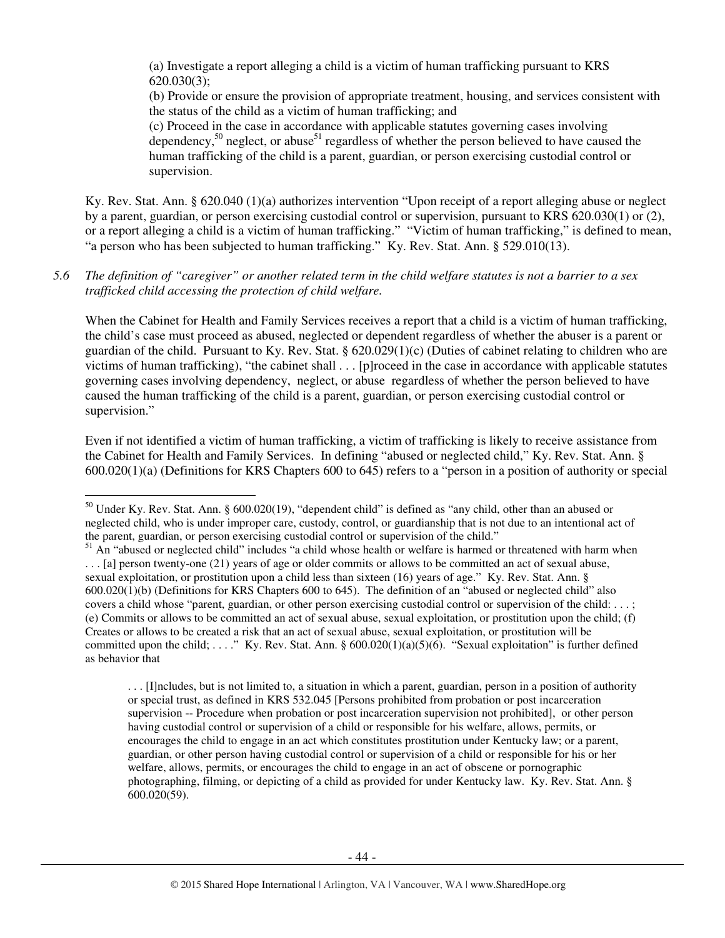(a) Investigate a report alleging a child is a victim of human trafficking pursuant to KRS 620.030(3);

(b) Provide or ensure the provision of appropriate treatment, housing, and services consistent with the status of the child as a victim of human trafficking; and

(c) Proceed in the case in accordance with applicable statutes governing cases involving dependency,<sup>50</sup> neglect, or abuse<sup>51</sup> regardless of whether the person believed to have caused the human trafficking of the child is a parent, guardian, or person exercising custodial control or supervision.

Ky. Rev. Stat. Ann. § 620.040 (1)(a) authorizes intervention "Upon receipt of a report alleging abuse or neglect by a parent, guardian, or person exercising custodial control or supervision, pursuant to KRS 620.030(1) or (2), or a report alleging a child is a victim of human trafficking." "Victim of human trafficking," is defined to mean, "a person who has been subjected to human trafficking." Ky. Rev. Stat. Ann. § 529.010(13).

### *5.6 The definition of "caregiver" or another related term in the child welfare statutes is not a barrier to a sex trafficked child accessing the protection of child welfare.*

When the Cabinet for Health and Family Services receives a report that a child is a victim of human trafficking, the child's case must proceed as abused, neglected or dependent regardless of whether the abuser is a parent or guardian of the child. Pursuant to Ky. Rev. Stat. § 620.029(1)(c) (Duties of cabinet relating to children who are victims of human trafficking), "the cabinet shall . . . [p]roceed in the case in accordance with applicable statutes governing cases involving dependency, neglect, or abuse regardless of whether the person believed to have caused the human trafficking of the child is a parent, guardian, or person exercising custodial control or supervision."

Even if not identified a victim of human trafficking, a victim of trafficking is likely to receive assistance from the Cabinet for Health and Family Services. In defining "abused or neglected child," Ky. Rev. Stat. Ann. § 600.020(1)(a) (Definitions for KRS Chapters 600 to 645) refers to a "person in a position of authority or special

 $\overline{a}$ 

. . . [I]ncludes, but is not limited to, a situation in which a parent, guardian, person in a position of authority or special trust, as defined in KRS 532.045 [Persons prohibited from probation or post incarceration supervision -- Procedure when probation or post incarceration supervision not prohibited], or other person having custodial control or supervision of a child or responsible for his welfare, allows, permits, or encourages the child to engage in an act which constitutes prostitution under Kentucky law; or a parent, guardian, or other person having custodial control or supervision of a child or responsible for his or her welfare, allows, permits, or encourages the child to engage in an act of obscene or pornographic photographing, filming, or depicting of a child as provided for under Kentucky law. Ky. Rev. Stat. Ann. § 600.020(59).

<sup>&</sup>lt;sup>50</sup> Under Ky. Rev. Stat. Ann. § 600.020(19), "dependent child" is defined as "any child, other than an abused or neglected child, who is under improper care, custody, control, or guardianship that is not due to an intentional act of the parent, guardian, or person exercising custodial control or supervision of the child."

<sup>&</sup>lt;sup>51</sup> An "abused or neglected child" includes "a child whose health or welfare is harmed or threatened with harm when . . . [a] person twenty-one (21) years of age or older commits or allows to be committed an act of sexual abuse, sexual exploitation, or prostitution upon a child less than sixteen (16) years of age." Ky. Rev. Stat. Ann. § 600.020(1)(b) (Definitions for KRS Chapters 600 to 645). The definition of an "abused or neglected child" also covers a child whose "parent, guardian, or other person exercising custodial control or supervision of the child: . . . ; (e) Commits or allows to be committed an act of sexual abuse, sexual exploitation, or prostitution upon the child; (f) Creates or allows to be created a risk that an act of sexual abuse, sexual exploitation, or prostitution will be committed upon the child; ...." Ky. Rev. Stat. Ann. § 600.020(1)(a)(5)(6). "Sexual exploitation" is further defined as behavior that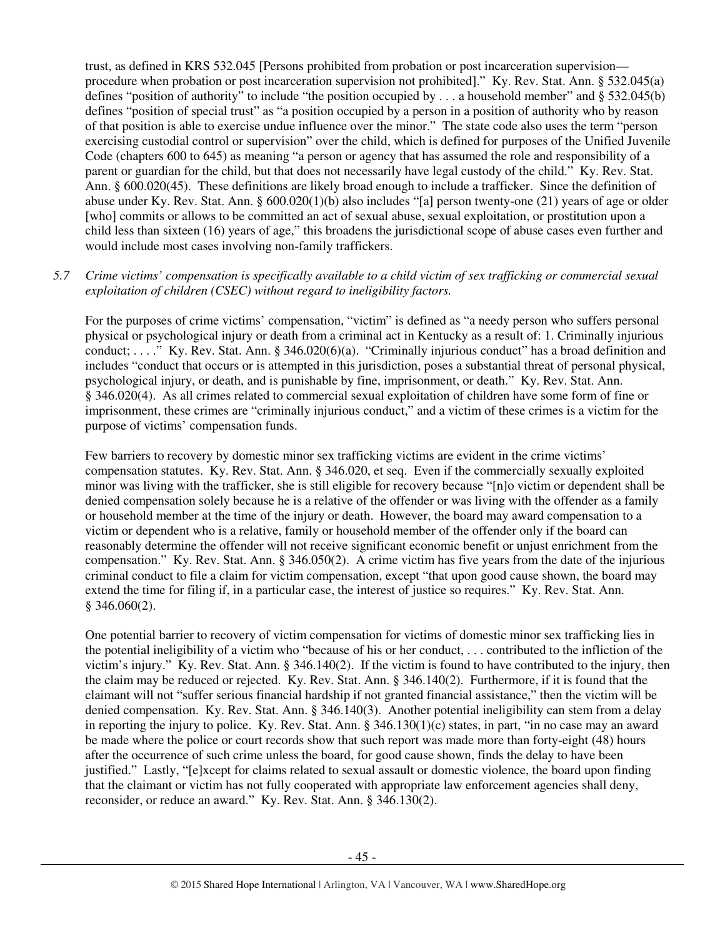trust, as defined in KRS 532.045 [Persons prohibited from probation or post incarceration supervision procedure when probation or post incarceration supervision not prohibited]." Ky. Rev. Stat. Ann. § 532.045(a) defines "position of authority" to include "the position occupied by . . . a household member" and § 532.045(b) defines "position of special trust" as "a position occupied by a person in a position of authority who by reason of that position is able to exercise undue influence over the minor." The state code also uses the term "person exercising custodial control or supervision" over the child, which is defined for purposes of the Unified Juvenile Code (chapters 600 to 645) as meaning "a person or agency that has assumed the role and responsibility of a parent or guardian for the child, but that does not necessarily have legal custody of the child." Ky. Rev. Stat. Ann. § 600.020(45). These definitions are likely broad enough to include a trafficker. Since the definition of abuse under Ky. Rev. Stat. Ann. § 600.020(1)(b) also includes "[a] person twenty-one (21) years of age or older [who] commits or allows to be committed an act of sexual abuse, sexual exploitation, or prostitution upon a child less than sixteen (16) years of age," this broadens the jurisdictional scope of abuse cases even further and would include most cases involving non-family traffickers.

# *5.7 Crime victims' compensation is specifically available to a child victim of sex trafficking or commercial sexual exploitation of children (CSEC) without regard to ineligibility factors.*

For the purposes of crime victims' compensation, "victim" is defined as "a needy person who suffers personal physical or psychological injury or death from a criminal act in Kentucky as a result of: 1. Criminally injurious conduct; . . . ." Ky. Rev. Stat. Ann. § 346.020(6)(a). "Criminally injurious conduct" has a broad definition and includes "conduct that occurs or is attempted in this jurisdiction, poses a substantial threat of personal physical, psychological injury, or death, and is punishable by fine, imprisonment, or death." Ky. Rev. Stat. Ann. § 346.020(4). As all crimes related to commercial sexual exploitation of children have some form of fine or imprisonment, these crimes are "criminally injurious conduct," and a victim of these crimes is a victim for the purpose of victims' compensation funds.

Few barriers to recovery by domestic minor sex trafficking victims are evident in the crime victims' compensation statutes. Ky. Rev. Stat. Ann. § 346.020, et seq. Even if the commercially sexually exploited minor was living with the trafficker, she is still eligible for recovery because "[n]o victim or dependent shall be denied compensation solely because he is a relative of the offender or was living with the offender as a family or household member at the time of the injury or death. However, the board may award compensation to a victim or dependent who is a relative, family or household member of the offender only if the board can reasonably determine the offender will not receive significant economic benefit or unjust enrichment from the compensation." Ky. Rev. Stat. Ann. § 346.050(2). A crime victim has five years from the date of the injurious criminal conduct to file a claim for victim compensation, except "that upon good cause shown, the board may extend the time for filing if, in a particular case, the interest of justice so requires." Ky. Rev. Stat. Ann. § 346.060(2).

One potential barrier to recovery of victim compensation for victims of domestic minor sex trafficking lies in the potential ineligibility of a victim who "because of his or her conduct, . . . contributed to the infliction of the victim's injury." Ky. Rev. Stat. Ann. § 346.140(2). If the victim is found to have contributed to the injury, then the claim may be reduced or rejected. Ky. Rev. Stat. Ann. § 346.140(2). Furthermore, if it is found that the claimant will not "suffer serious financial hardship if not granted financial assistance," then the victim will be denied compensation. Ky. Rev. Stat. Ann. § 346.140(3). Another potential ineligibility can stem from a delay in reporting the injury to police. Ky. Rev. Stat. Ann.  $\S 346.130(1)(c)$  states, in part, "in no case may an award be made where the police or court records show that such report was made more than forty-eight (48) hours after the occurrence of such crime unless the board, for good cause shown, finds the delay to have been justified." Lastly, "[e]xcept for claims related to sexual assault or domestic violence, the board upon finding that the claimant or victim has not fully cooperated with appropriate law enforcement agencies shall deny, reconsider, or reduce an award." Ky. Rev. Stat. Ann. § 346.130(2).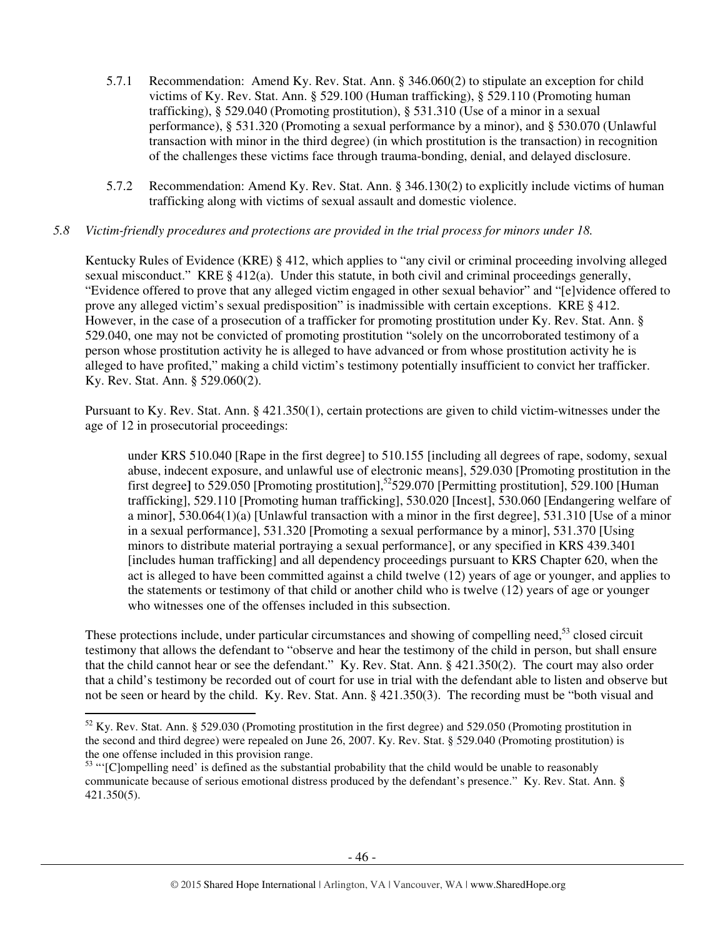- 5.7.1 Recommendation: Amend Ky. Rev. Stat. Ann. § 346.060(2) to stipulate an exception for child victims of Ky. Rev. Stat. Ann. § 529.100 (Human trafficking), § 529.110 (Promoting human trafficking), § 529.040 (Promoting prostitution), § 531.310 (Use of a minor in a sexual performance), § 531.320 (Promoting a sexual performance by a minor), and § 530.070 (Unlawful transaction with minor in the third degree) (in which prostitution is the transaction) in recognition of the challenges these victims face through trauma-bonding, denial, and delayed disclosure.
- 5.7.2 Recommendation: Amend Ky. Rev. Stat. Ann. § 346.130(2) to explicitly include victims of human trafficking along with victims of sexual assault and domestic violence.

### *5.8 Victim-friendly procedures and protections are provided in the trial process for minors under 18.*

Kentucky Rules of Evidence (KRE) § 412, which applies to "any civil or criminal proceeding involving alleged sexual misconduct." KRE § 412(a). Under this statute, in both civil and criminal proceedings generally. "Evidence offered to prove that any alleged victim engaged in other sexual behavior" and "[e]vidence offered to prove any alleged victim's sexual predisposition" is inadmissible with certain exceptions. KRE § 412. However, in the case of a prosecution of a trafficker for promoting prostitution under Ky. Rev. Stat. Ann. § 529.040, one may not be convicted of promoting prostitution "solely on the uncorroborated testimony of a person whose prostitution activity he is alleged to have advanced or from whose prostitution activity he is alleged to have profited," making a child victim's testimony potentially insufficient to convict her trafficker. Ky. Rev. Stat. Ann. § 529.060(2).

Pursuant to Ky. Rev. Stat. Ann. § 421.350(1), certain protections are given to child victim-witnesses under the age of 12 in prosecutorial proceedings:

under KRS 510.040 [Rape in the first degree] to 510.155 [including all degrees of rape, sodomy, sexual abuse, indecent exposure, and unlawful use of electronic means], 529.030 [Promoting prostitution in the first degree<sup></sup> to 529.050 [Promoting prostitution],<sup>52</sup>529.070 [Permitting prostitution], 529.100 [Human] trafficking], 529.110 [Promoting human trafficking], 530.020 [Incest], 530.060 [Endangering welfare of a minor], 530.064(1)(a) [Unlawful transaction with a minor in the first degree], 531.310 [Use of a minor in a sexual performance], 531.320 [Promoting a sexual performance by a minor], 531.370 [Using minors to distribute material portraying a sexual performance], or any specified in KRS 439.3401 [includes human trafficking] and all dependency proceedings pursuant to KRS Chapter 620, when the act is alleged to have been committed against a child twelve (12) years of age or younger, and applies to the statements or testimony of that child or another child who is twelve (12) years of age or younger who witnesses one of the offenses included in this subsection.

These protections include, under particular circumstances and showing of compelling need,<sup>53</sup> closed circuit testimony that allows the defendant to "observe and hear the testimony of the child in person, but shall ensure that the child cannot hear or see the defendant." Ky. Rev. Stat. Ann. § 421.350(2). The court may also order that a child's testimony be recorded out of court for use in trial with the defendant able to listen and observe but not be seen or heard by the child. Ky. Rev. Stat. Ann. § 421.350(3). The recording must be "both visual and

l

<sup>52</sup> Ky. Rev. Stat. Ann. § 529.030 (Promoting prostitution in the first degree) and 529.050 (Promoting prostitution in the second and third degree) were repealed on June 26, 2007. Ky. Rev. Stat. § 529.040 (Promoting prostitution) is the one offense included in this provision range.

<sup>&</sup>lt;sup>53</sup> "'[C]ompelling need' is defined as the substantial probability that the child would be unable to reasonably communicate because of serious emotional distress produced by the defendant's presence." Ky. Rev. Stat. Ann. § 421.350(5).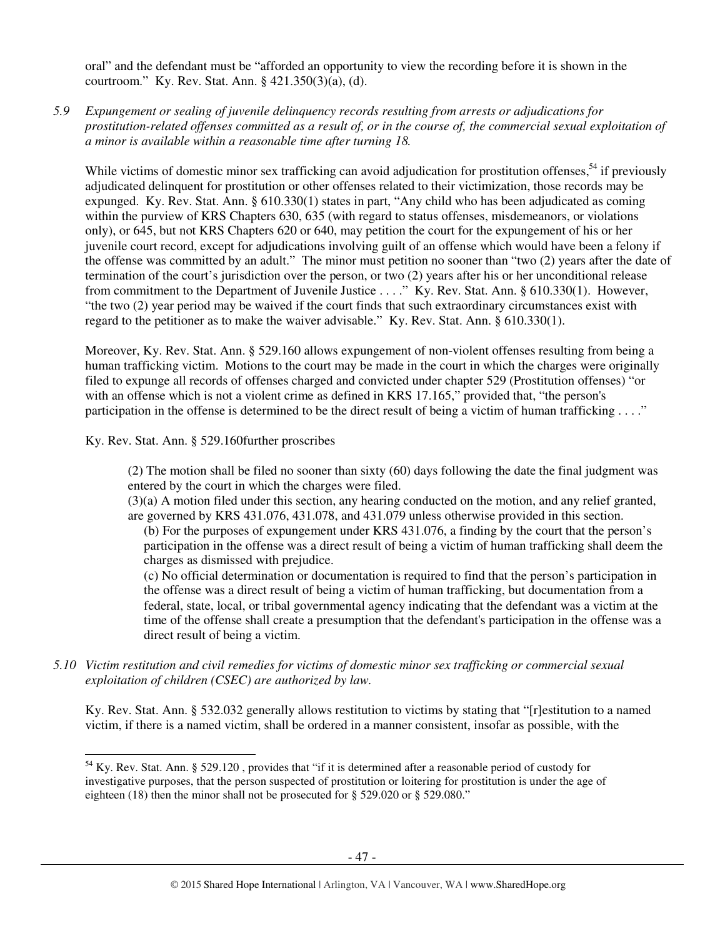oral" and the defendant must be "afforded an opportunity to view the recording before it is shown in the courtroom." Ky. Rev. Stat. Ann. § 421.350(3)(a), (d).

*5.9 Expungement or sealing of juvenile delinquency records resulting from arrests or adjudications for prostitution-related offenses committed as a result of, or in the course of, the commercial sexual exploitation of a minor is available within a reasonable time after turning 18.* 

While victims of domestic minor sex trafficking can avoid adjudication for prostitution offenses,<sup>54</sup> if previously adjudicated delinquent for prostitution or other offenses related to their victimization, those records may be expunged. Ky. Rev. Stat. Ann. § 610.330(1) states in part, "Any child who has been adjudicated as coming within the purview of KRS Chapters 630, 635 (with regard to status offenses, misdemeanors, or violations only), or 645, but not KRS Chapters 620 or 640, may petition the court for the expungement of his or her juvenile court record, except for adjudications involving guilt of an offense which would have been a felony if the offense was committed by an adult." The minor must petition no sooner than "two (2) years after the date of termination of the court's jurisdiction over the person, or two (2) years after his or her unconditional release from commitment to the Department of Juvenile Justice . . . ." Ky. Rev. Stat. Ann. § 610.330(1). However, "the two (2) year period may be waived if the court finds that such extraordinary circumstances exist with regard to the petitioner as to make the waiver advisable." Ky. Rev. Stat. Ann. § 610.330(1).

Moreover, Ky. Rev. Stat. Ann. § 529.160 allows expungement of non-violent offenses resulting from being a human trafficking victim. Motions to the court may be made in the court in which the charges were originally filed to expunge all records of offenses charged and convicted under chapter 529 (Prostitution offenses) "or with an offense which is not a violent crime as defined in KRS 17.165," provided that, "the person's participation in the offense is determined to be the direct result of being a victim of human trafficking . . . ."

Ky. Rev. Stat. Ann. § 529.160further proscribes

 $\overline{a}$ 

(2) The motion shall be filed no sooner than sixty (60) days following the date the final judgment was entered by the court in which the charges were filed.

(3)(a) A motion filed under this section, any hearing conducted on the motion, and any relief granted, are governed by KRS 431.076, 431.078, and 431.079 unless otherwise provided in this section.

(b) For the purposes of expungement under KRS 431.076, a finding by the court that the person's participation in the offense was a direct result of being a victim of human trafficking shall deem the charges as dismissed with prejudice.

(c) No official determination or documentation is required to find that the person's participation in the offense was a direct result of being a victim of human trafficking, but documentation from a federal, state, local, or tribal governmental agency indicating that the defendant was a victim at the time of the offense shall create a presumption that the defendant's participation in the offense was a direct result of being a victim.

*5.10 Victim restitution and civil remedies for victims of domestic minor sex trafficking or commercial sexual exploitation of children (CSEC) are authorized by law.* 

Ky. Rev. Stat. Ann. § 532.032 generally allows restitution to victims by stating that "[r]estitution to a named victim, if there is a named victim, shall be ordered in a manner consistent, insofar as possible, with the

<sup>&</sup>lt;sup>54</sup> Ky. Rev. Stat. Ann. § 529.120, provides that "if it is determined after a reasonable period of custody for investigative purposes, that the person suspected of prostitution or loitering for prostitution is under the age of eighteen (18) then the minor shall not be prosecuted for § 529.020 or § 529.080."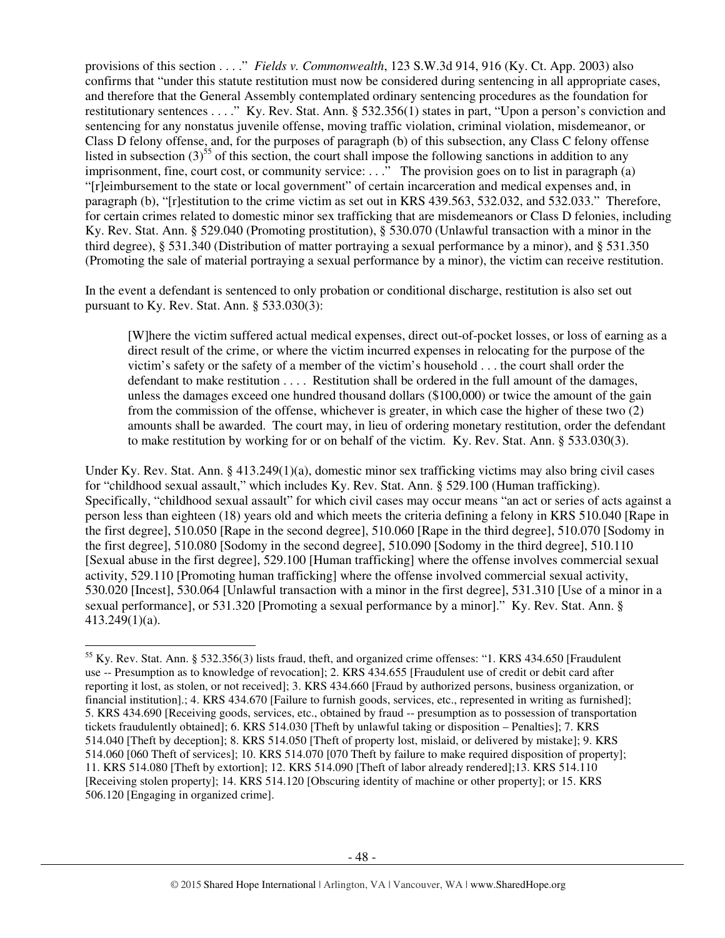provisions of this section . . . ." *Fields v. Commonwealth*, 123 S.W.3d 914, 916 (Ky. Ct. App. 2003) also confirms that "under this statute restitution must now be considered during sentencing in all appropriate cases, and therefore that the General Assembly contemplated ordinary sentencing procedures as the foundation for restitutionary sentences . . . ." Ky. Rev. Stat. Ann. § 532.356(1) states in part, "Upon a person's conviction and sentencing for any nonstatus juvenile offense, moving traffic violation, criminal violation, misdemeanor, or Class D felony offense, and, for the purposes of paragraph (b) of this subsection, any Class C felony offense listed in subsection  $(3)^{55}$  of this section, the court shall impose the following sanctions in addition to any imprisonment, fine, court cost, or community service: ...  $\cdot$ . The provision goes on to list in paragraph (a) "[r]eimbursement to the state or local government" of certain incarceration and medical expenses and, in paragraph (b), "[r]estitution to the crime victim as set out in KRS 439.563, 532.032, and 532.033." Therefore, for certain crimes related to domestic minor sex trafficking that are misdemeanors or Class D felonies, including Ky. Rev. Stat. Ann. § 529.040 (Promoting prostitution), § 530.070 (Unlawful transaction with a minor in the third degree), § 531.340 (Distribution of matter portraying a sexual performance by a minor), and § 531.350 (Promoting the sale of material portraying a sexual performance by a minor), the victim can receive restitution.

In the event a defendant is sentenced to only probation or conditional discharge, restitution is also set out pursuant to Ky. Rev. Stat. Ann. § 533.030(3):

[W]here the victim suffered actual medical expenses, direct out-of-pocket losses, or loss of earning as a direct result of the crime, or where the victim incurred expenses in relocating for the purpose of the victim's safety or the safety of a member of the victim's household . . . the court shall order the defendant to make restitution . . . . Restitution shall be ordered in the full amount of the damages, unless the damages exceed one hundred thousand dollars (\$100,000) or twice the amount of the gain from the commission of the offense, whichever is greater, in which case the higher of these two (2) amounts shall be awarded. The court may, in lieu of ordering monetary restitution, order the defendant to make restitution by working for or on behalf of the victim. Ky. Rev. Stat. Ann. § 533.030(3).

Under Ky. Rev. Stat. Ann. § 413.249(1)(a), domestic minor sex trafficking victims may also bring civil cases for "childhood sexual assault," which includes Ky. Rev. Stat. Ann. § 529.100 (Human trafficking). Specifically, "childhood sexual assault" for which civil cases may occur means "an act or series of acts against a person less than eighteen (18) years old and which meets the criteria defining a felony in KRS 510.040 [Rape in the first degree], 510.050 [Rape in the second degree], 510.060 [Rape in the third degree], 510.070 [Sodomy in the first degree], 510.080 [Sodomy in the second degree], 510.090 [Sodomy in the third degree], 510.110 [Sexual abuse in the first degree], 529.100 [Human trafficking] where the offense involves commercial sexual activity, 529.110 [Promoting human trafficking] where the offense involved commercial sexual activity, 530.020 [Incest], 530.064 [Unlawful transaction with a minor in the first degree], 531.310 [Use of a minor in a sexual performance], or 531.320 [Promoting a sexual performance by a minor]." Ky. Rev. Stat. Ann. § 413.249(1)(a).

 $\overline{a}$ 

<sup>55</sup> Ky. Rev. Stat. Ann. § 532.356(3) lists fraud, theft, and organized crime offenses: "1. KRS 434.650 [Fraudulent use -- Presumption as to knowledge of revocation]; 2. KRS 434.655 [Fraudulent use of credit or debit card after reporting it lost, as stolen, or not received]; 3. KRS 434.660 [Fraud by authorized persons, business organization, or financial institution].; 4. KRS 434.670 [Failure to furnish goods, services, etc., represented in writing as furnished]; 5. KRS 434.690 [Receiving goods, services, etc., obtained by fraud -- presumption as to possession of transportation tickets fraudulently obtained]; 6. KRS 514.030 [Theft by unlawful taking or disposition – Penalties]; 7. KRS 514.040 [Theft by deception]; 8. KRS 514.050 [Theft of property lost, mislaid, or delivered by mistake]; 9. KRS 514.060 [060 Theft of services]; 10. KRS 514.070 [070 Theft by failure to make required disposition of property]; 11. KRS 514.080 [Theft by extortion]; 12. KRS 514.090 [Theft of labor already rendered];13. KRS 514.110 [Receiving stolen property]; 14. KRS 514.120 [Obscuring identity of machine or other property]; or 15. KRS 506.120 [Engaging in organized crime].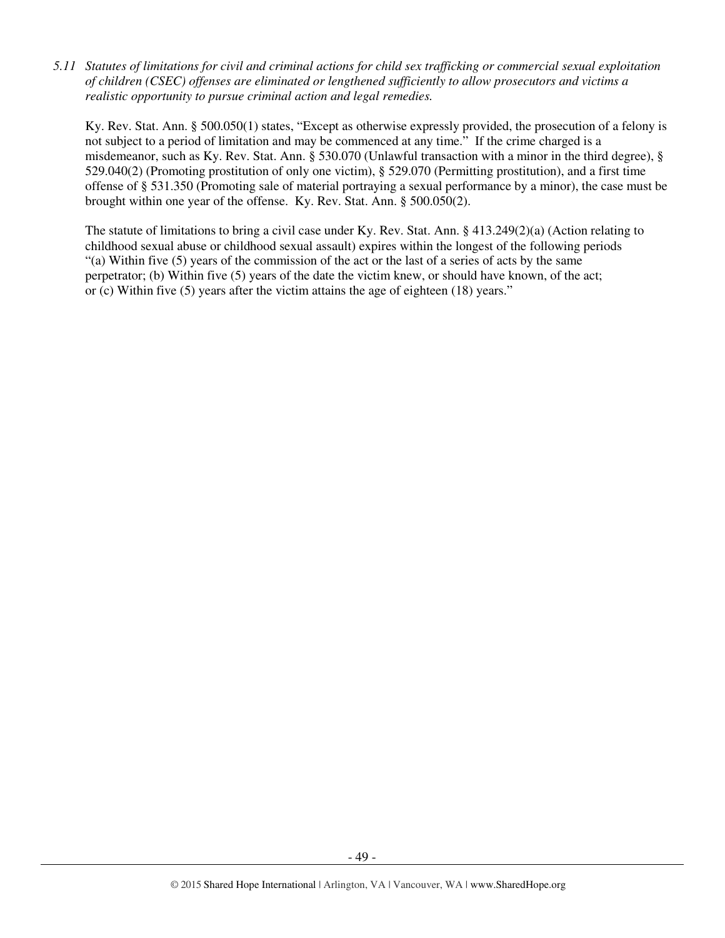*5.11 Statutes of limitations for civil and criminal actions for child sex trafficking or commercial sexual exploitation of children (CSEC) offenses are eliminated or lengthened sufficiently to allow prosecutors and victims a realistic opportunity to pursue criminal action and legal remedies.* 

Ky. Rev. Stat. Ann. § 500.050(1) states, "Except as otherwise expressly provided, the prosecution of a felony is not subject to a period of limitation and may be commenced at any time." If the crime charged is a misdemeanor, such as Ky. Rev. Stat. Ann. § 530.070 (Unlawful transaction with a minor in the third degree), § 529.040(2) (Promoting prostitution of only one victim), § 529.070 (Permitting prostitution), and a first time offense of § 531.350 (Promoting sale of material portraying a sexual performance by a minor), the case must be brought within one year of the offense. Ky. Rev. Stat. Ann. § 500.050(2).

The statute of limitations to bring a civil case under Ky. Rev. Stat. Ann. § 413.249(2)(a) (Action relating to childhood sexual abuse or childhood sexual assault) expires within the longest of the following periods "(a) Within five (5) years of the commission of the act or the last of a series of acts by the same perpetrator; (b) Within five (5) years of the date the victim knew, or should have known, of the act; or (c) Within five (5) years after the victim attains the age of eighteen (18) years."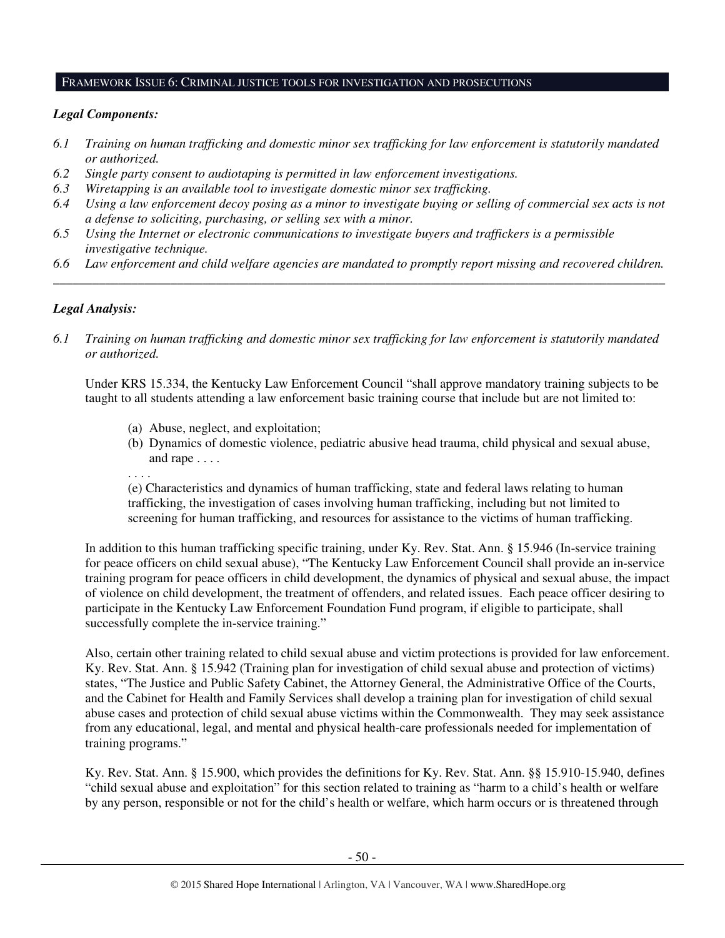#### FRAMEWORK ISSUE 6: CRIMINAL JUSTICE TOOLS FOR INVESTIGATION AND PROSECUTIONS

# *Legal Components:*

- *6.1 Training on human trafficking and domestic minor sex trafficking for law enforcement is statutorily mandated or authorized.*
- *6.2 Single party consent to audiotaping is permitted in law enforcement investigations.*
- *6.3 Wiretapping is an available tool to investigate domestic minor sex trafficking.*
- *6.4 Using a law enforcement decoy posing as a minor to investigate buying or selling of commercial sex acts is not a defense to soliciting, purchasing, or selling sex with a minor.*
- *6.5 Using the Internet or electronic communications to investigate buyers and traffickers is a permissible investigative technique.*
- *6.6 Law enforcement and child welfare agencies are mandated to promptly report missing and recovered children. \_\_\_\_\_\_\_\_\_\_\_\_\_\_\_\_\_\_\_\_\_\_\_\_\_\_\_\_\_\_\_\_\_\_\_\_\_\_\_\_\_\_\_\_\_\_\_\_\_\_\_\_\_\_\_\_\_\_\_\_\_\_\_\_\_\_\_\_\_\_\_\_\_\_\_\_\_\_\_\_\_\_\_\_\_\_\_\_\_\_\_\_\_\_*

# *Legal Analysis:*

*6.1 Training on human trafficking and domestic minor sex trafficking for law enforcement is statutorily mandated or authorized.*

Under KRS 15.334, the Kentucky Law Enforcement Council "shall approve mandatory training subjects to be taught to all students attending a law enforcement basic training course that include but are not limited to:

- (a) Abuse, neglect, and exploitation;
- (b) Dynamics of domestic violence, pediatric abusive head trauma, child physical and sexual abuse, and rape . . . .
- . . . .

(e) Characteristics and dynamics of human trafficking, state and federal laws relating to human trafficking, the investigation of cases involving human trafficking, including but not limited to screening for human trafficking, and resources for assistance to the victims of human trafficking.

In addition to this human trafficking specific training, under Ky. Rev. Stat. Ann. § 15.946 (In-service training for peace officers on child sexual abuse), "The Kentucky Law Enforcement Council shall provide an in-service training program for peace officers in child development, the dynamics of physical and sexual abuse, the impact of violence on child development, the treatment of offenders, and related issues. Each peace officer desiring to participate in the Kentucky Law Enforcement Foundation Fund program, if eligible to participate, shall successfully complete the in-service training."

Also, certain other training related to child sexual abuse and victim protections is provided for law enforcement. Ky. Rev. Stat. Ann. § 15.942 (Training plan for investigation of child sexual abuse and protection of victims) states, "The Justice and Public Safety Cabinet, the Attorney General, the Administrative Office of the Courts, and the Cabinet for Health and Family Services shall develop a training plan for investigation of child sexual abuse cases and protection of child sexual abuse victims within the Commonwealth. They may seek assistance from any educational, legal, and mental and physical health-care professionals needed for implementation of training programs."

Ky. Rev. Stat. Ann. § 15.900, which provides the definitions for Ky. Rev. Stat. Ann. §§ 15.910-15.940, defines "child sexual abuse and exploitation" for this section related to training as "harm to a child's health or welfare by any person, responsible or not for the child's health or welfare, which harm occurs or is threatened through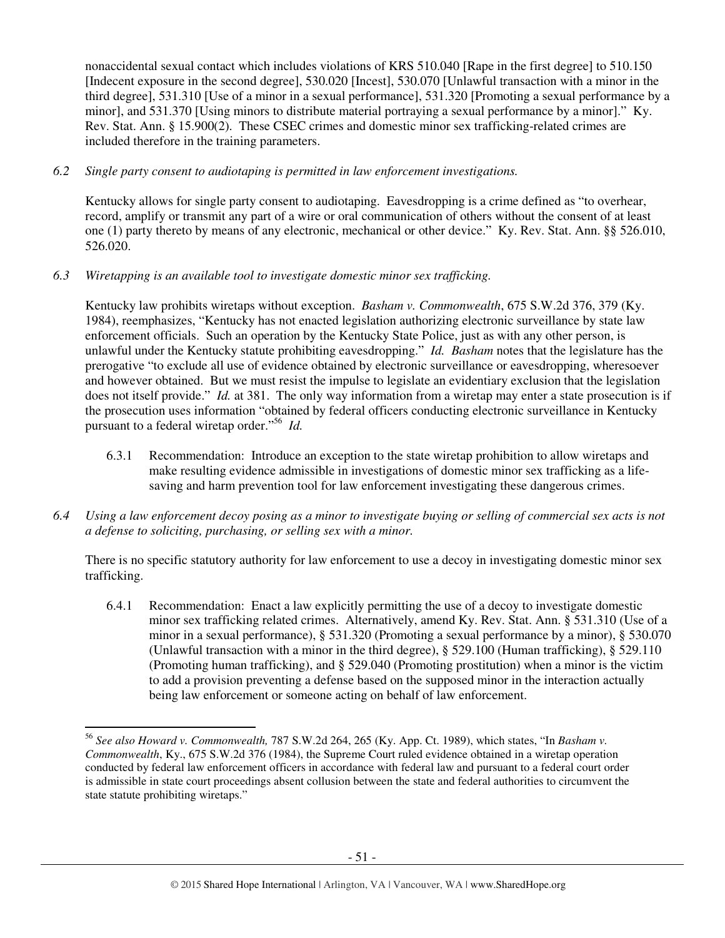nonaccidental sexual contact which includes violations of KRS 510.040 [Rape in the first degree] to 510.150 [Indecent exposure in the second degree], 530.020 [Incest], 530.070 [Unlawful transaction with a minor in the third degree], 531.310 [Use of a minor in a sexual performance], 531.320 [Promoting a sexual performance by a minorl, and 531.370 [Using minors to distribute material portraying a sexual performance by a minor]." Ky. Rev. Stat. Ann. § 15.900(2). These CSEC crimes and domestic minor sex trafficking-related crimes are included therefore in the training parameters.

# *6.2 Single party consent to audiotaping is permitted in law enforcement investigations.*

Kentucky allows for single party consent to audiotaping. Eavesdropping is a crime defined as "to overhear, record, amplify or transmit any part of a wire or oral communication of others without the consent of at least one (1) party thereto by means of any electronic, mechanical or other device." Ky. Rev. Stat. Ann. §§ 526.010, 526.020.

# *6.3 Wiretapping is an available tool to investigate domestic minor sex trafficking.*

 $\overline{a}$ 

Kentucky law prohibits wiretaps without exception. *Basham v. Commonwealth*, 675 S.W.2d 376, 379 (Ky. 1984), reemphasizes, "Kentucky has not enacted legislation authorizing electronic surveillance by state law enforcement officials. Such an operation by the Kentucky State Police, just as with any other person, is unlawful under the Kentucky statute prohibiting eavesdropping." *Id. Basham* notes that the legislature has the prerogative "to exclude all use of evidence obtained by electronic surveillance or eavesdropping, wheresoever and however obtained. But we must resist the impulse to legislate an evidentiary exclusion that the legislation does not itself provide." *Id.* at 381. The only way information from a wiretap may enter a state prosecution is if the prosecution uses information "obtained by federal officers conducting electronic surveillance in Kentucky pursuant to a federal wiretap order."<sup>56</sup> *Id.*

- 6.3.1 Recommendation: Introduce an exception to the state wiretap prohibition to allow wiretaps and make resulting evidence admissible in investigations of domestic minor sex trafficking as a lifesaving and harm prevention tool for law enforcement investigating these dangerous crimes.
- *6.4 Using a law enforcement decoy posing as a minor to investigate buying or selling of commercial sex acts is not a defense to soliciting, purchasing, or selling sex with a minor.*

There is no specific statutory authority for law enforcement to use a decoy in investigating domestic minor sex trafficking.

6.4.1 Recommendation: Enact a law explicitly permitting the use of a decoy to investigate domestic minor sex trafficking related crimes. Alternatively, amend Ky. Rev. Stat. Ann. § 531.310 (Use of a minor in a sexual performance), § 531.320 (Promoting a sexual performance by a minor), § 530.070 (Unlawful transaction with a minor in the third degree), § 529.100 (Human trafficking), § 529.110 (Promoting human trafficking), and § 529.040 (Promoting prostitution) when a minor is the victim to add a provision preventing a defense based on the supposed minor in the interaction actually being law enforcement or someone acting on behalf of law enforcement.

<sup>56</sup> *See also Howard v. Commonwealth,* 787 S.W.2d 264, 265 (Ky. App. Ct. 1989), which states, "In *Basham v. Commonwealth*, Ky., 675 S.W.2d 376 (1984), the Supreme Court ruled evidence obtained in a wiretap operation conducted by federal law enforcement officers in accordance with federal law and pursuant to a federal court order is admissible in state court proceedings absent collusion between the state and federal authorities to circumvent the state statute prohibiting wiretaps."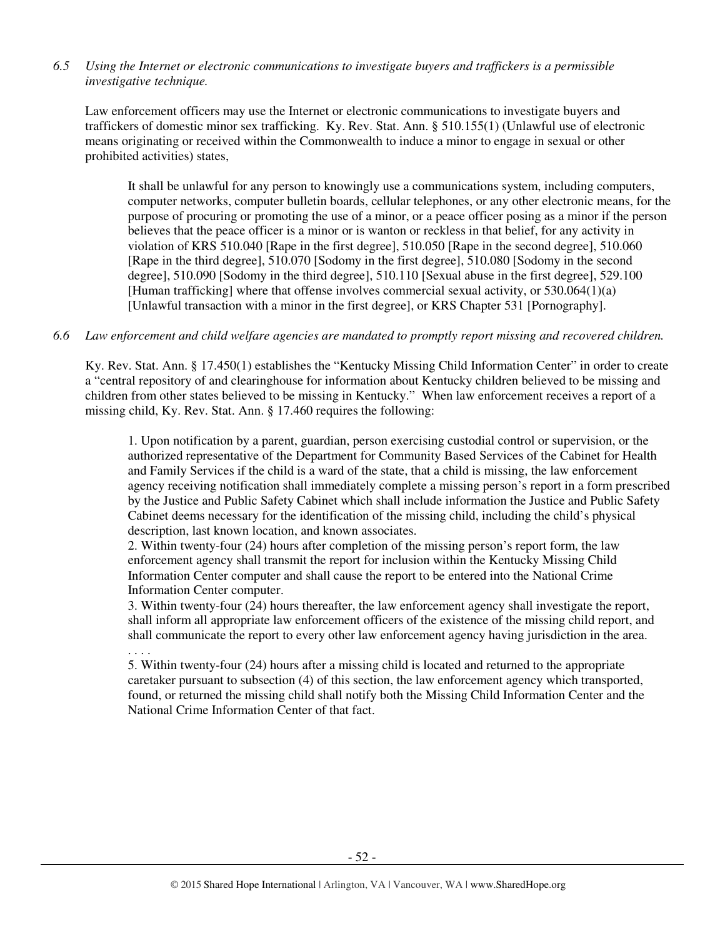# *6.5 Using the Internet or electronic communications to investigate buyers and traffickers is a permissible investigative technique.*

Law enforcement officers may use the Internet or electronic communications to investigate buyers and traffickers of domestic minor sex trafficking. Ky. Rev. Stat. Ann. § 510.155(1) (Unlawful use of electronic means originating or received within the Commonwealth to induce a minor to engage in sexual or other prohibited activities) states,

It shall be unlawful for any person to knowingly use a communications system, including computers, computer networks, computer bulletin boards, cellular telephones, or any other electronic means, for the purpose of procuring or promoting the use of a minor, or a peace officer posing as a minor if the person believes that the peace officer is a minor or is wanton or reckless in that belief, for any activity in violation of KRS 510.040 [Rape in the first degree], 510.050 [Rape in the second degree], 510.060 [Rape in the third degree], 510.070 [Sodomy in the first degree], 510.080 [Sodomy in the second degree], 510.090 [Sodomy in the third degree], 510.110 [Sexual abuse in the first degree], 529.100 [Human trafficking] where that offense involves commercial sexual activity, or 530.064(1)(a) [Unlawful transaction with a minor in the first degree], or KRS Chapter 531 [Pornography].

# *6.6 Law enforcement and child welfare agencies are mandated to promptly report missing and recovered children.*

Ky. Rev. Stat. Ann. § 17.450(1) establishes the "Kentucky Missing Child Information Center" in order to create a "central repository of and clearinghouse for information about Kentucky children believed to be missing and children from other states believed to be missing in Kentucky." When law enforcement receives a report of a missing child, Ky. Rev. Stat. Ann. § 17.460 requires the following:

1. Upon notification by a parent, guardian, person exercising custodial control or supervision, or the authorized representative of the Department for Community Based Services of the Cabinet for Health and Family Services if the child is a ward of the state, that a child is missing, the law enforcement agency receiving notification shall immediately complete a missing person's report in a form prescribed by the Justice and Public Safety Cabinet which shall include information the Justice and Public Safety Cabinet deems necessary for the identification of the missing child, including the child's physical description, last known location, and known associates.

2. Within twenty-four (24) hours after completion of the missing person's report form, the law enforcement agency shall transmit the report for inclusion within the Kentucky Missing Child Information Center computer and shall cause the report to be entered into the National Crime Information Center computer.

. . . .

3. Within twenty-four (24) hours thereafter, the law enforcement agency shall investigate the report, shall inform all appropriate law enforcement officers of the existence of the missing child report, and shall communicate the report to every other law enforcement agency having jurisdiction in the area.

5. Within twenty-four (24) hours after a missing child is located and returned to the appropriate caretaker pursuant to subsection (4) of this section, the law enforcement agency which transported, found, or returned the missing child shall notify both the Missing Child Information Center and the National Crime Information Center of that fact.